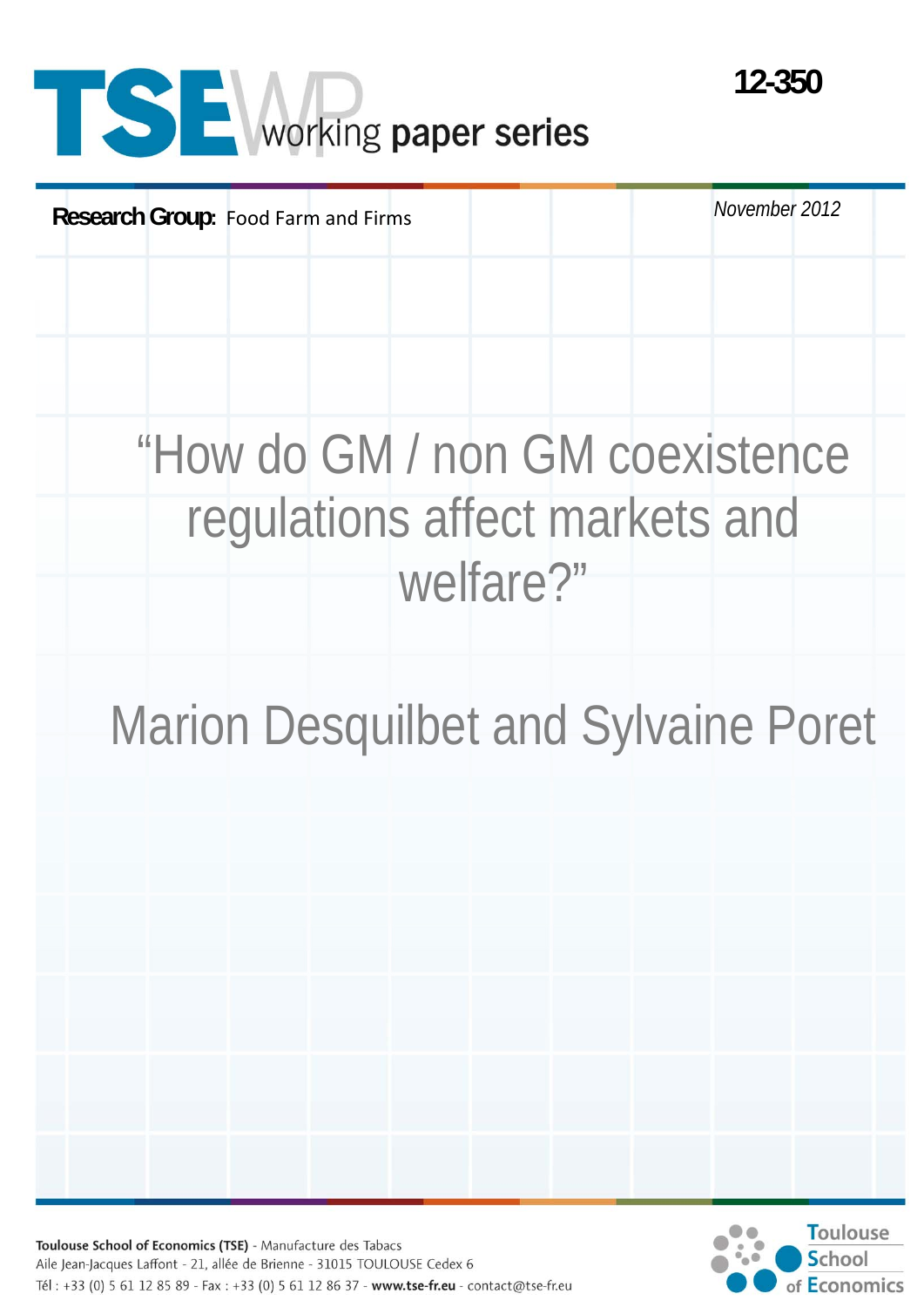# **SE** Working paper series

**Research Group:** Food Farm and Firms **November 2012** November 2012 "How do GM / non GM coexistence regulations affect markets and welfare?" Marion Desquilbet and Sylvaine Poret

Toulouse School of Economics (TSE) - Manufacture des Tabacs Aile Jean-Jacques Laffont - 21, allée de Brienne - 31015 TOULOUSE Cedex 6 Tél: +33 (0) 5 61 12 85 89 - Fax: +33 (0) 5 61 12 86 37 - www.tse-fr.eu - contact@tse-fr.eu



**12-350**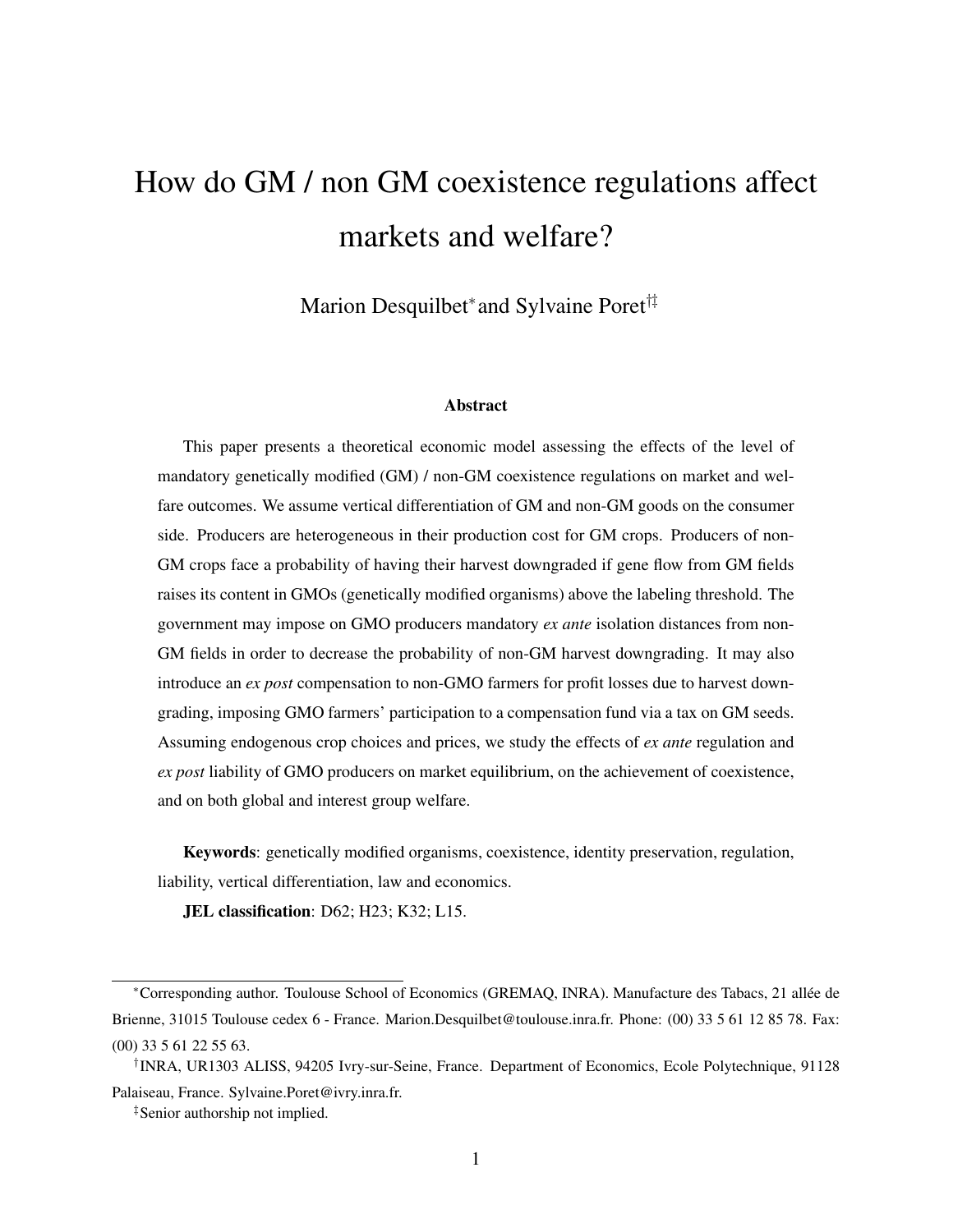# How do GM / non GM coexistence regulations affect markets and welfare?

Marion Desquilbet<sup>\*</sup> and Sylvaine Poret<sup>†‡</sup>

#### Abstract

This paper presents a theoretical economic model assessing the effects of the level of mandatory genetically modified (GM) / non-GM coexistence regulations on market and welfare outcomes. We assume vertical differentiation of GM and non-GM goods on the consumer side. Producers are heterogeneous in their production cost for GM crops. Producers of non-GM crops face a probability of having their harvest downgraded if gene flow from GM fields raises its content in GMOs (genetically modified organisms) above the labeling threshold. The government may impose on GMO producers mandatory *ex ante* isolation distances from non-GM fields in order to decrease the probability of non-GM harvest downgrading. It may also introduce an *ex post* compensation to non-GMO farmers for profit losses due to harvest downgrading, imposing GMO farmers' participation to a compensation fund via a tax on GM seeds. Assuming endogenous crop choices and prices, we study the effects of *ex ante* regulation and *ex post* liability of GMO producers on market equilibrium, on the achievement of coexistence, and on both global and interest group welfare.

Keywords: genetically modified organisms, coexistence, identity preservation, regulation, liability, vertical differentiation, law and economics.

**JEL classification**: D62; H23; K32; L15.

<sup>∗</sup>Corresponding author. Toulouse School of Economics (GREMAQ, INRA). Manufacture des Tabacs, 21 allée de Brienne, 31015 Toulouse cedex 6 - France. Marion.Desquilbet@toulouse.inra.fr. Phone: (00) 33 5 61 12 85 78. Fax: (00) 33 5 61 22 55 63.

<sup>†</sup> INRA, UR1303 ALISS, 94205 Ivry-sur-Seine, France. Department of Economics, Ecole Polytechnique, 91128 Palaiseau, France. Sylvaine.Poret@ivry.inra.fr.

<sup>‡</sup>Senior authorship not implied.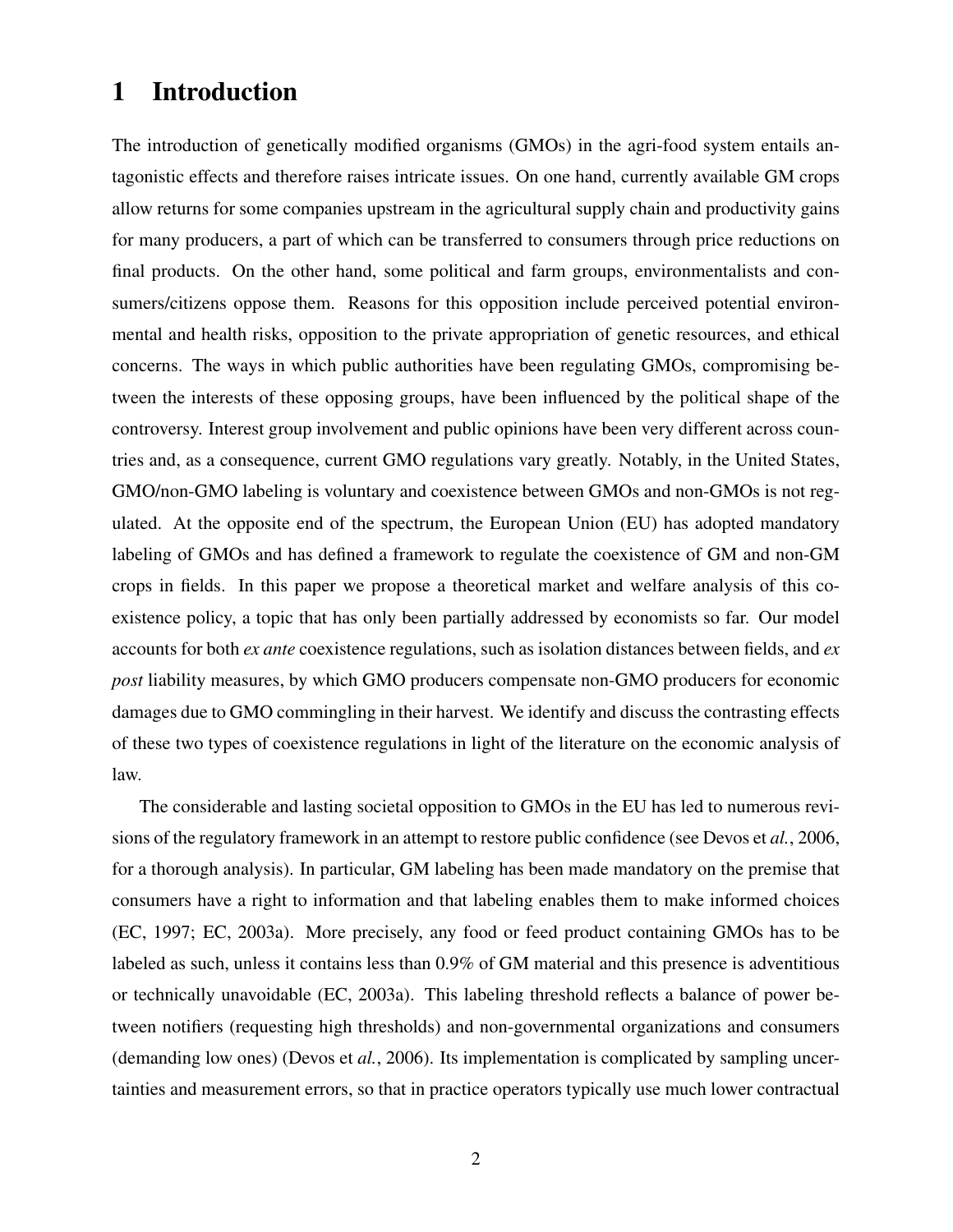# 1 Introduction

The introduction of genetically modified organisms (GMOs) in the agri-food system entails antagonistic effects and therefore raises intricate issues. On one hand, currently available GM crops allow returns for some companies upstream in the agricultural supply chain and productivity gains for many producers, a part of which can be transferred to consumers through price reductions on final products. On the other hand, some political and farm groups, environmentalists and consumers/citizens oppose them. Reasons for this opposition include perceived potential environmental and health risks, opposition to the private appropriation of genetic resources, and ethical concerns. The ways in which public authorities have been regulating GMOs, compromising between the interests of these opposing groups, have been influenced by the political shape of the controversy. Interest group involvement and public opinions have been very different across countries and, as a consequence, current GMO regulations vary greatly. Notably, in the United States, GMO/non-GMO labeling is voluntary and coexistence between GMOs and non-GMOs is not regulated. At the opposite end of the spectrum, the European Union (EU) has adopted mandatory labeling of GMOs and has defined a framework to regulate the coexistence of GM and non-GM crops in fields. In this paper we propose a theoretical market and welfare analysis of this coexistence policy, a topic that has only been partially addressed by economists so far. Our model accounts for both *ex ante* coexistence regulations, such as isolation distances between fields, and *ex post* liability measures, by which GMO producers compensate non-GMO producers for economic damages due to GMO commingling in their harvest. We identify and discuss the contrasting effects of these two types of coexistence regulations in light of the literature on the economic analysis of law.

The considerable and lasting societal opposition to GMOs in the EU has led to numerous revisions of the regulatory framework in an attempt to restore public confidence (see Devos et *al.*, 2006, for a thorough analysis). In particular, GM labeling has been made mandatory on the premise that consumers have a right to information and that labeling enables them to make informed choices (EC, 1997; EC, 2003a). More precisely, any food or feed product containing GMOs has to be labeled as such, unless it contains less than 0.9% of GM material and this presence is adventitious or technically unavoidable (EC, 2003a). This labeling threshold reflects a balance of power between notifiers (requesting high thresholds) and non-governmental organizations and consumers (demanding low ones) (Devos et *al.*, 2006). Its implementation is complicated by sampling uncertainties and measurement errors, so that in practice operators typically use much lower contractual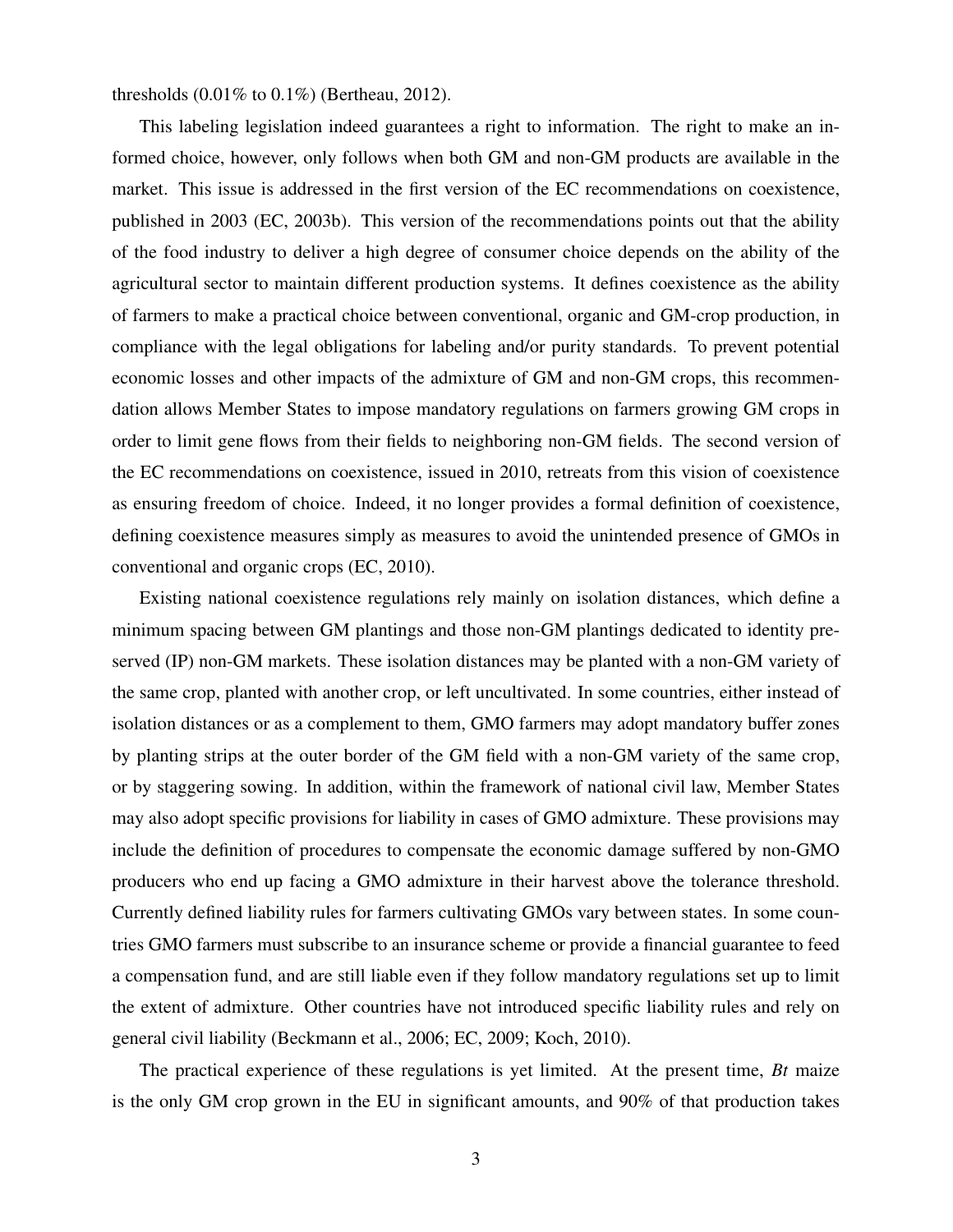thresholds (0.01% to 0.1%) (Bertheau, 2012).

This labeling legislation indeed guarantees a right to information. The right to make an informed choice, however, only follows when both GM and non-GM products are available in the market. This issue is addressed in the first version of the EC recommendations on coexistence, published in 2003 (EC, 2003b). This version of the recommendations points out that the ability of the food industry to deliver a high degree of consumer choice depends on the ability of the agricultural sector to maintain different production systems. It defines coexistence as the ability of farmers to make a practical choice between conventional, organic and GM-crop production, in compliance with the legal obligations for labeling and/or purity standards. To prevent potential economic losses and other impacts of the admixture of GM and non-GM crops, this recommendation allows Member States to impose mandatory regulations on farmers growing GM crops in order to limit gene flows from their fields to neighboring non-GM fields. The second version of the EC recommendations on coexistence, issued in 2010, retreats from this vision of coexistence as ensuring freedom of choice. Indeed, it no longer provides a formal definition of coexistence, defining coexistence measures simply as measures to avoid the unintended presence of GMOs in conventional and organic crops (EC, 2010).

Existing national coexistence regulations rely mainly on isolation distances, which define a minimum spacing between GM plantings and those non-GM plantings dedicated to identity preserved (IP) non-GM markets. These isolation distances may be planted with a non-GM variety of the same crop, planted with another crop, or left uncultivated. In some countries, either instead of isolation distances or as a complement to them, GMO farmers may adopt mandatory buffer zones by planting strips at the outer border of the GM field with a non-GM variety of the same crop, or by staggering sowing. In addition, within the framework of national civil law, Member States may also adopt specific provisions for liability in cases of GMO admixture. These provisions may include the definition of procedures to compensate the economic damage suffered by non-GMO producers who end up facing a GMO admixture in their harvest above the tolerance threshold. Currently defined liability rules for farmers cultivating GMOs vary between states. In some countries GMO farmers must subscribe to an insurance scheme or provide a financial guarantee to feed a compensation fund, and are still liable even if they follow mandatory regulations set up to limit the extent of admixture. Other countries have not introduced specific liability rules and rely on general civil liability (Beckmann et al., 2006; EC, 2009; Koch, 2010).

The practical experience of these regulations is yet limited. At the present time, *Bt* maize is the only GM crop grown in the EU in significant amounts, and 90% of that production takes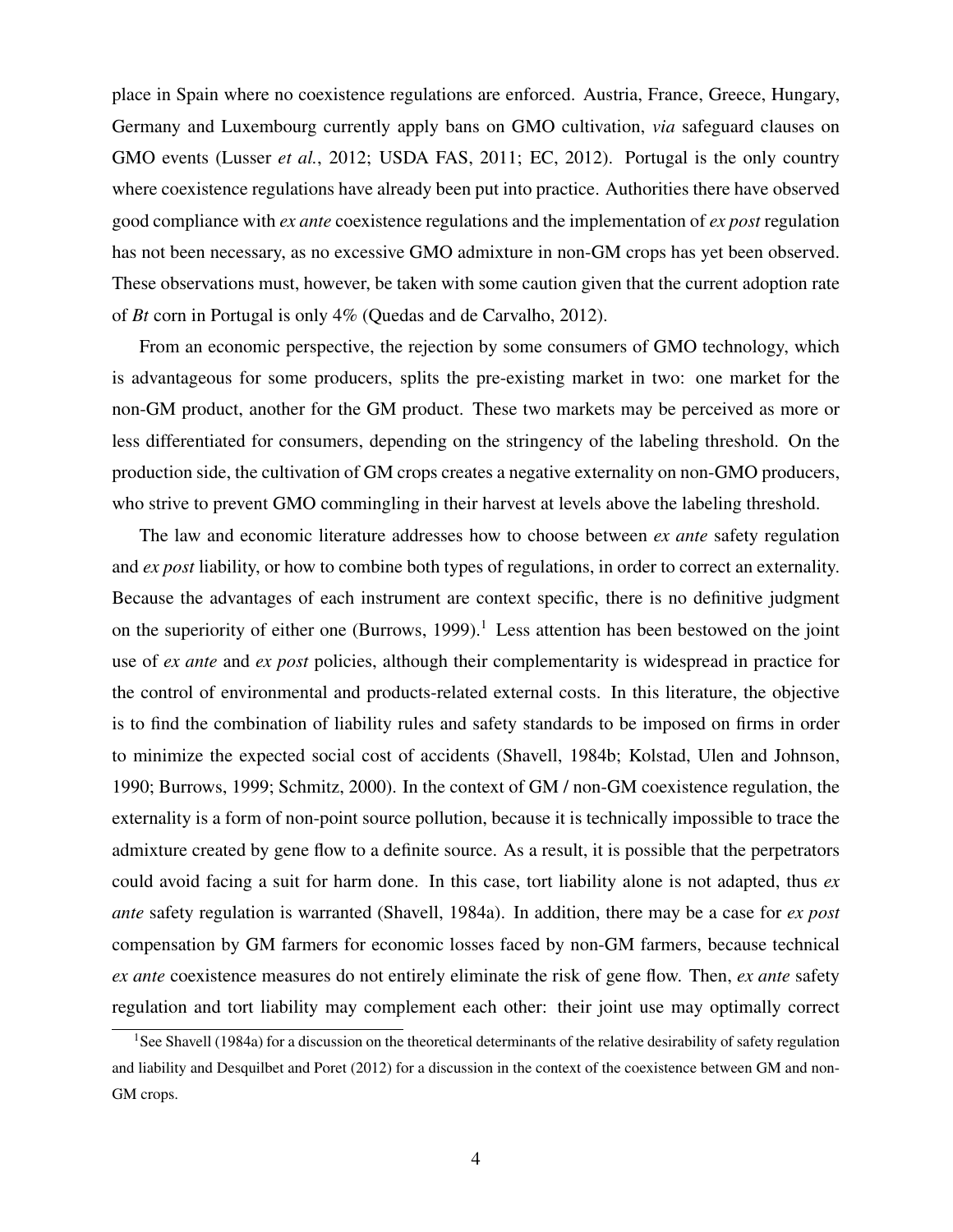place in Spain where no coexistence regulations are enforced. Austria, France, Greece, Hungary, Germany and Luxembourg currently apply bans on GMO cultivation, *via* safeguard clauses on GMO events (Lusser *et al.*, 2012; USDA FAS, 2011; EC, 2012). Portugal is the only country where coexistence regulations have already been put into practice. Authorities there have observed good compliance with *ex ante* coexistence regulations and the implementation of *ex post* regulation has not been necessary, as no excessive GMO admixture in non-GM crops has yet been observed. These observations must, however, be taken with some caution given that the current adoption rate of *Bt* corn in Portugal is only 4% (Quedas and de Carvalho, 2012).

From an economic perspective, the rejection by some consumers of GMO technology, which is advantageous for some producers, splits the pre-existing market in two: one market for the non-GM product, another for the GM product. These two markets may be perceived as more or less differentiated for consumers, depending on the stringency of the labeling threshold. On the production side, the cultivation of GM crops creates a negative externality on non-GMO producers, who strive to prevent GMO commingling in their harvest at levels above the labeling threshold.

The law and economic literature addresses how to choose between *ex ante* safety regulation and *ex post* liability, or how to combine both types of regulations, in order to correct an externality. Because the advantages of each instrument are context specific, there is no definitive judgment on the superiority of either one (Burrows, 1999).<sup>1</sup> Less attention has been bestowed on the joint use of *ex ante* and *ex post* policies, although their complementarity is widespread in practice for the control of environmental and products-related external costs. In this literature, the objective is to find the combination of liability rules and safety standards to be imposed on firms in order to minimize the expected social cost of accidents (Shavell, 1984b; Kolstad, Ulen and Johnson, 1990; Burrows, 1999; Schmitz, 2000). In the context of GM / non-GM coexistence regulation, the externality is a form of non-point source pollution, because it is technically impossible to trace the admixture created by gene flow to a definite source. As a result, it is possible that the perpetrators could avoid facing a suit for harm done. In this case, tort liability alone is not adapted, thus *ex ante* safety regulation is warranted (Shavell, 1984a). In addition, there may be a case for *ex post* compensation by GM farmers for economic losses faced by non-GM farmers, because technical *ex ante* coexistence measures do not entirely eliminate the risk of gene flow. Then, *ex ante* safety regulation and tort liability may complement each other: their joint use may optimally correct

<sup>&</sup>lt;sup>1</sup>See Shavell (1984a) for a discussion on the theoretical determinants of the relative desirability of safety regulation and liability and Desquilbet and Poret (2012) for a discussion in the context of the coexistence between GM and non-GM crops.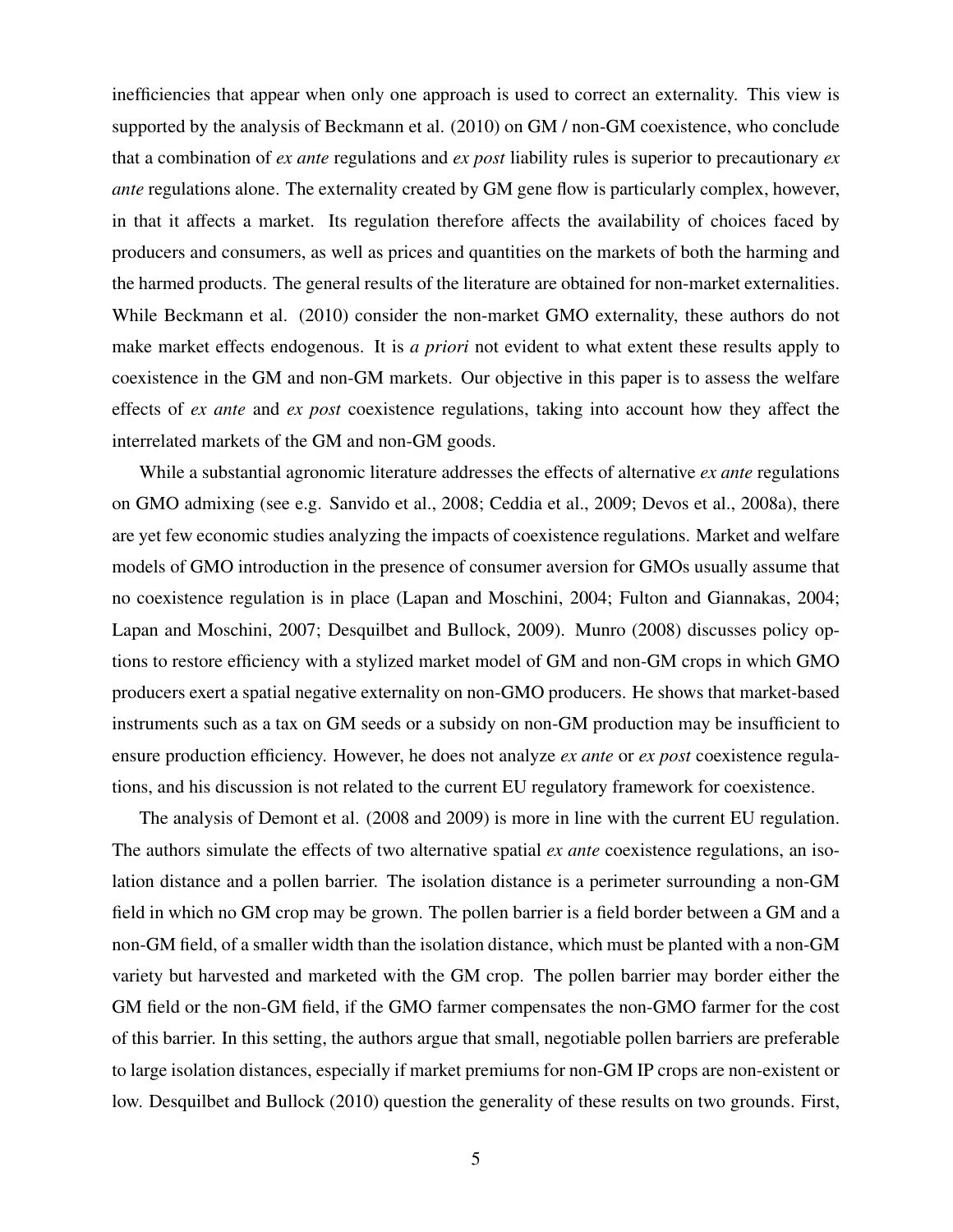inefficiencies that appear when only one approach is used to correct an externality. This view is supported by the analysis of Beckmann et al. (2010) on GM / non-GM coexistence, who conclude that a combination of *ex ante* regulations and *ex post* liability rules is superior to precautionary *ex ante* regulations alone. The externality created by GM gene flow is particularly complex, however, in that it affects a market. Its regulation therefore affects the availability of choices faced by producers and consumers, as well as prices and quantities on the markets of both the harming and the harmed products. The general results of the literature are obtained for non-market externalities. While Beckmann et al. (2010) consider the non-market GMO externality, these authors do not make market effects endogenous. It is *a priori* not evident to what extent these results apply to coexistence in the GM and non-GM markets. Our objective in this paper is to assess the welfare effects of *ex ante* and *ex post* coexistence regulations, taking into account how they affect the interrelated markets of the GM and non-GM goods.

While a substantial agronomic literature addresses the effects of alternative *ex ante* regulations on GMO admixing (see e.g. Sanvido et al., 2008; Ceddia et al., 2009; Devos et al., 2008a), there are yet few economic studies analyzing the impacts of coexistence regulations. Market and welfare models of GMO introduction in the presence of consumer aversion for GMOs usually assume that no coexistence regulation is in place (Lapan and Moschini, 2004; Fulton and Giannakas, 2004; Lapan and Moschini, 2007; Desquilbet and Bullock, 2009). Munro (2008) discusses policy options to restore efficiency with a stylized market model of GM and non-GM crops in which GMO producers exert a spatial negative externality on non-GMO producers. He shows that market-based instruments such as a tax on GM seeds or a subsidy on non-GM production may be insufficient to ensure production efficiency. However, he does not analyze *ex ante* or *ex post* coexistence regulations, and his discussion is not related to the current EU regulatory framework for coexistence.

The analysis of Demont et al. (2008 and 2009) is more in line with the current EU regulation. The authors simulate the effects of two alternative spatial *ex ante* coexistence regulations, an isolation distance and a pollen barrier. The isolation distance is a perimeter surrounding a non-GM field in which no GM crop may be grown. The pollen barrier is a field border between a GM and a non-GM field, of a smaller width than the isolation distance, which must be planted with a non-GM variety but harvested and marketed with the GM crop. The pollen barrier may border either the GM field or the non-GM field, if the GMO farmer compensates the non-GMO farmer for the cost of this barrier. In this setting, the authors argue that small, negotiable pollen barriers are preferable to large isolation distances, especially if market premiums for non-GM IP crops are non-existent or low. Desquilbet and Bullock (2010) question the generality of these results on two grounds. First,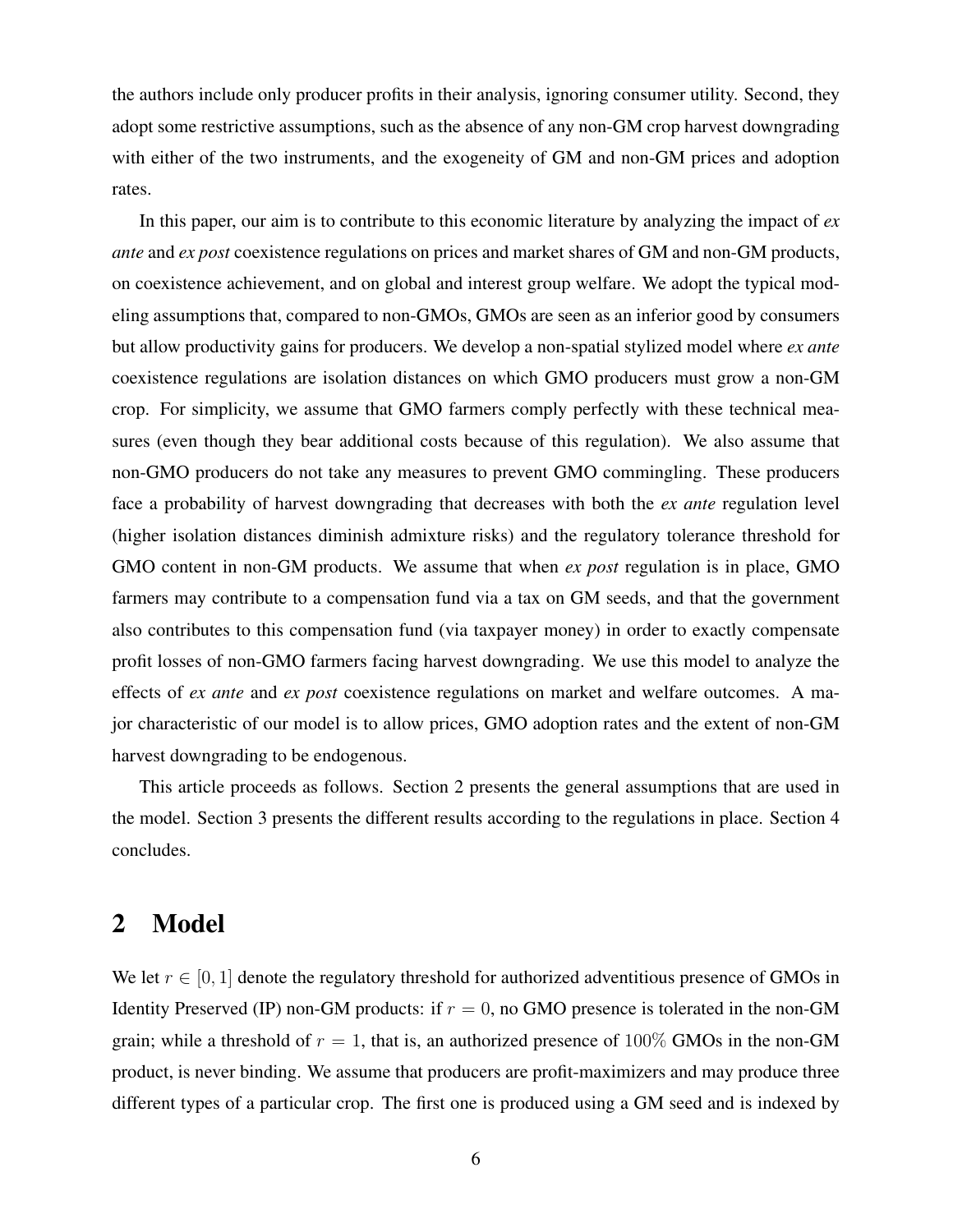the authors include only producer profits in their analysis, ignoring consumer utility. Second, they adopt some restrictive assumptions, such as the absence of any non-GM crop harvest downgrading with either of the two instruments, and the exogeneity of GM and non-GM prices and adoption rates.

In this paper, our aim is to contribute to this economic literature by analyzing the impact of *ex ante* and *ex post* coexistence regulations on prices and market shares of GM and non-GM products, on coexistence achievement, and on global and interest group welfare. We adopt the typical modeling assumptions that, compared to non-GMOs, GMOs are seen as an inferior good by consumers but allow productivity gains for producers. We develop a non-spatial stylized model where *ex ante* coexistence regulations are isolation distances on which GMO producers must grow a non-GM crop. For simplicity, we assume that GMO farmers comply perfectly with these technical measures (even though they bear additional costs because of this regulation). We also assume that non-GMO producers do not take any measures to prevent GMO commingling. These producers face a probability of harvest downgrading that decreases with both the *ex ante* regulation level (higher isolation distances diminish admixture risks) and the regulatory tolerance threshold for GMO content in non-GM products. We assume that when *ex post* regulation is in place, GMO farmers may contribute to a compensation fund via a tax on GM seeds, and that the government also contributes to this compensation fund (via taxpayer money) in order to exactly compensate profit losses of non-GMO farmers facing harvest downgrading. We use this model to analyze the effects of *ex ante* and *ex post* coexistence regulations on market and welfare outcomes. A major characteristic of our model is to allow prices, GMO adoption rates and the extent of non-GM harvest downgrading to be endogenous.

This article proceeds as follows. Section 2 presents the general assumptions that are used in the model. Section 3 presents the different results according to the regulations in place. Section 4 concludes.

# 2 Model

We let  $r \in [0, 1]$  denote the regulatory threshold for authorized adventitious presence of GMOs in Identity Preserved (IP) non-GM products: if  $r = 0$ , no GMO presence is tolerated in the non-GM grain; while a threshold of  $r = 1$ , that is, an authorized presence of 100% GMOs in the non-GM product, is never binding. We assume that producers are profit-maximizers and may produce three different types of a particular crop. The first one is produced using a GM seed and is indexed by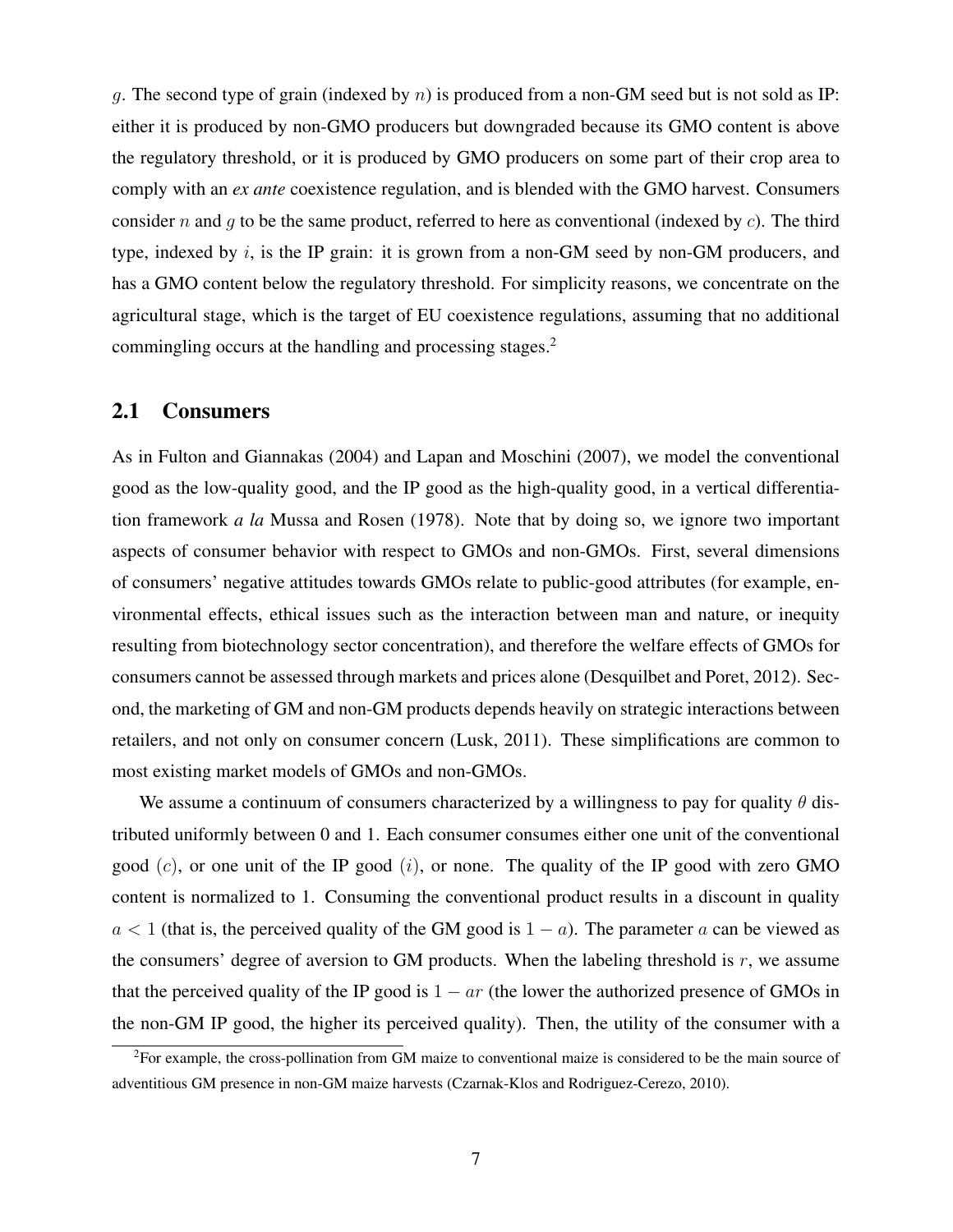q. The second type of grain (indexed by  $n$ ) is produced from a non-GM seed but is not sold as IP: either it is produced by non-GMO producers but downgraded because its GMO content is above the regulatory threshold, or it is produced by GMO producers on some part of their crop area to comply with an *ex ante* coexistence regulation, and is blended with the GMO harvest. Consumers consider n and q to be the same product, referred to here as conventional (indexed by  $c$ ). The third type, indexed by  $i$ , is the IP grain: it is grown from a non-GM seed by non-GM producers, and has a GMO content below the regulatory threshold. For simplicity reasons, we concentrate on the agricultural stage, which is the target of EU coexistence regulations, assuming that no additional commingling occurs at the handling and processing stages.<sup>2</sup>

#### 2.1 Consumers

As in Fulton and Giannakas (2004) and Lapan and Moschini (2007), we model the conventional good as the low-quality good, and the IP good as the high-quality good, in a vertical differentiation framework *a la* Mussa and Rosen (1978). Note that by doing so, we ignore two important aspects of consumer behavior with respect to GMOs and non-GMOs. First, several dimensions of consumers' negative attitudes towards GMOs relate to public-good attributes (for example, environmental effects, ethical issues such as the interaction between man and nature, or inequity resulting from biotechnology sector concentration), and therefore the welfare effects of GMOs for consumers cannot be assessed through markets and prices alone (Desquilbet and Poret, 2012). Second, the marketing of GM and non-GM products depends heavily on strategic interactions between retailers, and not only on consumer concern (Lusk, 2011). These simplifications are common to most existing market models of GMOs and non-GMOs.

We assume a continuum of consumers characterized by a willingness to pay for quality  $\theta$  distributed uniformly between 0 and 1. Each consumer consumes either one unit of the conventional good  $(c)$ , or one unit of the IP good  $(i)$ , or none. The quality of the IP good with zero GMO content is normalized to 1. Consuming the conventional product results in a discount in quality  $a < 1$  (that is, the perceived quality of the GM good is  $1 - a$ ). The parameter a can be viewed as the consumers' degree of aversion to GM products. When the labeling threshold is  $r$ , we assume that the perceived quality of the IP good is  $1 - ar$  (the lower the authorized presence of GMOs in the non-GM IP good, the higher its perceived quality). Then, the utility of the consumer with a

<sup>2</sup>For example, the cross-pollination from GM maize to conventional maize is considered to be the main source of adventitious GM presence in non-GM maize harvests (Czarnak-Klos and Rodriguez-Cerezo, 2010).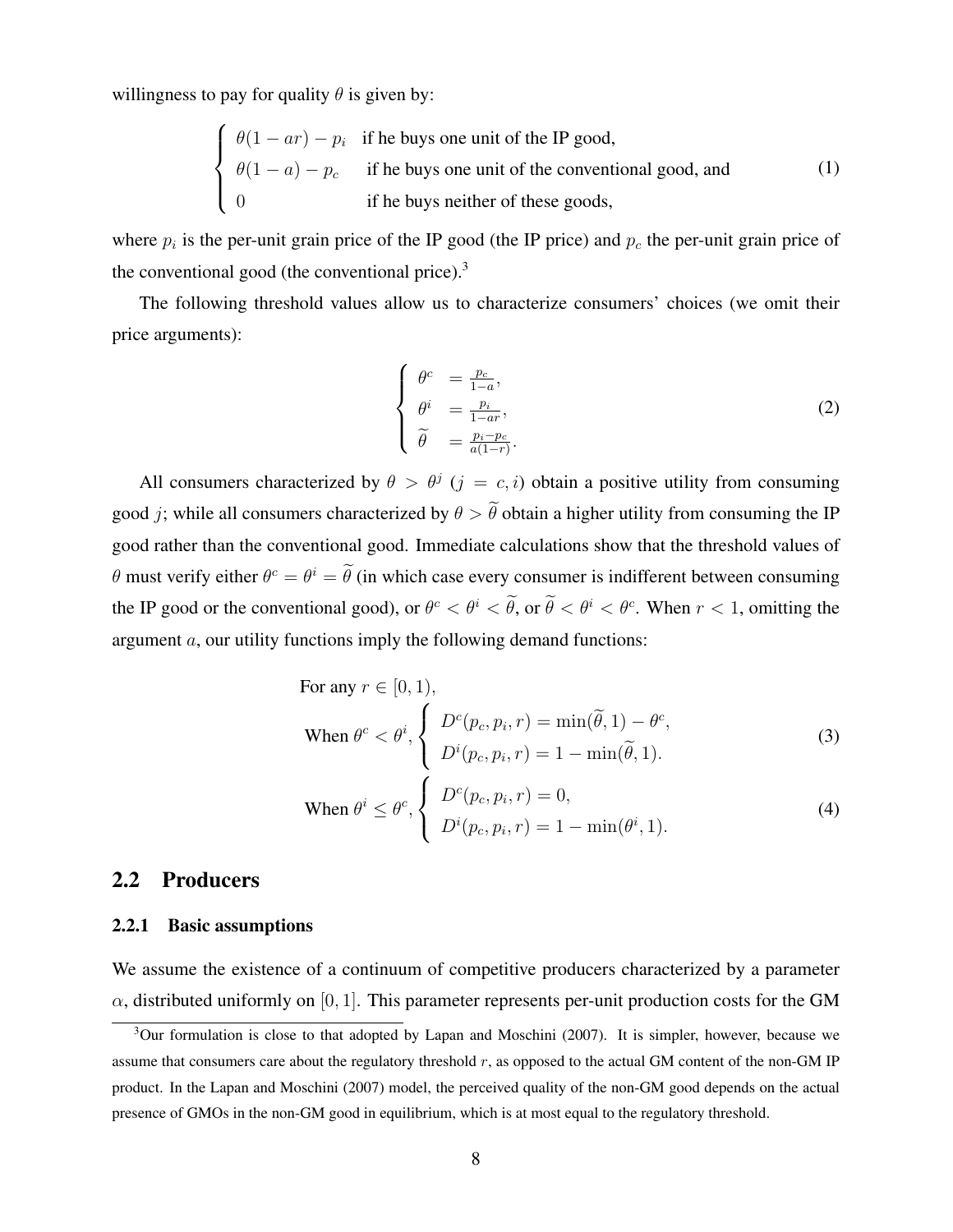willingness to pay for quality  $\theta$  is given by:

$$
\begin{cases}\n\theta(1-ar) - p_i & \text{if he buys one unit of the IP good,} \\
\theta(1-a) - p_c & \text{if he buys one unit of the conventional good, and} \\
0 & \text{if he buys neither of these goods,}\n\end{cases}
$$
\n(1)

where  $p_i$  is the per-unit grain price of the IP good (the IP price) and  $p_c$  the per-unit grain price of the conventional good (the conventional price). $3$ 

The following threshold values allow us to characterize consumers' choices (we omit their price arguments):

$$
\begin{cases}\n\theta^c = \frac{p_c}{1-a}, \\
\theta^i = \frac{p_i}{1-ar}, \\
\tilde{\theta} = \frac{p_i - p_c}{a(1-r)}.\n\end{cases}
$$
\n(2)

All consumers characterized by  $\theta > \theta^j$  ( $j = c, i$ ) obtain a positive utility from consuming good *j*; while all consumers characterized by  $\theta > \tilde{\theta}$  obtain a higher utility from consuming the IP good rather than the conventional good. Immediate calculations show that the threshold values of  $\theta$  must verify either  $\theta^c = \theta^i = \theta$  (in which case every consumer is indifferent between consuming the IP good or the conventional good), or  $\theta^c < \theta^i < \theta$ , or  $\theta < \theta^i < \theta^c$ . When  $r < 1$ , omitting the argument a, our utility functions imply the following demand functions:

For any 
$$
r \in [0, 1)
$$
,  
\nWhen  $\theta^c < \theta^i$ ,  $\begin{cases} D^c(p_c, p_i, r) = \min(\tilde{\theta}, 1) - \theta^c, \\ D^i(p_c, p_i, r) = 1 - \min(\tilde{\theta}, 1). \end{cases}$  (3)

When 
$$
\theta^i \leq \theta^c
$$
, 
$$
\begin{cases} D^c(p_c, p_i, r) = 0, \\ D^i(p_c, p_i, r) = 1 - \min(\theta^i, 1). \end{cases}
$$
 (4)

#### 2.2 Producers

#### 2.2.1 Basic assumptions

We assume the existence of a continuum of competitive producers characterized by a parameter  $\alpha$ , distributed uniformly on [0, 1]. This parameter represents per-unit production costs for the GM

 $3$ Our formulation is close to that adopted by Lapan and Moschini (2007). It is simpler, however, because we assume that consumers care about the regulatory threshold r, as opposed to the actual GM content of the non-GM IP product. In the Lapan and Moschini (2007) model, the perceived quality of the non-GM good depends on the actual presence of GMOs in the non-GM good in equilibrium, which is at most equal to the regulatory threshold.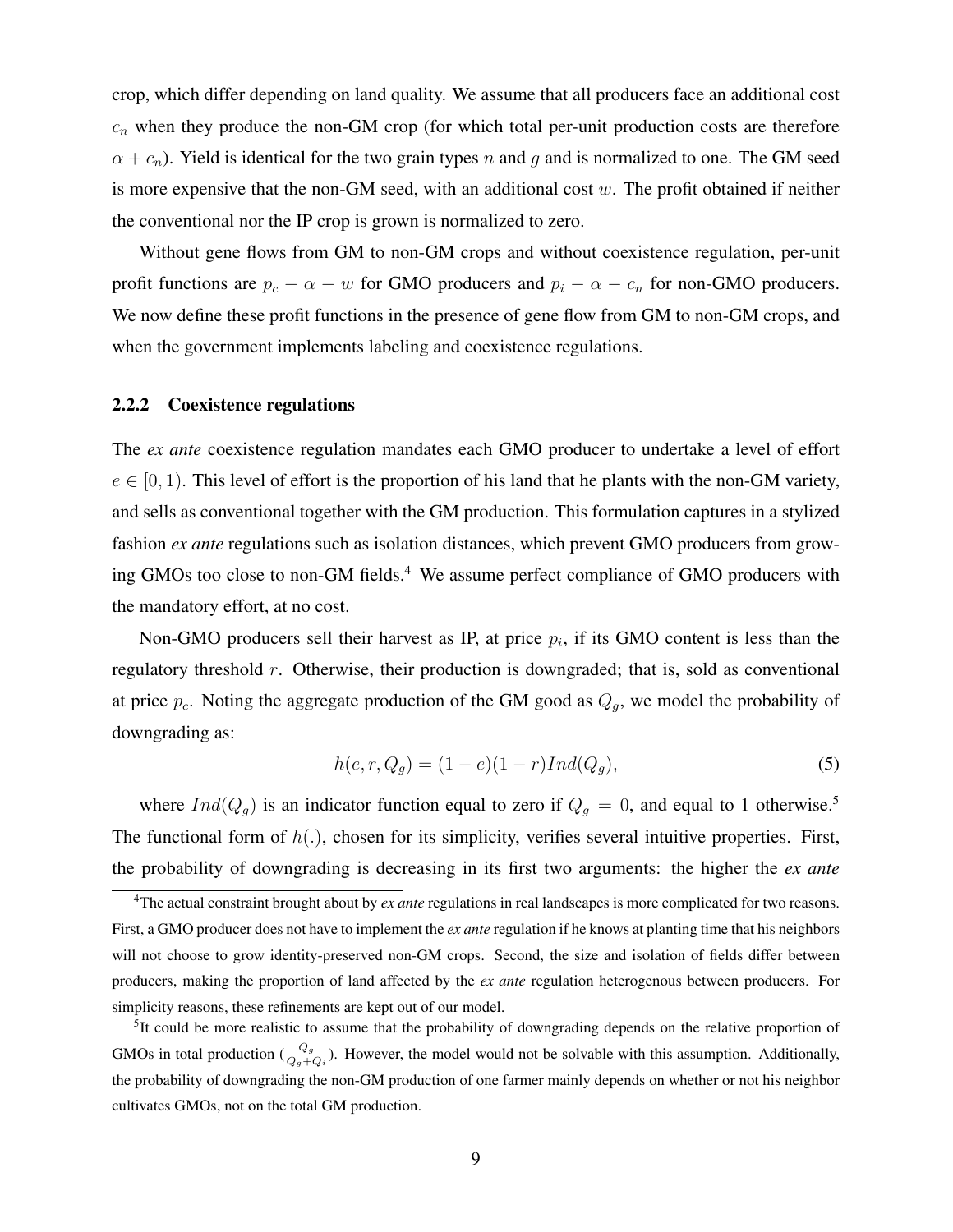crop, which differ depending on land quality. We assume that all producers face an additional cost  $c_n$  when they produce the non-GM crop (for which total per-unit production costs are therefore  $\alpha + c_n$ ). Yield is identical for the two grain types n and g and is normalized to one. The GM seed is more expensive that the non-GM seed, with an additional cost  $w$ . The profit obtained if neither the conventional nor the IP crop is grown is normalized to zero.

Without gene flows from GM to non-GM crops and without coexistence regulation, per-unit profit functions are  $p_c - \alpha - w$  for GMO producers and  $p_i - \alpha - c_n$  for non-GMO producers. We now define these profit functions in the presence of gene flow from GM to non-GM crops, and when the government implements labeling and coexistence regulations.

#### 2.2.2 Coexistence regulations

The *ex ante* coexistence regulation mandates each GMO producer to undertake a level of effort  $e \in [0, 1)$ . This level of effort is the proportion of his land that he plants with the non-GM variety, and sells as conventional together with the GM production. This formulation captures in a stylized fashion *ex ante* regulations such as isolation distances, which prevent GMO producers from growing GMOs too close to non-GM fields.<sup>4</sup> We assume perfect compliance of GMO producers with the mandatory effort, at no cost.

Non-GMO producers sell their harvest as IP, at price  $p_i$ , if its GMO content is less than the regulatory threshold r. Otherwise, their production is downgraded; that is, sold as conventional at price  $p_c$ . Noting the aggregate production of the GM good as  $Q_g$ , we model the probability of downgrading as:

$$
h(e, r, Q_g) = (1 - e)(1 - r)Ind(Q_g),
$$
\n(5)

where  $Ind(Q_g)$  is an indicator function equal to zero if  $Q_g = 0$ , and equal to 1 otherwise.<sup>5</sup> The functional form of  $h(.)$ , chosen for its simplicity, verifies several intuitive properties. First, the probability of downgrading is decreasing in its first two arguments: the higher the *ex ante*

<sup>4</sup>The actual constraint brought about by *ex ante* regulations in real landscapes is more complicated for two reasons. First, a GMO producer does not have to implement the *ex ante* regulation if he knows at planting time that his neighbors will not choose to grow identity-preserved non-GM crops. Second, the size and isolation of fields differ between producers, making the proportion of land affected by the *ex ante* regulation heterogenous between producers. For simplicity reasons, these refinements are kept out of our model.

<sup>&</sup>lt;sup>5</sup>It could be more realistic to assume that the probability of downgrading depends on the relative proportion of GMOs in total production  $(\frac{Q_g}{Q_g+Q_i})$ . However, the model would not be solvable with this assumption. Additionally, the probability of downgrading the non-GM production of one farmer mainly depends on whether or not his neighbor cultivates GMOs, not on the total GM production.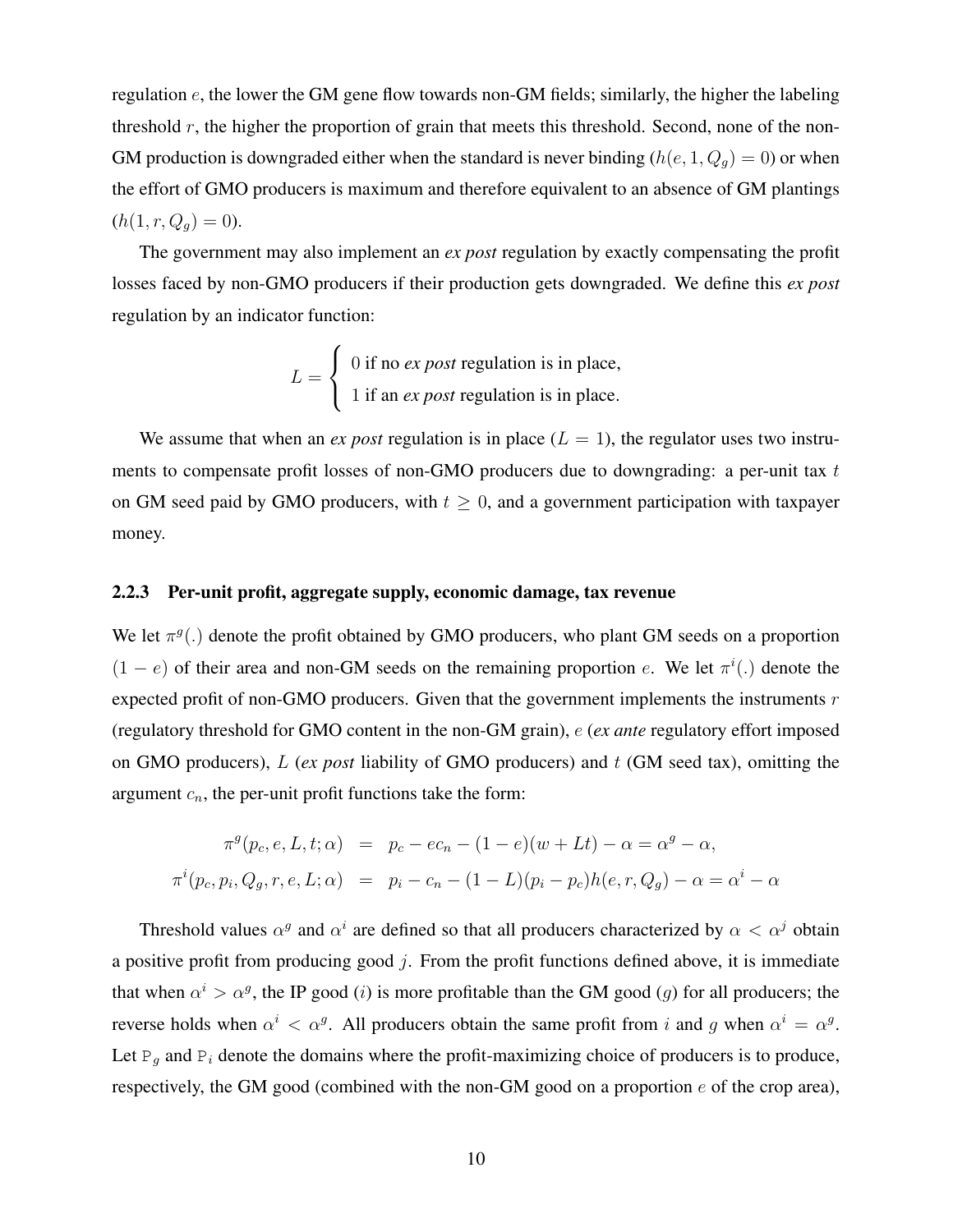regulation e, the lower the GM gene flow towards non-GM fields; similarly, the higher the labeling threshold  $r$ , the higher the proportion of grain that meets this threshold. Second, none of the non-GM production is downgraded either when the standard is never binding  $(h(e, 1, Q_g) = 0)$  or when the effort of GMO producers is maximum and therefore equivalent to an absence of GM plantings  $(h(1, r, Q_q) = 0).$ 

The government may also implement an *ex post* regulation by exactly compensating the profit losses faced by non-GMO producers if their production gets downgraded. We define this *ex post* regulation by an indicator function:

$$
L = \begin{cases} 0 \text{ if no } ex \text{ } post \text{ regulation is in place,} \\ 1 \text{ if an } ex \text{ } post \text{ regulation is in place.} \end{cases}
$$

We assume that when an *ex post* regulation is in place  $(L = 1)$ , the regulator uses two instruments to compensate profit losses of non-GMO producers due to downgrading: a per-unit tax  $t$ on GM seed paid by GMO producers, with  $t \geq 0$ , and a government participation with taxpayer money.

#### 2.2.3 Per-unit profit, aggregate supply, economic damage, tax revenue

We let  $\pi^g(.)$  denote the profit obtained by GMO producers, who plant GM seeds on a proportion  $(1 - e)$  of their area and non-GM seeds on the remaining proportion e. We let  $\pi^{i}$ .) denote the expected profit of non-GMO producers. Given that the government implements the instruments  $r$ (regulatory threshold for GMO content in the non-GM grain), e (*ex ante* regulatory effort imposed on GMO producers), L (*ex post* liability of GMO producers) and t (GM seed tax), omitting the argument  $c_n$ , the per-unit profit functions take the form:

$$
\pi^{g}(p_c, e, L, t; \alpha) = p_c - ec_n - (1 - e)(w + Lt) - \alpha = \alpha^{g} - \alpha,
$$
  

$$
\pi^{i}(p_c, p_i, Q_g, r, e, L; \alpha) = p_i - c_n - (1 - L)(p_i - p_c)h(e, r, Q_g) - \alpha = \alpha^{i} - \alpha
$$

Threshold values  $\alpha^g$  and  $\alpha^i$  are defined so that all producers characterized by  $\alpha < \alpha^j$  obtain a positive profit from producing good  $j$ . From the profit functions defined above, it is immediate that when  $\alpha^i > \alpha^g$ , the IP good (*i*) is more profitable than the GM good (*g*) for all producers; the reverse holds when  $\alpha^i < \alpha^g$ . All producers obtain the same profit from i and g when  $\alpha^i = \alpha^g$ . Let  $P_q$  and  $P_i$  denote the domains where the profit-maximizing choice of producers is to produce, respectively, the GM good (combined with the non-GM good on a proportion  $e$  of the crop area),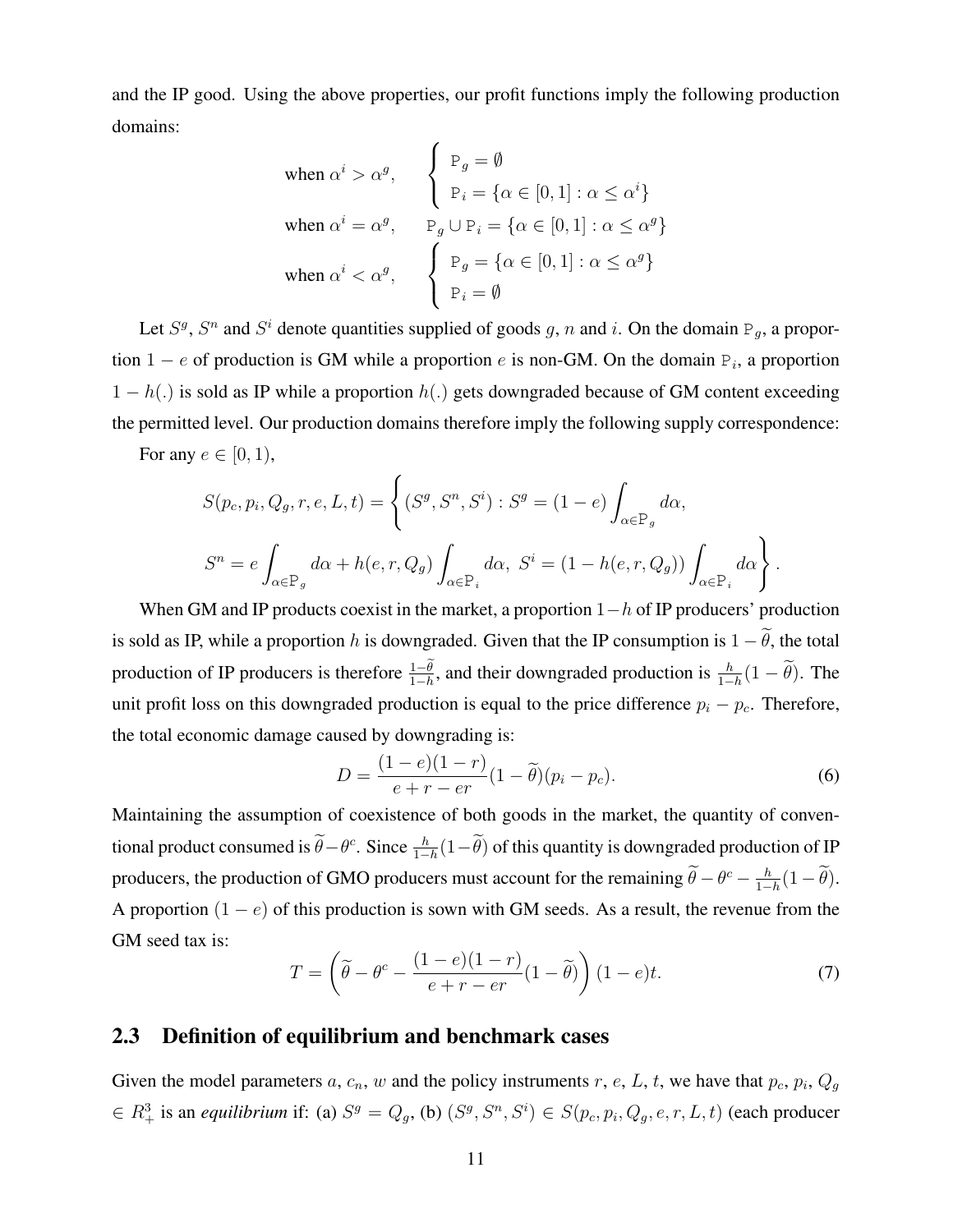and the IP good. Using the above properties, our profit functions imply the following production domains:

$$
\begin{aligned}\n\text{when } \alpha^i > \alpha^g, \\
\text{when } \alpha^i > \alpha^g, \\
\text{when } \alpha^i &= \alpha^g, \\
\text{when } \alpha^i < \alpha^g, \\
\text{when } \alpha^i < \alpha^g, \\
\begin{cases}\n\text{P}_g &= \emptyset \\
\text{P}_g \cup \text{P}_i = \{ \alpha \in [0, 1] : \alpha \le \alpha^g \} \\
\text{P}_g &= \{ \alpha \in [0, 1] : \alpha \le \alpha^g \} \\
\text{P}_i &= \emptyset\n\end{cases}\n\end{aligned}
$$

Let  $S^g$ ,  $S^n$  and  $S^i$  denote quantities supplied of goods g, n and i. On the domain  $P_g$ , a proportion 1 – e of production is GM while a proportion e is non-GM. On the domain  $P_i$ , a proportion  $1 - h(.)$  is sold as IP while a proportion  $h(.)$  gets downgraded because of GM content exceeding the permitted level. Our production domains therefore imply the following supply correspondence:

For any  $e \in [0, 1)$ ,

$$
S(p_c, p_i, Q_g, r, e, L, t) = \left\{ (S^g, S^n, S^i) : S^g = (1 - e) \int_{\alpha \in \mathcal{P}_g} d\alpha, S^n = e \int_{\alpha \in \mathcal{P}_g} d\alpha + h(e, r, Q_g) \int_{\alpha \in \mathcal{P}_i} d\alpha, S^i = (1 - h(e, r, Q_g)) \int_{\alpha \in \mathcal{P}_i} d\alpha \right\}.
$$

When GM and IP products coexist in the market, a proportion  $1-h$  of IP producers' production is sold as IP, while a proportion h is downgraded. Given that the IP consumption is  $1 - \tilde{\theta}$ , the total production of IP producers is therefore  $\frac{1-\theta}{1-h}$ , and their downgraded production is  $\frac{h}{1-h}(1-\tilde{\theta})$ . The unit profit loss on this downgraded production is equal to the price difference  $p_i - p_c$ . Therefore, the total economic damage caused by downgrading is:

$$
D = \frac{(1 - e)(1 - r)}{e + r - er}(1 - \tilde{\theta})(p_i - p_c).
$$
 (6)

Maintaining the assumption of coexistence of both goods in the market, the quantity of conventional product consumed is  $\hat{\theta} - \theta^c$ . Since  $\frac{h}{1-h}(1-\hat{\theta})$  of this quantity is downgraded production of IP producers, the production of GMO producers must account for the remaining  $\hat{\theta} - \theta^c - \frac{h}{1-\theta}$  $\frac{h}{1-h}(1-\theta).$ A proportion  $(1 - e)$  of this production is sown with GM seeds. As a result, the revenue from the GM seed tax is:

$$
T = \left(\tilde{\theta} - \theta^c - \frac{(1 - e)(1 - r)}{e + r - er}(1 - \tilde{\theta})\right)(1 - e)t.
$$
\n(7)

#### 2.3 Definition of equilibrium and benchmark cases

Given the model parameters a,  $c_n$ , w and the policy instruments r, e, L, t, we have that  $p_c$ ,  $p_i$ ,  $Q_g$  $\in R_+^3$  is an *equilibrium* if: (a)  $S^g = Q_g$ , (b)  $(S^g, S^n, S^i) \in S(p_c, p_i, Q_g, e, r, L, t)$  (each producer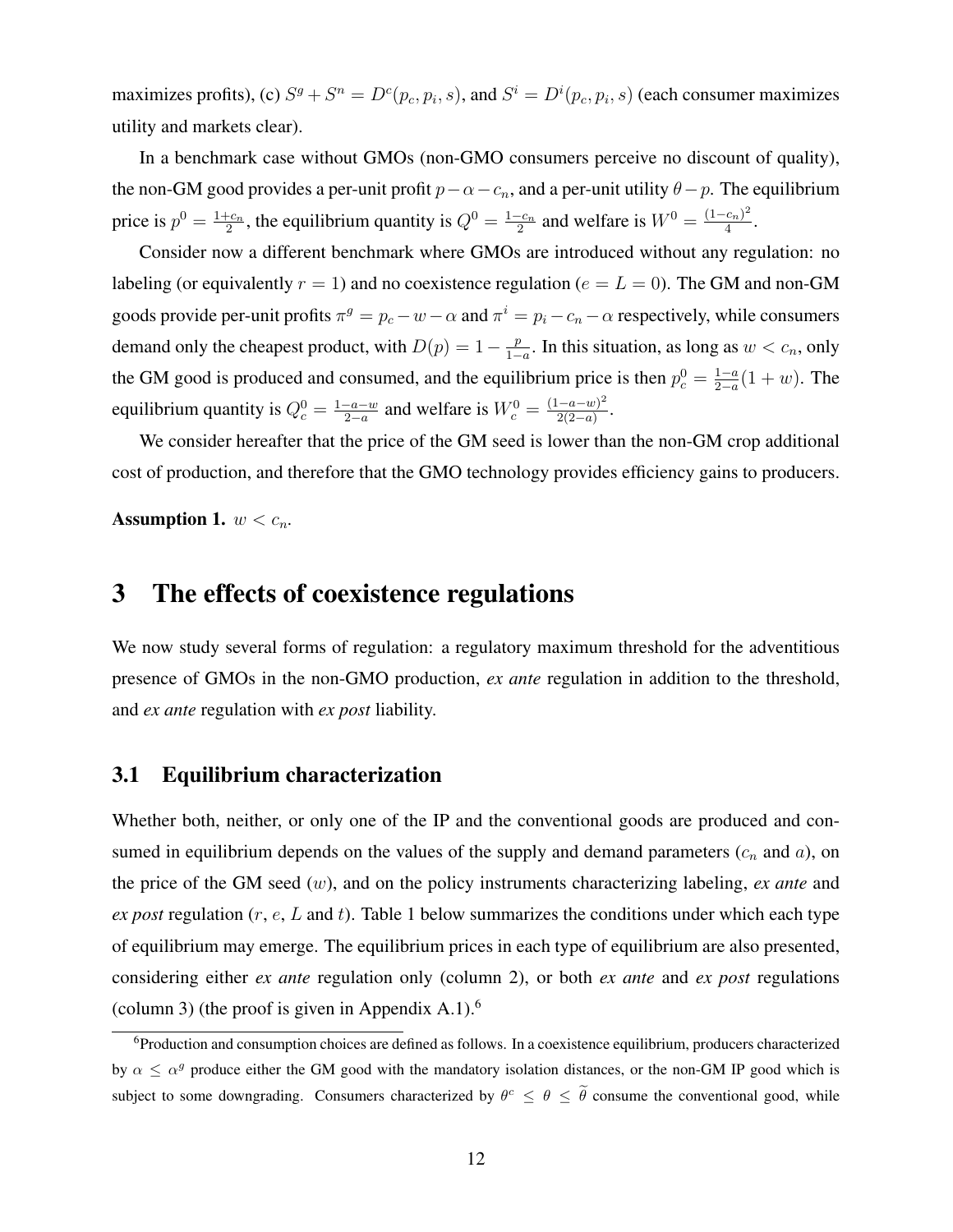maximizes profits), (c)  $S^g + S^n = D^c(p_c, p_i, s)$ , and  $S^i = D^i(p_c, p_i, s)$  (each consumer maximizes utility and markets clear).

In a benchmark case without GMOs (non-GMO consumers perceive no discount of quality), the non-GM good provides a per-unit profit  $p-\alpha-c_n$ , and a per-unit utility  $\theta-p$ . The equilibrium price is  $p^0 = \frac{1+c_n}{2}$  $\frac{1-c_n}{2}$ , the equilibrium quantity is  $Q^0 = \frac{1-c_n}{2}$  $\frac{c_{n}}{2}$  and welfare is  $W^{0} = \frac{(1 - c_{n})^{2}}{4}$  $\frac{(c_n)^2}{4}$ .

Consider now a different benchmark where GMOs are introduced without any regulation: no labeling (or equivalently  $r = 1$ ) and no coexistence regulation ( $e = L = 0$ ). The GM and non-GM goods provide per-unit profits  $\pi^g = p_c - w - \alpha$  and  $\pi^i = p_i - c_n - \alpha$  respectively, while consumers demand only the cheapest product, with  $D(p) = 1 - \frac{p}{1-p}$  $\frac{p}{1-a}$ . In this situation, as long as  $w < c_n$ , only the GM good is produced and consumed, and the equilibrium price is then  $p_c^0 = \frac{1-a}{2-a}$  $\frac{1-a}{2-a}(1+w)$ . The equilibrium quantity is  $Q_c^0 = \frac{1-a-w}{2-a}$  $\frac{a-w}{2-a}$  and welfare is  $W_c^0 = \frac{(1-a-w)^2}{2(2-a)}$  $rac{-a-w)^2}{2(2-a)}$ .

We consider hereafter that the price of the GM seed is lower than the non-GM crop additional cost of production, and therefore that the GMO technology provides efficiency gains to producers.

Assumption 1.  $w < c_n$ .

# 3 The effects of coexistence regulations

We now study several forms of regulation: a regulatory maximum threshold for the adventitious presence of GMOs in the non-GMO production, *ex ante* regulation in addition to the threshold, and *ex ante* regulation with *ex post* liability.

#### 3.1 Equilibrium characterization

Whether both, neither, or only one of the IP and the conventional goods are produced and consumed in equilibrium depends on the values of the supply and demand parameters  $(c_n$  and  $a)$ , on the price of the GM seed (w), and on the policy instruments characterizing labeling, *ex ante* and *ex post* regulation (r, e, L and t). Table 1 below summarizes the conditions under which each type of equilibrium may emerge. The equilibrium prices in each type of equilibrium are also presented, considering either *ex ante* regulation only (column 2), or both *ex ante* and *ex post* regulations (column 3) (the proof is given in Appendix A.1). $<sup>6</sup>$ </sup>

<sup>&</sup>lt;sup>6</sup>Production and consumption choices are defined as follows. In a coexistence equilibrium, producers characterized by  $\alpha \leq \alpha^g$  produce either the GM good with the mandatory isolation distances, or the non-GM IP good which is subject to some downgrading. Consumers characterized by  $\theta^c \le \theta \le \theta$  consume the conventional good, while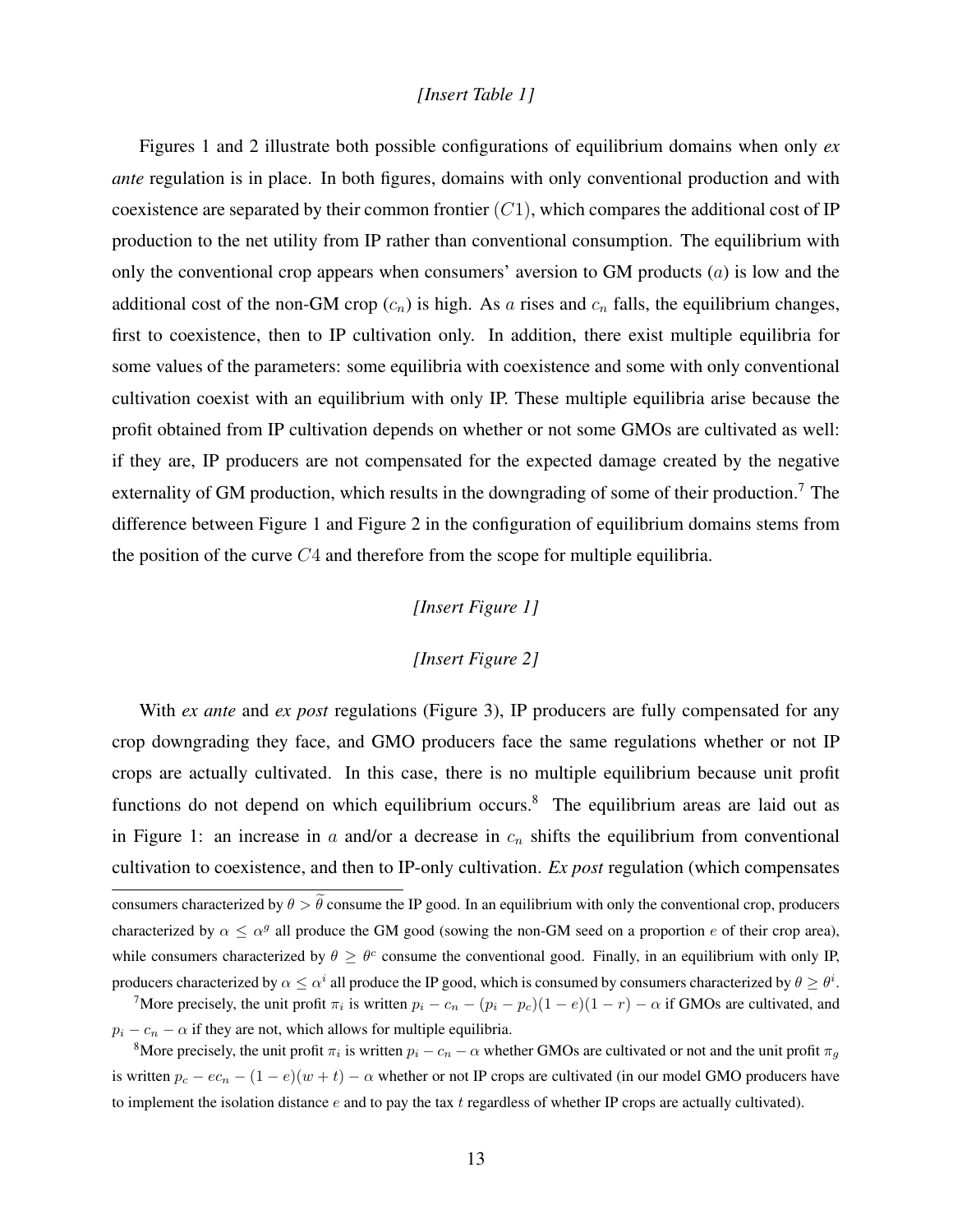#### *[Insert Table 1]*

Figures 1 and 2 illustrate both possible configurations of equilibrium domains when only *ex ante* regulation is in place. In both figures, domains with only conventional production and with coexistence are separated by their common frontier  $(C1)$ , which compares the additional cost of IP production to the net utility from IP rather than conventional consumption. The equilibrium with only the conventional crop appears when consumers' aversion to GM products  $(a)$  is low and the additional cost of the non-GM crop  $(c_n)$  is high. As a rises and  $c_n$  falls, the equilibrium changes, first to coexistence, then to IP cultivation only. In addition, there exist multiple equilibria for some values of the parameters: some equilibria with coexistence and some with only conventional cultivation coexist with an equilibrium with only IP. These multiple equilibria arise because the profit obtained from IP cultivation depends on whether or not some GMOs are cultivated as well: if they are, IP producers are not compensated for the expected damage created by the negative externality of GM production, which results in the downgrading of some of their production.<sup>7</sup> The difference between Figure 1 and Figure 2 in the configuration of equilibrium domains stems from the position of the curve  $C_4$  and therefore from the scope for multiple equilibria.

#### *[Insert Figure 1]*

#### *[Insert Figure 2]*

With *ex ante* and *ex post* regulations (Figure 3), IP producers are fully compensated for any crop downgrading they face, and GMO producers face the same regulations whether or not IP crops are actually cultivated. In this case, there is no multiple equilibrium because unit profit functions do not depend on which equilibrium occurs.<sup>8</sup> The equilibrium areas are laid out as in Figure 1: an increase in a and/or a decrease in  $c_n$  shifts the equilibrium from conventional cultivation to coexistence, and then to IP-only cultivation. *Ex post* regulation (which compensates consumers characterized by  $\theta > \tilde{\theta}$  consume the IP good. In an equilibrium with only the conventional crop, producers characterized by  $\alpha \leq \alpha^g$  all produce the GM good (sowing the non-GM seed on a proportion e of their crop area), while consumers characterized by  $\theta \geq \theta^c$  consume the conventional good. Finally, in an equilibrium with only IP, producers characterized by  $\alpha \leq \alpha^i$  all produce the IP good, which is consumed by consumers characterized by  $\theta \geq \theta^i$ .

<sup>7</sup>More precisely, the unit profit  $\pi_i$  is written  $p_i - c_n - (p_i - p_c)(1 - e)(1 - r) - \alpha$  if GMOs are cultivated, and  $p_i - c_n - \alpha$  if they are not, which allows for multiple equilibria.

<sup>8</sup>More precisely, the unit profit  $\pi_i$  is written  $p_i - c_n - \alpha$  whether GMOs are cultivated or not and the unit profit  $\pi_g$ is written  $p_c - ec_n - (1 - e)(w + t) - \alpha$  whether or not IP crops are cultivated (in our model GMO producers have to implement the isolation distance  $e$  and to pay the tax  $t$  regardless of whether IP crops are actually cultivated).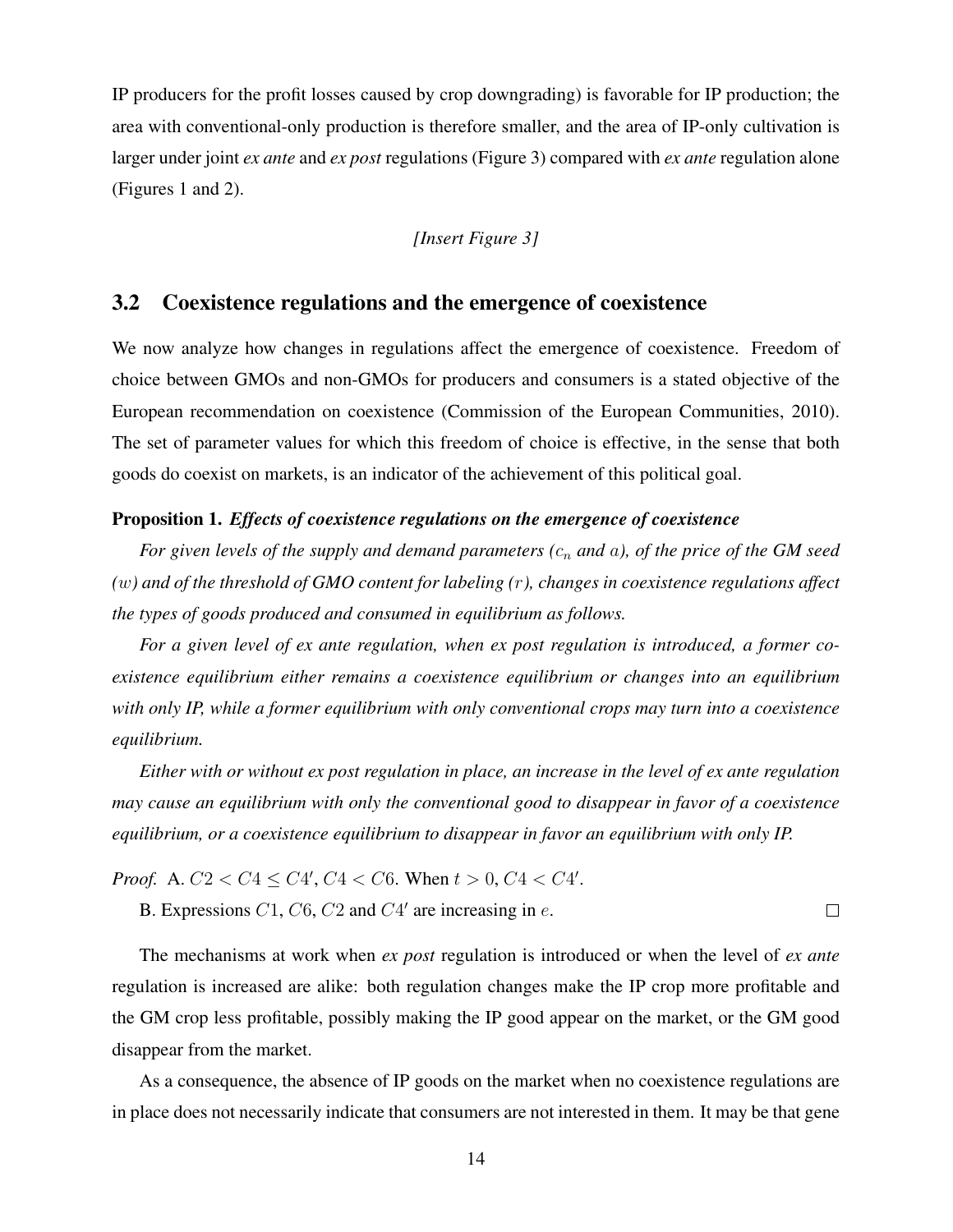IP producers for the profit losses caused by crop downgrading) is favorable for IP production; the area with conventional-only production is therefore smaller, and the area of IP-only cultivation is larger under joint *ex ante* and *ex post* regulations (Figure 3) compared with *ex ante* regulation alone (Figures 1 and 2).

#### *[Insert Figure 3]*

#### 3.2 Coexistence regulations and the emergence of coexistence

We now analyze how changes in regulations affect the emergence of coexistence. Freedom of choice between GMOs and non-GMOs for producers and consumers is a stated objective of the European recommendation on coexistence (Commission of the European Communities, 2010). The set of parameter values for which this freedom of choice is effective, in the sense that both goods do coexist on markets, is an indicator of the achievement of this political goal.

#### Proposition 1. *Effects of coexistence regulations on the emergence of coexistence*

*For given levels of the supply and demand parameters (c<sub>n</sub> and a), of the price of the GM seed (*w*) and of the threshold of GMO content for labeling (*r*), changes in coexistence regulations affect the types of goods produced and consumed in equilibrium as follows.*

*For a given level of ex ante regulation, when ex post regulation is introduced, a former coexistence equilibrium either remains a coexistence equilibrium or changes into an equilibrium with only IP, while a former equilibrium with only conventional crops may turn into a coexistence equilibrium.*

*Either with or without ex post regulation in place, an increase in the level of ex ante regulation may cause an equilibrium with only the conventional good to disappear in favor of a coexistence equilibrium, or a coexistence equilibrium to disappear in favor an equilibrium with only IP.*

*Proof.* A.  $C2 < C4 \le C4'$ ,  $C4 < C6$ . When  $t > 0$ ,  $C4 < C4'$ .

B. Expressions  $C1$ ,  $C6$ ,  $C2$  and  $C4'$  are increasing in  $e$ .

The mechanisms at work when *ex post* regulation is introduced or when the level of *ex ante* regulation is increased are alike: both regulation changes make the IP crop more profitable and the GM crop less profitable, possibly making the IP good appear on the market, or the GM good disappear from the market.

 $\Box$ 

As a consequence, the absence of IP goods on the market when no coexistence regulations are in place does not necessarily indicate that consumers are not interested in them. It may be that gene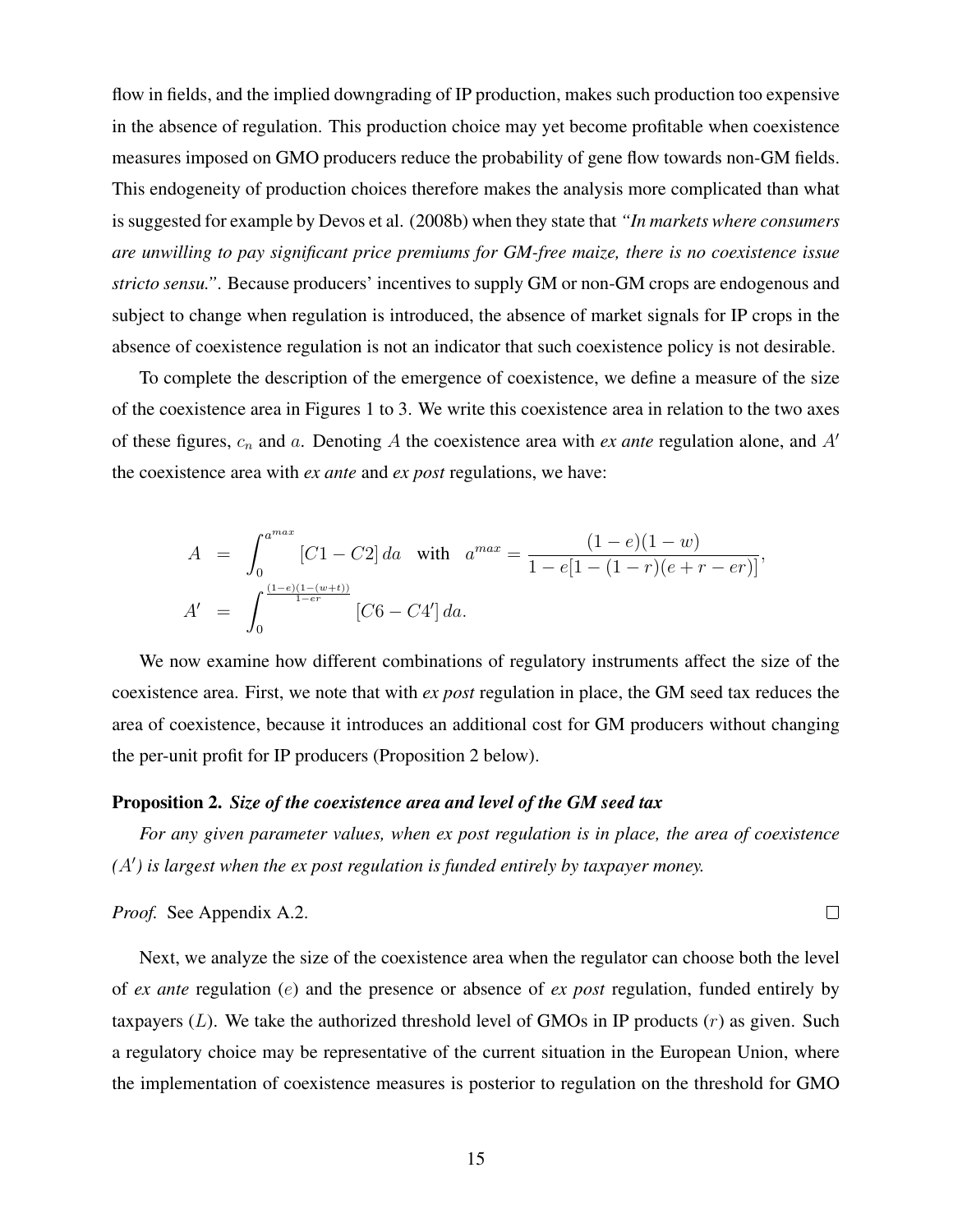flow in fields, and the implied downgrading of IP production, makes such production too expensive in the absence of regulation. This production choice may yet become profitable when coexistence measures imposed on GMO producers reduce the probability of gene flow towards non-GM fields. This endogeneity of production choices therefore makes the analysis more complicated than what is suggested for example by Devos et al. (2008b) when they state that *"In markets where consumers are unwilling to pay significant price premiums for GM-free maize, there is no coexistence issue stricto sensu."*. Because producers' incentives to supply GM or non-GM crops are endogenous and subject to change when regulation is introduced, the absence of market signals for IP crops in the absence of coexistence regulation is not an indicator that such coexistence policy is not desirable.

To complete the description of the emergence of coexistence, we define a measure of the size of the coexistence area in Figures 1 to 3. We write this coexistence area in relation to the two axes of these figures,  $c_n$  and  $a$ . Denoting  $A$  the coexistence area with  $ex$  ante regulation alone, and  $A'$ the coexistence area with *ex ante* and *ex post* regulations, we have:

$$
A = \int_0^{a^{max}} [C1 - C2] da \text{ with } a^{max} = \frac{(1 - e)(1 - w)}{1 - e[1 - (1 - r)(e + r - er)]},
$$
  

$$
A' = \int_0^{\frac{(1 - e)(1 - (w + t))}{1 - er}} [C6 - C4'] da.
$$

We now examine how different combinations of regulatory instruments affect the size of the coexistence area. First, we note that with *ex post* regulation in place, the GM seed tax reduces the area of coexistence, because it introduces an additional cost for GM producers without changing the per-unit profit for IP producers (Proposition 2 below).

#### Proposition 2. *Size of the coexistence area and level of the GM seed tax*

*For any given parameter values, when ex post regulation is in place, the area of coexistence*  $(A')$  is largest when the ex post regulation is funded entirely by taxpayer money.

 $\Box$ 

*Proof.* See Appendix A.2.

Next, we analyze the size of the coexistence area when the regulator can choose both the level of *ex ante* regulation (e) and the presence or absence of *ex post* regulation, funded entirely by taxpayers  $(L)$ . We take the authorized threshold level of GMOs in IP products  $(r)$  as given. Such a regulatory choice may be representative of the current situation in the European Union, where the implementation of coexistence measures is posterior to regulation on the threshold for GMO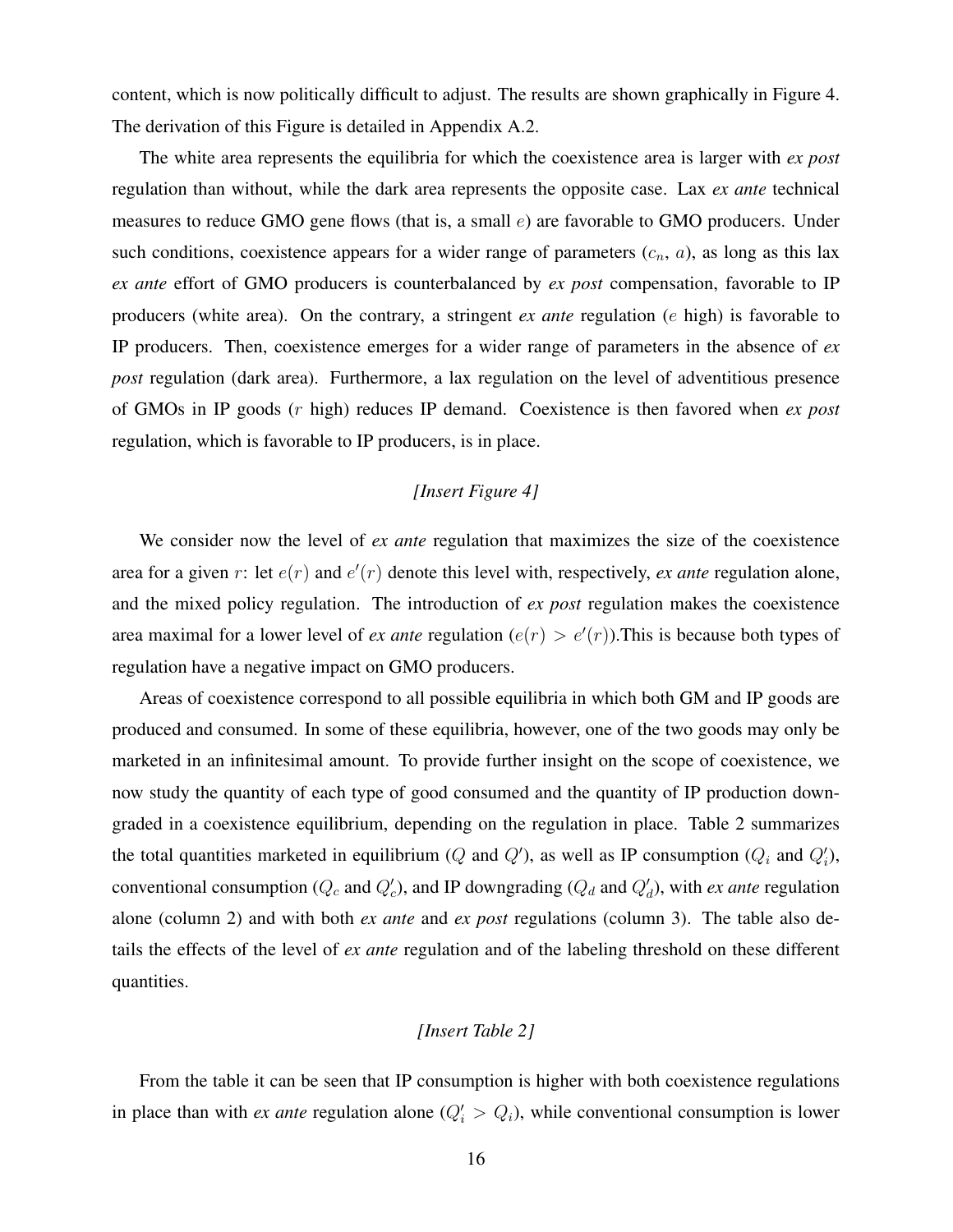content, which is now politically difficult to adjust. The results are shown graphically in Figure 4. The derivation of this Figure is detailed in Appendix A.2.

The white area represents the equilibria for which the coexistence area is larger with *ex post* regulation than without, while the dark area represents the opposite case. Lax *ex ante* technical measures to reduce GMO gene flows (that is, a small  $e$ ) are favorable to GMO producers. Under such conditions, coexistence appears for a wider range of parameters  $(c_n, a)$ , as long as this lax *ex ante* effort of GMO producers is counterbalanced by *ex post* compensation, favorable to IP producers (white area). On the contrary, a stringent *ex ante* regulation (e high) is favorable to IP producers. Then, coexistence emerges for a wider range of parameters in the absence of *ex post* regulation (dark area). Furthermore, a lax regulation on the level of adventitious presence of GMOs in IP goods (r high) reduces IP demand. Coexistence is then favored when *ex post* regulation, which is favorable to IP producers, is in place.

#### *[Insert Figure 4]*

We consider now the level of *ex ante* regulation that maximizes the size of the coexistence area for a given  $r$ : let  $e(r)$  and  $e'(r)$  denote this level with, respectively, *ex ante* regulation alone, and the mixed policy regulation. The introduction of *ex post* regulation makes the coexistence area maximal for a lower level of *ex ante* regulation  $(e(r) > e'(r))$ . This is because both types of regulation have a negative impact on GMO producers.

Areas of coexistence correspond to all possible equilibria in which both GM and IP goods are produced and consumed. In some of these equilibria, however, one of the two goods may only be marketed in an infinitesimal amount. To provide further insight on the scope of coexistence, we now study the quantity of each type of good consumed and the quantity of IP production downgraded in a coexistence equilibrium, depending on the regulation in place. Table 2 summarizes the total quantities marketed in equilibrium (Q and Q'), as well as IP consumption ( $Q_i$  and  $Q'_i$ ), conventional consumption ( $Q_c$  and  $Q'_c$ ), and IP downgrading ( $Q_d$  and  $Q'_d$ ), with *ex ante* regulation alone (column 2) and with both *ex ante* and *ex post* regulations (column 3). The table also details the effects of the level of *ex ante* regulation and of the labeling threshold on these different quantities.

#### *[Insert Table 2]*

From the table it can be seen that IP consumption is higher with both coexistence regulations in place than with *ex ante* regulation alone  $(Q'_i > Q_i)$ , while conventional consumption is lower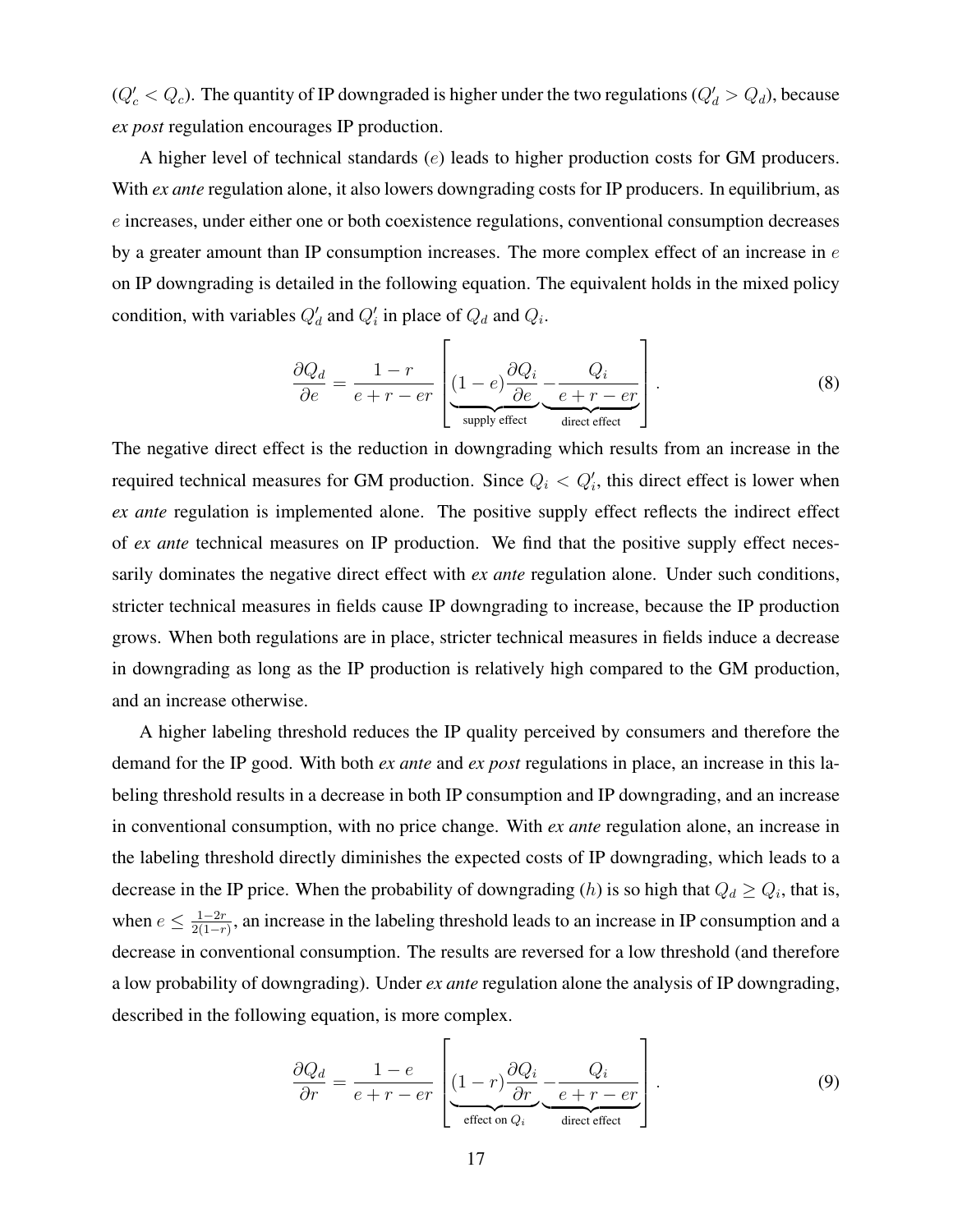$(Q'_c < Q_c)$ . The quantity of IP downgraded is higher under the two regulations  $(Q'_d > Q_d)$ , because *ex post* regulation encourages IP production.

A higher level of technical standards (e) leads to higher production costs for GM producers. With *ex ante* regulation alone, it also lowers downgrading costs for IP producers. In equilibrium, as e increases, under either one or both coexistence regulations, conventional consumption decreases by a greater amount than IP consumption increases. The more complex effect of an increase in  $e$ on IP downgrading is detailed in the following equation. The equivalent holds in the mixed policy condition, with variables  $Q'_d$  and  $Q'_i$  in place of  $Q_d$  and  $Q_i$ .

$$
\frac{\partial Q_d}{\partial e} = \frac{1-r}{e+r-er} \left[ \underbrace{(1-e)\frac{\partial Q_i}{\partial e}}_{\text{supply effect}} - \underbrace{Q_i}{\underbrace{e+r-er}} \right]. \tag{8}
$$

The negative direct effect is the reduction in downgrading which results from an increase in the required technical measures for GM production. Since  $Q_i < Q'_i$ , this direct effect is lower when *ex ante* regulation is implemented alone. The positive supply effect reflects the indirect effect of *ex ante* technical measures on IP production. We find that the positive supply effect necessarily dominates the negative direct effect with *ex ante* regulation alone. Under such conditions, stricter technical measures in fields cause IP downgrading to increase, because the IP production grows. When both regulations are in place, stricter technical measures in fields induce a decrease in downgrading as long as the IP production is relatively high compared to the GM production, and an increase otherwise.

A higher labeling threshold reduces the IP quality perceived by consumers and therefore the demand for the IP good. With both *ex ante* and *ex post* regulations in place, an increase in this labeling threshold results in a decrease in both IP consumption and IP downgrading, and an increase in conventional consumption, with no price change. With *ex ante* regulation alone, an increase in the labeling threshold directly diminishes the expected costs of IP downgrading, which leads to a decrease in the IP price. When the probability of downgrading (h) is so high that  $Q_d \geq Q_i$ , that is, when  $e \leq \frac{1-2r}{2(1-r)}$  $\frac{1-2r}{2(1-r)}$ , an increase in the labeling threshold leads to an increase in IP consumption and a decrease in conventional consumption. The results are reversed for a low threshold (and therefore a low probability of downgrading). Under *ex ante* regulation alone the analysis of IP downgrading, described in the following equation, is more complex.

$$
\frac{\partial Q_d}{\partial r} = \frac{1 - e}{e + r - er} \left[ \underbrace{(1 - r) \frac{\partial Q_i}{\partial r}}_{\text{effect on } Q_i} \underbrace{- \frac{Q_i}{e + r - er}}_{\text{direct effect}} \right]. \tag{9}
$$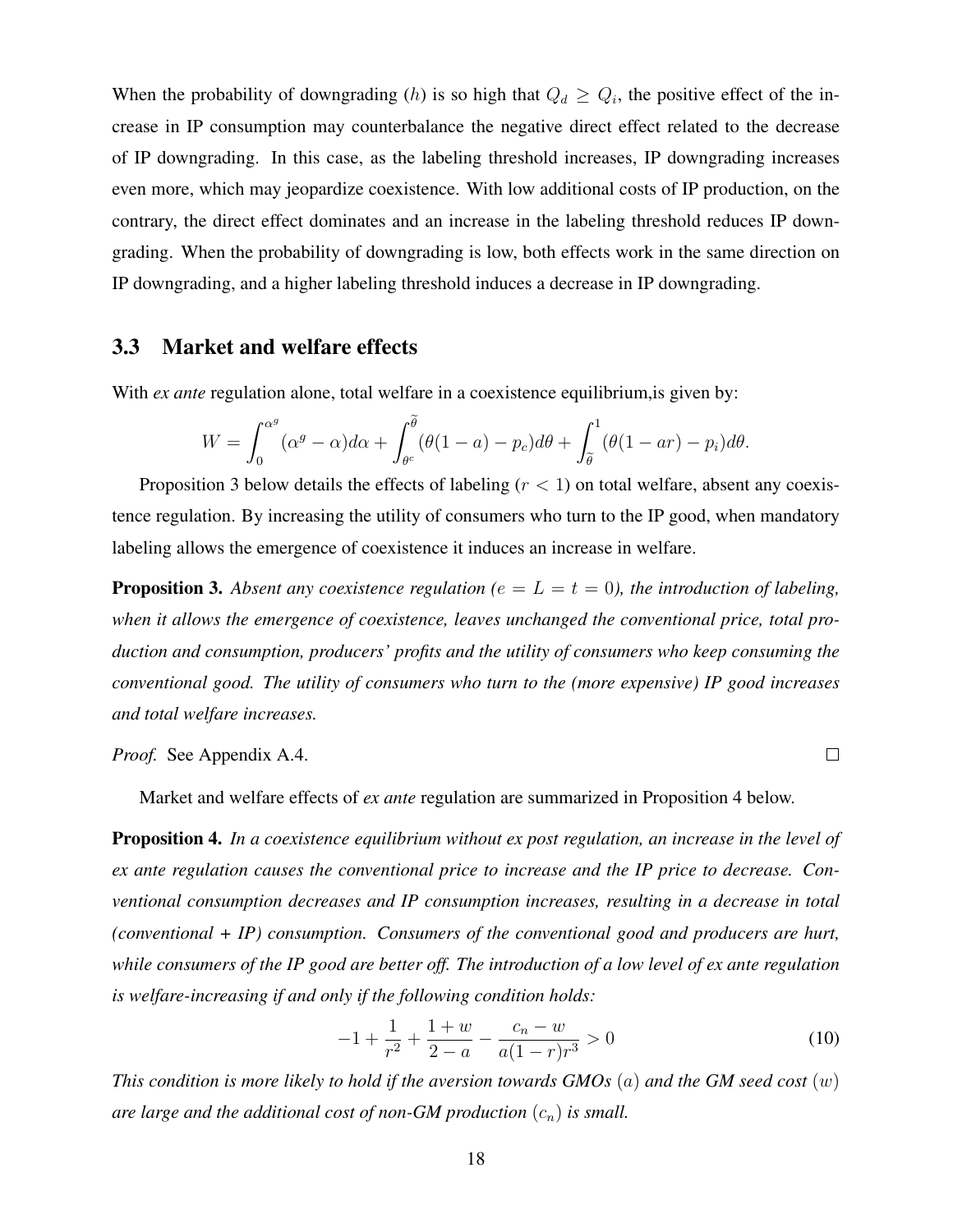When the probability of downgrading (h) is so high that  $Q_d \geq Q_i$ , the positive effect of the increase in IP consumption may counterbalance the negative direct effect related to the decrease of IP downgrading. In this case, as the labeling threshold increases, IP downgrading increases even more, which may jeopardize coexistence. With low additional costs of IP production, on the contrary, the direct effect dominates and an increase in the labeling threshold reduces IP downgrading. When the probability of downgrading is low, both effects work in the same direction on IP downgrading, and a higher labeling threshold induces a decrease in IP downgrading.

#### 3.3 Market and welfare effects

With *ex ante* regulation alone, total welfare in a coexistence equilibrium, is given by:

$$
W = \int_0^{\alpha^g} (\alpha^g - \alpha) d\alpha + \int_{\theta^c}^{\tilde{\theta}} (\theta(1 - a) - p_c) d\theta + \int_{\tilde{\theta}}^1 (\theta(1 - ar) - p_i) d\theta.
$$

Proposition 3 below details the effects of labeling ( $r < 1$ ) on total welfare, absent any coexistence regulation. By increasing the utility of consumers who turn to the IP good, when mandatory labeling allows the emergence of coexistence it induces an increase in welfare.

**Proposition 3.** Absent any coexistence regulation ( $e = L = t = 0$ ), the introduction of labeling, *when it allows the emergence of coexistence, leaves unchanged the conventional price, total production and consumption, producers' profits and the utility of consumers who keep consuming the conventional good. The utility of consumers who turn to the (more expensive) IP good increases and total welfare increases.*

*Proof.* See Appendix A.4.

Market and welfare effects of *ex ante* regulation are summarized in Proposition 4 below.

Proposition 4. *In a coexistence equilibrium without ex post regulation, an increase in the level of ex ante regulation causes the conventional price to increase and the IP price to decrease. Conventional consumption decreases and IP consumption increases, resulting in a decrease in total (conventional + IP) consumption. Consumers of the conventional good and producers are hurt, while consumers of the IP good are better off. The introduction of a low level of ex ante regulation is welfare-increasing if and only if the following condition holds:*

$$
-1 + \frac{1}{r^2} + \frac{1+w}{2-a} - \frac{c_n - w}{a(1-r)r^3} > 0
$$
\n(10)

 $\Box$ 

*This condition is more likely to hold if the aversion towards GMOs* (a) *and the GM seed cost* (w) are large and the additional cost of non-GM production  $(c_n)$  is small.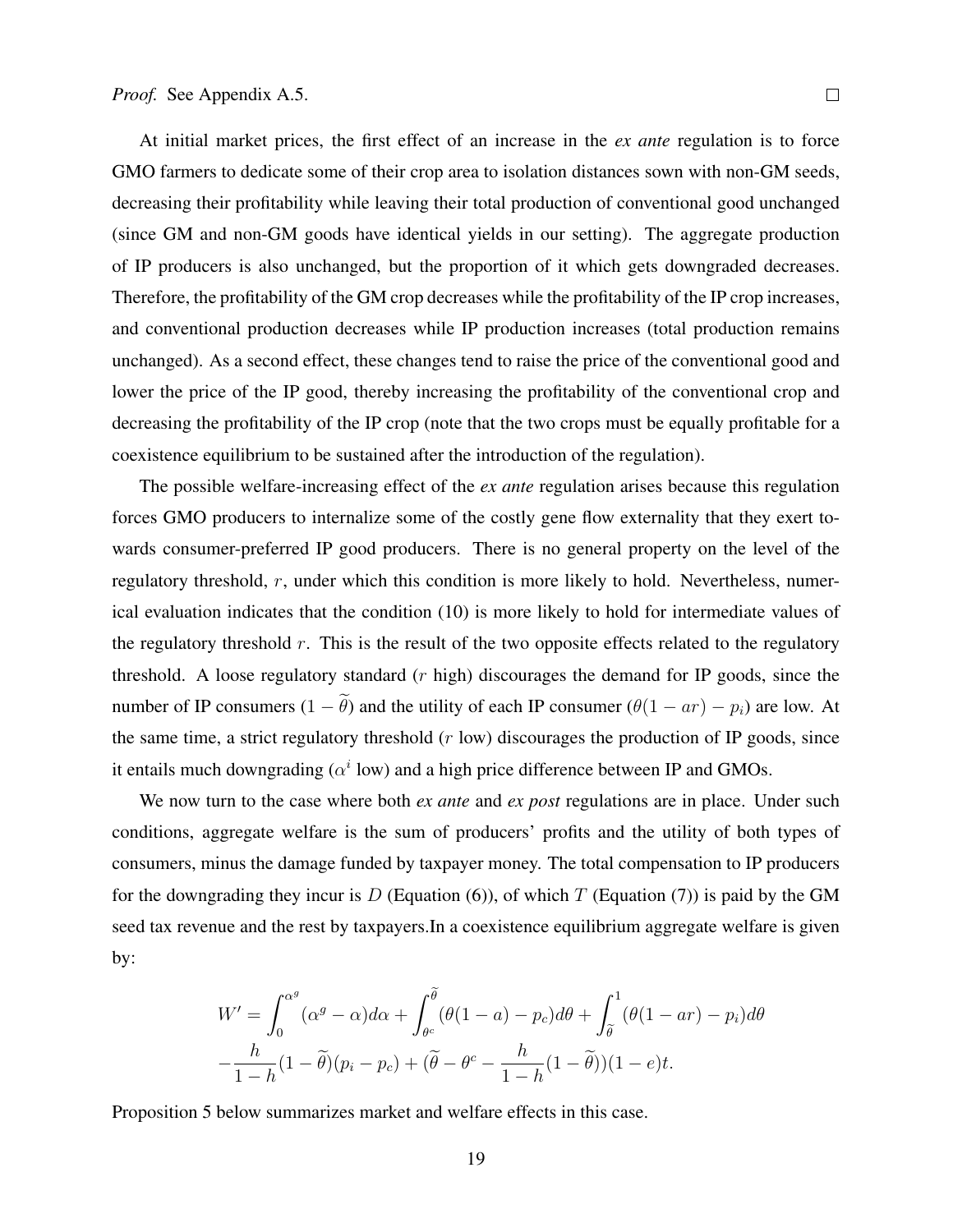At initial market prices, the first effect of an increase in the *ex ante* regulation is to force GMO farmers to dedicate some of their crop area to isolation distances sown with non-GM seeds, decreasing their profitability while leaving their total production of conventional good unchanged (since GM and non-GM goods have identical yields in our setting). The aggregate production of IP producers is also unchanged, but the proportion of it which gets downgraded decreases. Therefore, the profitability of the GM crop decreases while the profitability of the IP crop increases, and conventional production decreases while IP production increases (total production remains unchanged). As a second effect, these changes tend to raise the price of the conventional good and lower the price of the IP good, thereby increasing the profitability of the conventional crop and decreasing the profitability of the IP crop (note that the two crops must be equally profitable for a coexistence equilibrium to be sustained after the introduction of the regulation).

The possible welfare-increasing effect of the *ex ante* regulation arises because this regulation forces GMO producers to internalize some of the costly gene flow externality that they exert towards consumer-preferred IP good producers. There is no general property on the level of the regulatory threshold, r, under which this condition is more likely to hold. Nevertheless, numerical evaluation indicates that the condition (10) is more likely to hold for intermediate values of the regulatory threshold  $r$ . This is the result of the two opposite effects related to the regulatory threshold. A loose regulatory standard  $(r \text{ high})$  discourages the demand for IP goods, since the number of IP consumers  $(1 - \tilde{\theta})$  and the utility of each IP consumer  $(\theta(1 - ar) - p_i)$  are low. At the same time, a strict regulatory threshold  $(r \text{ low})$  discourages the production of IP goods, since it entails much downgrading ( $\alpha^i$  low) and a high price difference between IP and GMOs.

We now turn to the case where both *ex ante* and *ex post* regulations are in place. Under such conditions, aggregate welfare is the sum of producers' profits and the utility of both types of consumers, minus the damage funded by taxpayer money. The total compensation to IP producers for the downgrading they incur is D (Equation (6)), of which T (Equation (7)) is paid by the GM seed tax revenue and the rest by taxpayers.In a coexistence equilibrium aggregate welfare is given by:

$$
W' = \int_0^{\alpha^g} (\alpha^g - \alpha) d\alpha + \int_{\theta^c}^{\tilde{\theta}} (\theta(1 - a) - p_c) d\theta + \int_{\tilde{\theta}}^1 (\theta(1 - ar) - p_i) d\theta
$$

$$
-\frac{h}{1 - h} (1 - \tilde{\theta})(p_i - p_c) + (\tilde{\theta} - \theta^c - \frac{h}{1 - h} (1 - \tilde{\theta}))(1 - e)t.
$$

Proposition 5 below summarizes market and welfare effects in this case.

19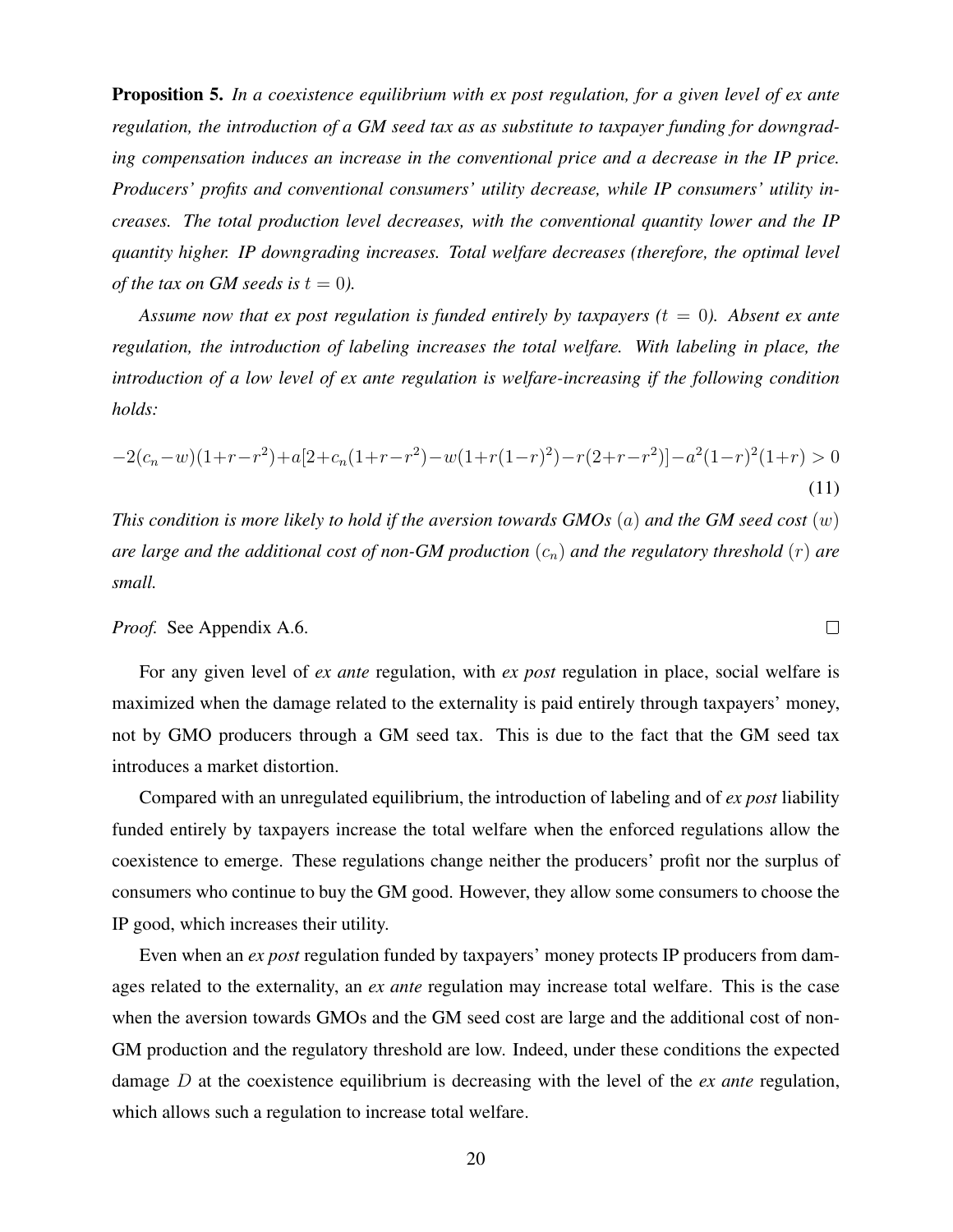Proposition 5. *In a coexistence equilibrium with ex post regulation, for a given level of ex ante regulation, the introduction of a GM seed tax as as substitute to taxpayer funding for downgrading compensation induces an increase in the conventional price and a decrease in the IP price. Producers' profits and conventional consumers' utility decrease, while IP consumers' utility increases. The total production level decreases, with the conventional quantity lower and the IP quantity higher. IP downgrading increases. Total welfare decreases (therefore, the optimal level of the tax on GM seeds is*  $t = 0$ *).* 

*Assume now that ex post regulation is funded entirely by taxpayers*  $(t = 0)$ *. Absent ex ante regulation, the introduction of labeling increases the total welfare. With labeling in place, the introduction of a low level of ex ante regulation is welfare-increasing if the following condition holds:*

$$
-2(c_n-w)(1+r-r^2)+a[2+c_n(1+r-r^2)-w(1+r(1-r)^2)-r(2+r-r^2)]-a^2(1-r)^2(1+r)>0
$$
\n(11)

*This condition is more likely to hold if the aversion towards GMOs* (a) *and the GM seed cost* (w) *are large and the additional cost of non-GM production*  $(c_n)$  *and the regulatory threshold*  $(r)$  *are small.*

 $\Box$ 

#### *Proof.* See Appendix A.6.

For any given level of *ex ante* regulation, with *ex post* regulation in place, social welfare is maximized when the damage related to the externality is paid entirely through taxpayers' money, not by GMO producers through a GM seed tax. This is due to the fact that the GM seed tax introduces a market distortion.

Compared with an unregulated equilibrium, the introduction of labeling and of *ex post* liability funded entirely by taxpayers increase the total welfare when the enforced regulations allow the coexistence to emerge. These regulations change neither the producers' profit nor the surplus of consumers who continue to buy the GM good. However, they allow some consumers to choose the IP good, which increases their utility.

Even when an *ex post* regulation funded by taxpayers' money protects IP producers from damages related to the externality, an *ex ante* regulation may increase total welfare. This is the case when the aversion towards GMOs and the GM seed cost are large and the additional cost of non-GM production and the regulatory threshold are low. Indeed, under these conditions the expected damage D at the coexistence equilibrium is decreasing with the level of the *ex ante* regulation, which allows such a regulation to increase total welfare.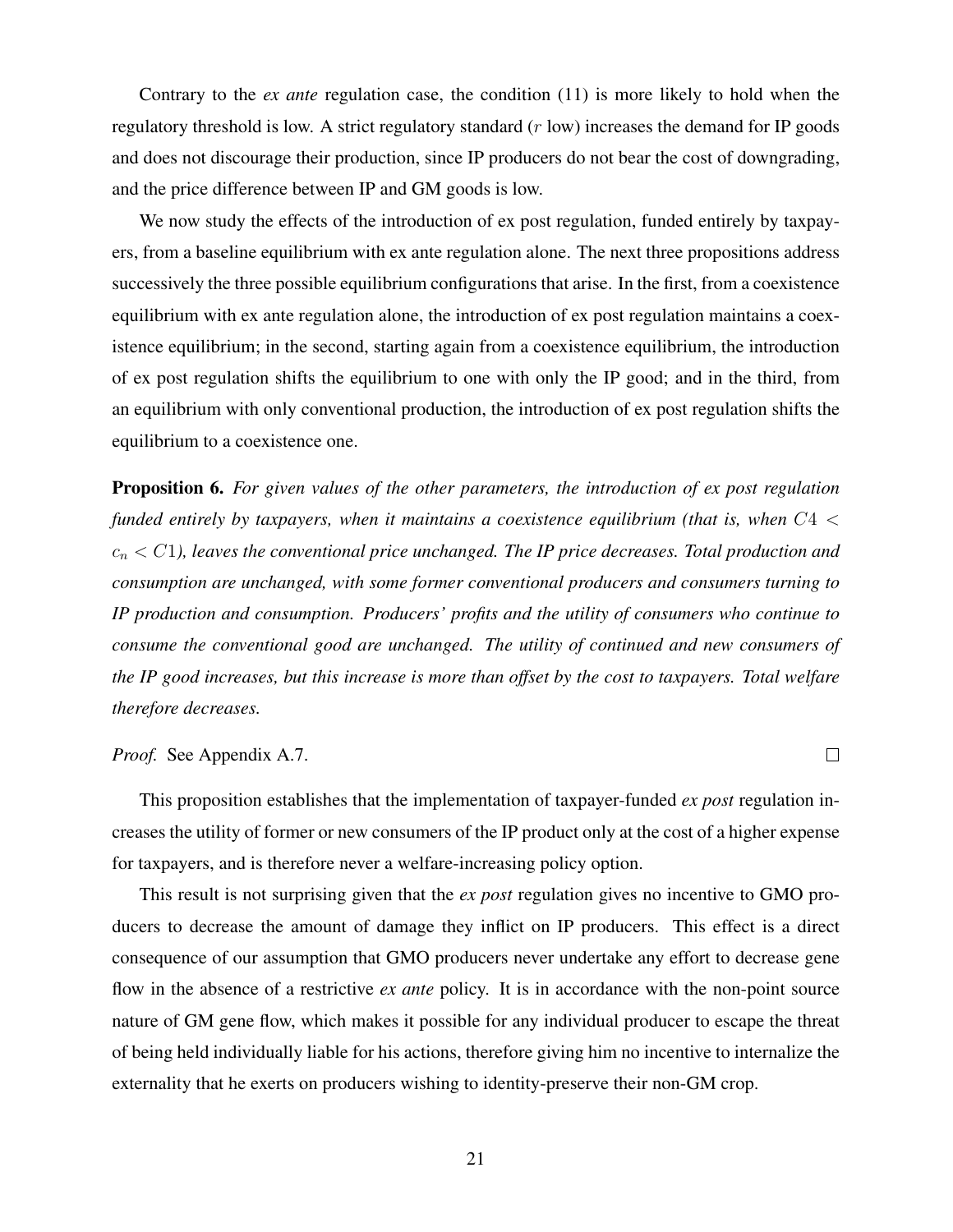Contrary to the *ex ante* regulation case, the condition (11) is more likely to hold when the regulatory threshold is low. A strict regulatory standard  $(r \text{ low})$  increases the demand for IP goods and does not discourage their production, since IP producers do not bear the cost of downgrading, and the price difference between IP and GM goods is low.

We now study the effects of the introduction of ex post regulation, funded entirely by taxpayers, from a baseline equilibrium with ex ante regulation alone. The next three propositions address successively the three possible equilibrium configurations that arise. In the first, from a coexistence equilibrium with ex ante regulation alone, the introduction of ex post regulation maintains a coexistence equilibrium; in the second, starting again from a coexistence equilibrium, the introduction of ex post regulation shifts the equilibrium to one with only the IP good; and in the third, from an equilibrium with only conventional production, the introduction of ex post regulation shifts the equilibrium to a coexistence one.

Proposition 6. *For given values of the other parameters, the introduction of ex post regulation funded entirely by taxpayers, when it maintains a coexistence equilibrium (that is, when* C4 <  $c_n < C_1$ ), leaves the conventional price unchanged. The IP price decreases. Total production and *consumption are unchanged, with some former conventional producers and consumers turning to IP production and consumption. Producers' profits and the utility of consumers who continue to consume the conventional good are unchanged. The utility of continued and new consumers of the IP good increases, but this increase is more than offset by the cost to taxpayers. Total welfare therefore decreases.*

*Proof.* See Appendix A.7.

This proposition establishes that the implementation of taxpayer-funded *ex post* regulation increases the utility of former or new consumers of the IP product only at the cost of a higher expense for taxpayers, and is therefore never a welfare-increasing policy option.

 $\Box$ 

This result is not surprising given that the *ex post* regulation gives no incentive to GMO producers to decrease the amount of damage they inflict on IP producers. This effect is a direct consequence of our assumption that GMO producers never undertake any effort to decrease gene flow in the absence of a restrictive *ex ante* policy. It is in accordance with the non-point source nature of GM gene flow, which makes it possible for any individual producer to escape the threat of being held individually liable for his actions, therefore giving him no incentive to internalize the externality that he exerts on producers wishing to identity-preserve their non-GM crop.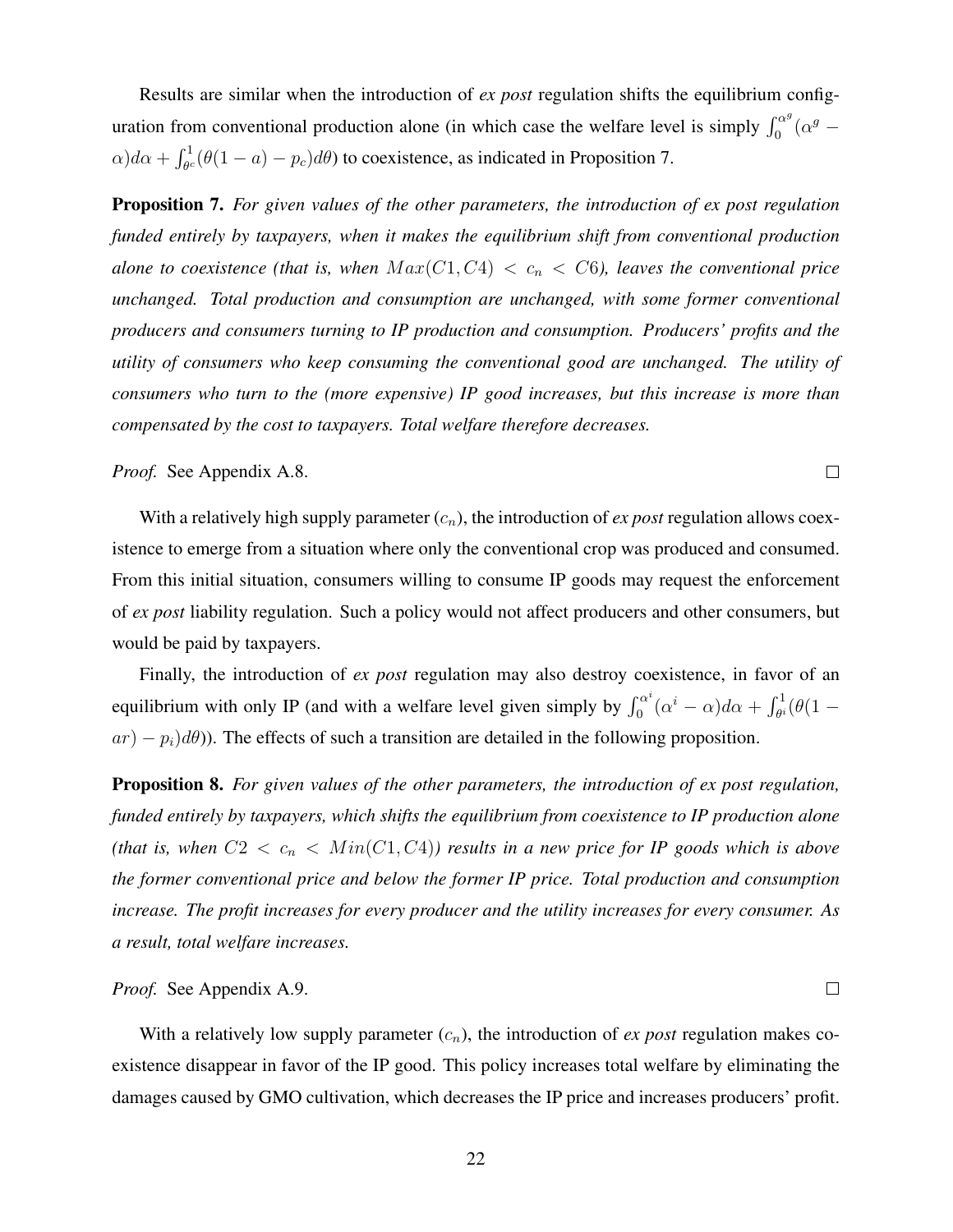Results are similar when the introduction of *ex post* regulation shifts the equilibrium configuration from conventional production alone (in which case the welfare level is simply  $\int_0^{\alpha}$  $\int_0^{\alpha^g} (\alpha^g \alpha$ ) $d\alpha + \int_{\theta^c}^1 (\theta(1-a) - p_c) d\theta$ ) to coexistence, as indicated in Proposition 7.

Proposition 7. *For given values of the other parameters, the introduction of ex post regulation funded entirely by taxpayers, when it makes the equilibrium shift from conventional production alone to coexistence (that is, when*  $Max(C1, C4) < c_n < C6$ ), leaves the conventional price *unchanged. Total production and consumption are unchanged, with some former conventional producers and consumers turning to IP production and consumption. Producers' profits and the utility of consumers who keep consuming the conventional good are unchanged. The utility of consumers who turn to the (more expensive) IP good increases, but this increase is more than compensated by the cost to taxpayers. Total welfare therefore decreases.*

*Proof.* See Appendix A.8.

With a relatively high supply parameter  $(c_n)$ , the introduction of *ex post* regulation allows coexistence to emerge from a situation where only the conventional crop was produced and consumed. From this initial situation, consumers willing to consume IP goods may request the enforcement of *ex post* liability regulation. Such a policy would not affect producers and other consumers, but would be paid by taxpayers.

Finally, the introduction of *ex post* regulation may also destroy coexistence, in favor of an equilibrium with only IP (and with a welfare level given simply by  $\int_0^{\alpha^i}$  $\int_0^{\alpha} \alpha^i (\alpha^i - \alpha) d\alpha + \int_{\theta^i}^1 (\theta (1$  $ar(-p_i)d\theta$ ). The effects of such a transition are detailed in the following proposition.

Proposition 8. *For given values of the other parameters, the introduction of ex post regulation, funded entirely by taxpayers, which shifts the equilibrium from coexistence to IP production alone (that is, when*  $C2 < c_n < Min(C1, C4)$ *) results in a new price for IP goods which is above the former conventional price and below the former IP price. Total production and consumption increase. The profit increases for every producer and the utility increases for every consumer. As a result, total welfare increases.*

#### *Proof.* See Appendix A.9.

With a relatively low supply parameter  $(c_n)$ , the introduction of *ex post* regulation makes coexistence disappear in favor of the IP good. This policy increases total welfare by eliminating the damages caused by GMO cultivation, which decreases the IP price and increases producers' profit.

 $\Box$ 

 $\Box$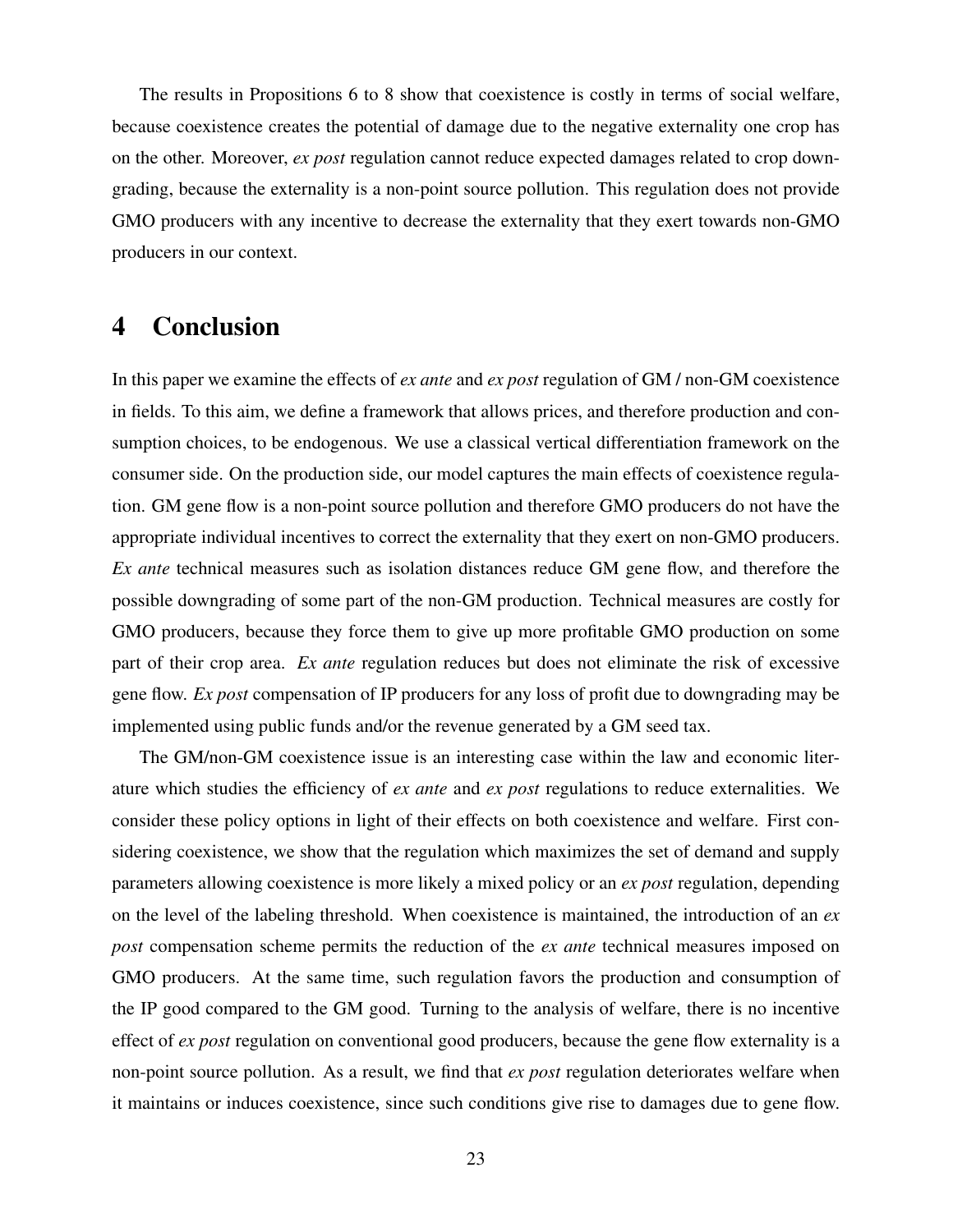The results in Propositions 6 to 8 show that coexistence is costly in terms of social welfare, because coexistence creates the potential of damage due to the negative externality one crop has on the other. Moreover, *ex post* regulation cannot reduce expected damages related to crop downgrading, because the externality is a non-point source pollution. This regulation does not provide GMO producers with any incentive to decrease the externality that they exert towards non-GMO producers in our context.

# 4 Conclusion

In this paper we examine the effects of *ex ante* and *ex post* regulation of GM / non-GM coexistence in fields. To this aim, we define a framework that allows prices, and therefore production and consumption choices, to be endogenous. We use a classical vertical differentiation framework on the consumer side. On the production side, our model captures the main effects of coexistence regulation. GM gene flow is a non-point source pollution and therefore GMO producers do not have the appropriate individual incentives to correct the externality that they exert on non-GMO producers. *Ex ante* technical measures such as isolation distances reduce GM gene flow, and therefore the possible downgrading of some part of the non-GM production. Technical measures are costly for GMO producers, because they force them to give up more profitable GMO production on some part of their crop area. *Ex ante* regulation reduces but does not eliminate the risk of excessive gene flow. *Ex post* compensation of IP producers for any loss of profit due to downgrading may be implemented using public funds and/or the revenue generated by a GM seed tax.

The GM/non-GM coexistence issue is an interesting case within the law and economic literature which studies the efficiency of *ex ante* and *ex post* regulations to reduce externalities. We consider these policy options in light of their effects on both coexistence and welfare. First considering coexistence, we show that the regulation which maximizes the set of demand and supply parameters allowing coexistence is more likely a mixed policy or an *ex post* regulation, depending on the level of the labeling threshold. When coexistence is maintained, the introduction of an *ex post* compensation scheme permits the reduction of the *ex ante* technical measures imposed on GMO producers. At the same time, such regulation favors the production and consumption of the IP good compared to the GM good. Turning to the analysis of welfare, there is no incentive effect of *ex post* regulation on conventional good producers, because the gene flow externality is a non-point source pollution. As a result, we find that *ex post* regulation deteriorates welfare when it maintains or induces coexistence, since such conditions give rise to damages due to gene flow.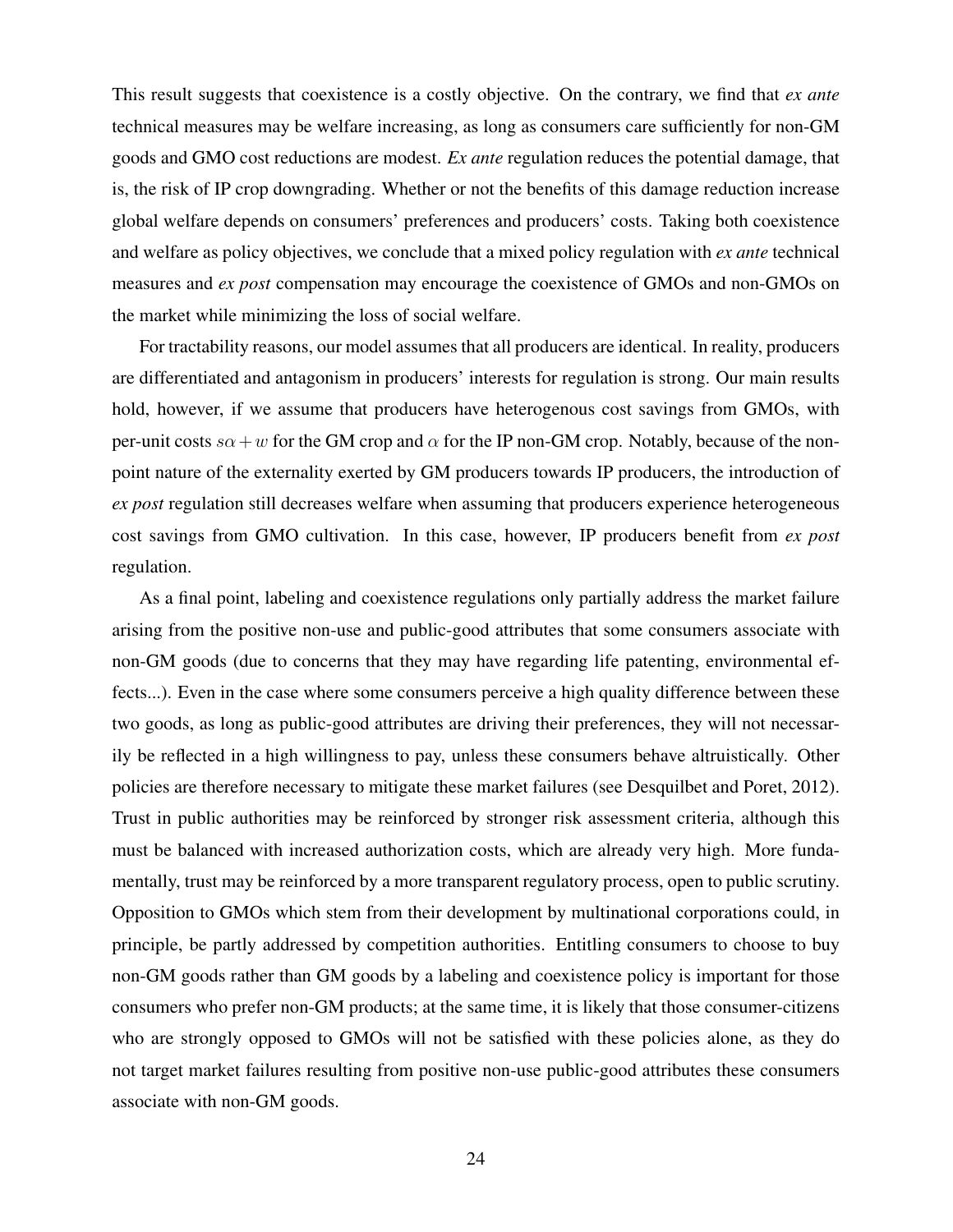This result suggests that coexistence is a costly objective. On the contrary, we find that *ex ante* technical measures may be welfare increasing, as long as consumers care sufficiently for non-GM goods and GMO cost reductions are modest. *Ex ante* regulation reduces the potential damage, that is, the risk of IP crop downgrading. Whether or not the benefits of this damage reduction increase global welfare depends on consumers' preferences and producers' costs. Taking both coexistence and welfare as policy objectives, we conclude that a mixed policy regulation with *ex ante* technical measures and *ex post* compensation may encourage the coexistence of GMOs and non-GMOs on the market while minimizing the loss of social welfare.

For tractability reasons, our model assumes that all producers are identical. In reality, producers are differentiated and antagonism in producers' interests for regulation is strong. Our main results hold, however, if we assume that producers have heterogenous cost savings from GMOs, with per-unit costs  $s\alpha+w$  for the GM crop and  $\alpha$  for the IP non-GM crop. Notably, because of the nonpoint nature of the externality exerted by GM producers towards IP producers, the introduction of *ex post* regulation still decreases welfare when assuming that producers experience heterogeneous cost savings from GMO cultivation. In this case, however, IP producers benefit from *ex post* regulation.

As a final point, labeling and coexistence regulations only partially address the market failure arising from the positive non-use and public-good attributes that some consumers associate with non-GM goods (due to concerns that they may have regarding life patenting, environmental effects...). Even in the case where some consumers perceive a high quality difference between these two goods, as long as public-good attributes are driving their preferences, they will not necessarily be reflected in a high willingness to pay, unless these consumers behave altruistically. Other policies are therefore necessary to mitigate these market failures (see Desquilbet and Poret, 2012). Trust in public authorities may be reinforced by stronger risk assessment criteria, although this must be balanced with increased authorization costs, which are already very high. More fundamentally, trust may be reinforced by a more transparent regulatory process, open to public scrutiny. Opposition to GMOs which stem from their development by multinational corporations could, in principle, be partly addressed by competition authorities. Entitling consumers to choose to buy non-GM goods rather than GM goods by a labeling and coexistence policy is important for those consumers who prefer non-GM products; at the same time, it is likely that those consumer-citizens who are strongly opposed to GMOs will not be satisfied with these policies alone, as they do not target market failures resulting from positive non-use public-good attributes these consumers associate with non-GM goods.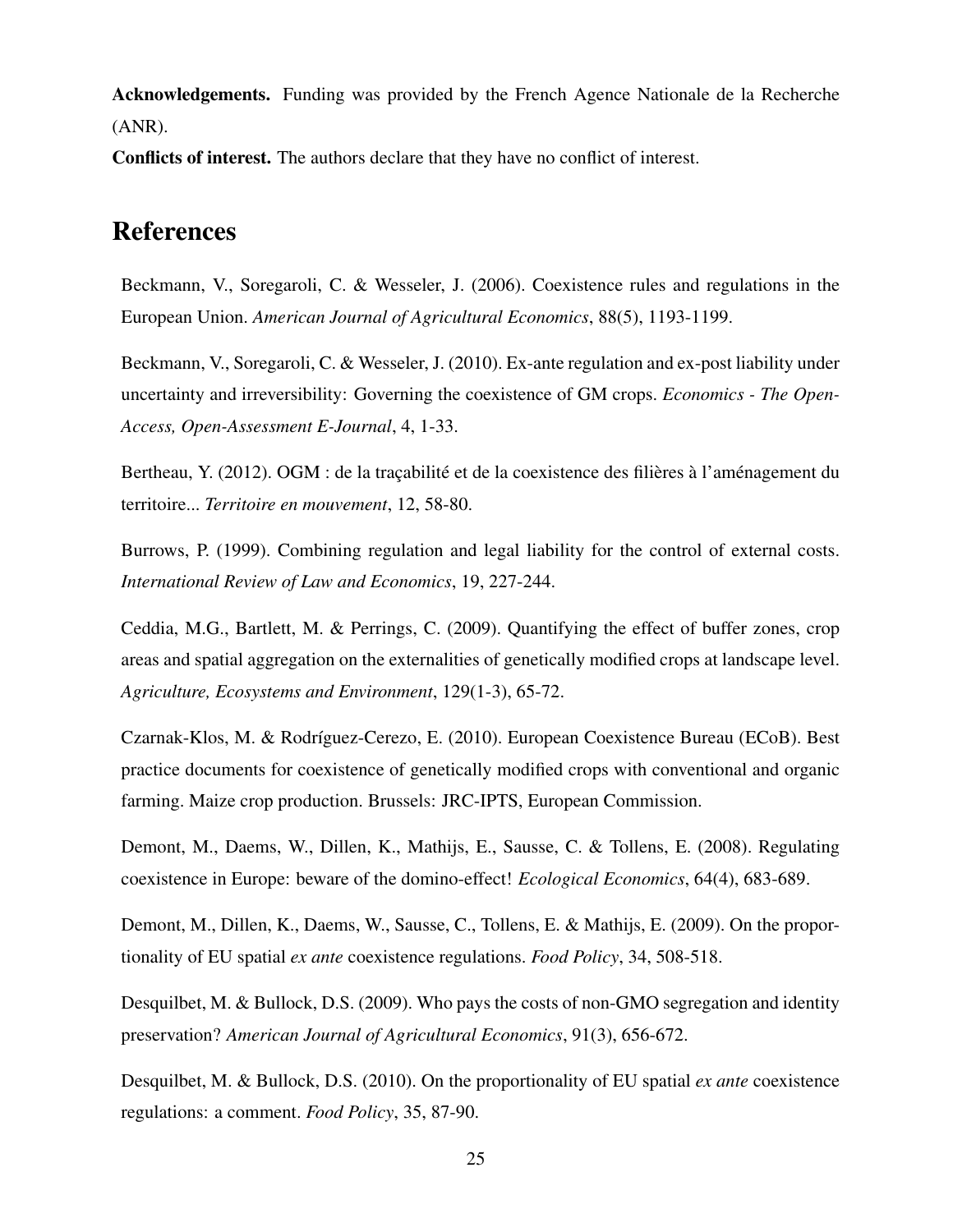Acknowledgements. Funding was provided by the French Agence Nationale de la Recherche (ANR).

Conflicts of interest. The authors declare that they have no conflict of interest.

# References

Beckmann, V., Soregaroli, C. & Wesseler, J. (2006). Coexistence rules and regulations in the European Union. *American Journal of Agricultural Economics*, 88(5), 1193-1199.

Beckmann, V., Soregaroli, C. & Wesseler, J. (2010). Ex-ante regulation and ex-post liability under uncertainty and irreversibility: Governing the coexistence of GM crops. *Economics - The Open-Access, Open-Assessment E-Journal*, 4, 1-33.

Bertheau, Y. (2012). OGM : de la traçabilité et de la coexistence des filières à l'aménagement du territoire... *Territoire en mouvement*, 12, 58-80.

Burrows, P. (1999). Combining regulation and legal liability for the control of external costs. *International Review of Law and Economics*, 19, 227-244.

Ceddia, M.G., Bartlett, M. & Perrings, C. (2009). Quantifying the effect of buffer zones, crop areas and spatial aggregation on the externalities of genetically modified crops at landscape level. *Agriculture, Ecosystems and Environment*, 129(1-3), 65-72.

Czarnak-Klos, M. & Rodríguez-Cerezo, E. (2010). European Coexistence Bureau (ECoB). Best practice documents for coexistence of genetically modified crops with conventional and organic farming. Maize crop production. Brussels: JRC-IPTS, European Commission.

Demont, M., Daems, W., Dillen, K., Mathijs, E., Sausse, C. & Tollens, E. (2008). Regulating coexistence in Europe: beware of the domino-effect! *Ecological Economics*, 64(4), 683-689.

Demont, M., Dillen, K., Daems, W., Sausse, C., Tollens, E. & Mathijs, E. (2009). On the proportionality of EU spatial *ex ante* coexistence regulations. *Food Policy*, 34, 508-518.

Desquilbet, M. & Bullock, D.S. (2009). Who pays the costs of non-GMO segregation and identity preservation? *American Journal of Agricultural Economics*, 91(3), 656-672.

Desquilbet, M. & Bullock, D.S. (2010). On the proportionality of EU spatial *ex ante* coexistence regulations: a comment. *Food Policy*, 35, 87-90.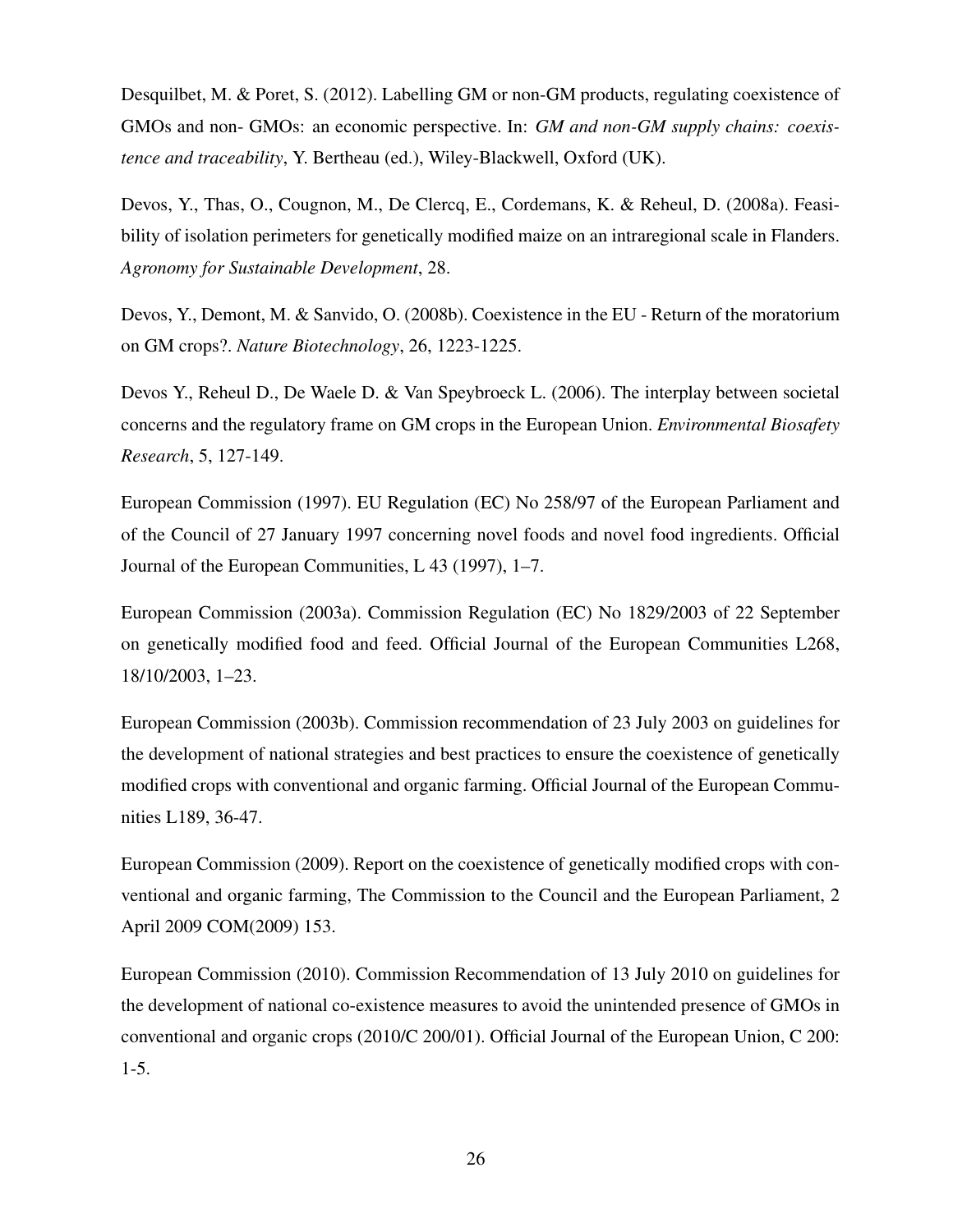Desquilbet, M. & Poret, S. (2012). Labelling GM or non-GM products, regulating coexistence of GMOs and non- GMOs: an economic perspective. In: *GM and non-GM supply chains: coexistence and traceability*, Y. Bertheau (ed.), Wiley-Blackwell, Oxford (UK).

Devos, Y., Thas, O., Cougnon, M., De Clercq, E., Cordemans, K. & Reheul, D. (2008a). Feasibility of isolation perimeters for genetically modified maize on an intraregional scale in Flanders. *Agronomy for Sustainable Development*, 28.

Devos, Y., Demont, M. & Sanvido, O. (2008b). Coexistence in the EU - Return of the moratorium on GM crops?. *Nature Biotechnology*, 26, 1223-1225.

Devos Y., Reheul D., De Waele D. & Van Speybroeck L. (2006). The interplay between societal concerns and the regulatory frame on GM crops in the European Union. *Environmental Biosafety Research*, 5, 127-149.

European Commission (1997). EU Regulation (EC) No 258/97 of the European Parliament and of the Council of 27 January 1997 concerning novel foods and novel food ingredients. Official Journal of the European Communities, L 43 (1997), 1–7.

European Commission (2003a). Commission Regulation (EC) No 1829/2003 of 22 September on genetically modified food and feed. Official Journal of the European Communities L268, 18/10/2003, 1–23.

European Commission (2003b). Commission recommendation of 23 July 2003 on guidelines for the development of national strategies and best practices to ensure the coexistence of genetically modified crops with conventional and organic farming. Official Journal of the European Communities L189, 36-47.

European Commission (2009). Report on the coexistence of genetically modified crops with conventional and organic farming, The Commission to the Council and the European Parliament, 2 April 2009 COM(2009) 153.

European Commission (2010). Commission Recommendation of 13 July 2010 on guidelines for the development of national co-existence measures to avoid the unintended presence of GMOs in conventional and organic crops (2010/C 200/01). Official Journal of the European Union, C 200: 1-5.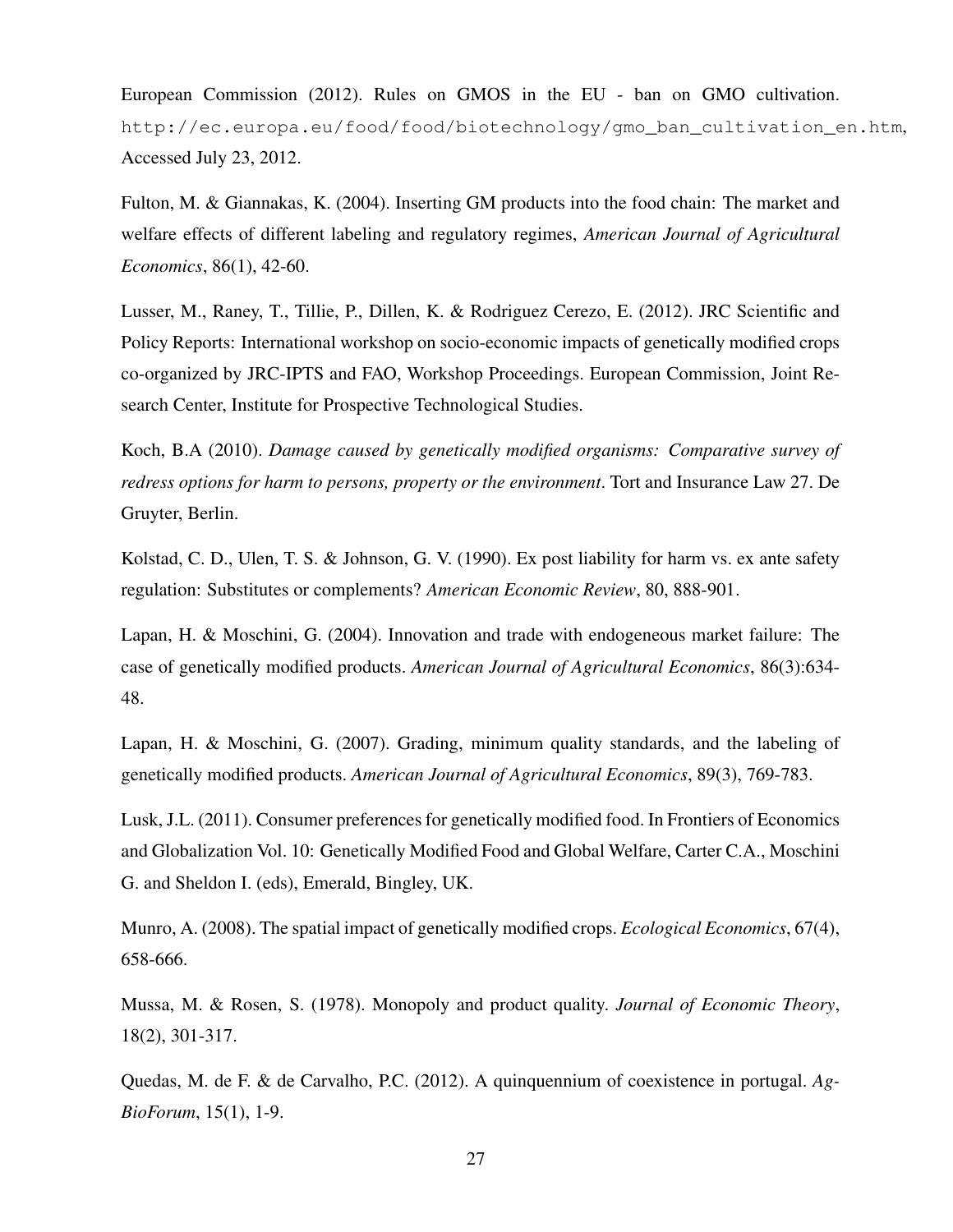European Commission (2012). Rules on GMOS in the EU - ban on GMO cultivation. http://ec.europa.eu/food/food/biotechnology/gmo\_ban\_cultivation\_en.htm, Accessed July 23, 2012.

Fulton, M. & Giannakas, K. (2004). Inserting GM products into the food chain: The market and welfare effects of different labeling and regulatory regimes, *American Journal of Agricultural Economics*, 86(1), 42-60.

Lusser, M., Raney, T., Tillie, P., Dillen, K. & Rodriguez Cerezo, E. (2012). JRC Scientific and Policy Reports: International workshop on socio-economic impacts of genetically modified crops co-organized by JRC-IPTS and FAO, Workshop Proceedings. European Commission, Joint Research Center, Institute for Prospective Technological Studies.

Koch, B.A (2010). *Damage caused by genetically modified organisms: Comparative survey of redress options for harm to persons, property or the environment*. Tort and Insurance Law 27. De Gruyter, Berlin.

Kolstad, C. D., Ulen, T. S. & Johnson, G. V. (1990). Ex post liability for harm vs. ex ante safety regulation: Substitutes or complements? *American Economic Review*, 80, 888-901.

Lapan, H. & Moschini, G. (2004). Innovation and trade with endogeneous market failure: The case of genetically modified products. *American Journal of Agricultural Economics*, 86(3):634- 48.

Lapan, H. & Moschini, G. (2007). Grading, minimum quality standards, and the labeling of genetically modified products. *American Journal of Agricultural Economics*, 89(3), 769-783.

Lusk, J.L. (2011). Consumer preferences for genetically modified food. In Frontiers of Economics and Globalization Vol. 10: Genetically Modified Food and Global Welfare, Carter C.A., Moschini G. and Sheldon I. (eds), Emerald, Bingley, UK.

Munro, A. (2008). The spatial impact of genetically modified crops. *Ecological Economics*, 67(4), 658-666.

Mussa, M. & Rosen, S. (1978). Monopoly and product quality. *Journal of Economic Theory*, 18(2), 301-317.

Quedas, M. de F. & de Carvalho, P.C. (2012). A quinquennium of coexistence in portugal. *Ag-BioForum*, 15(1), 1-9.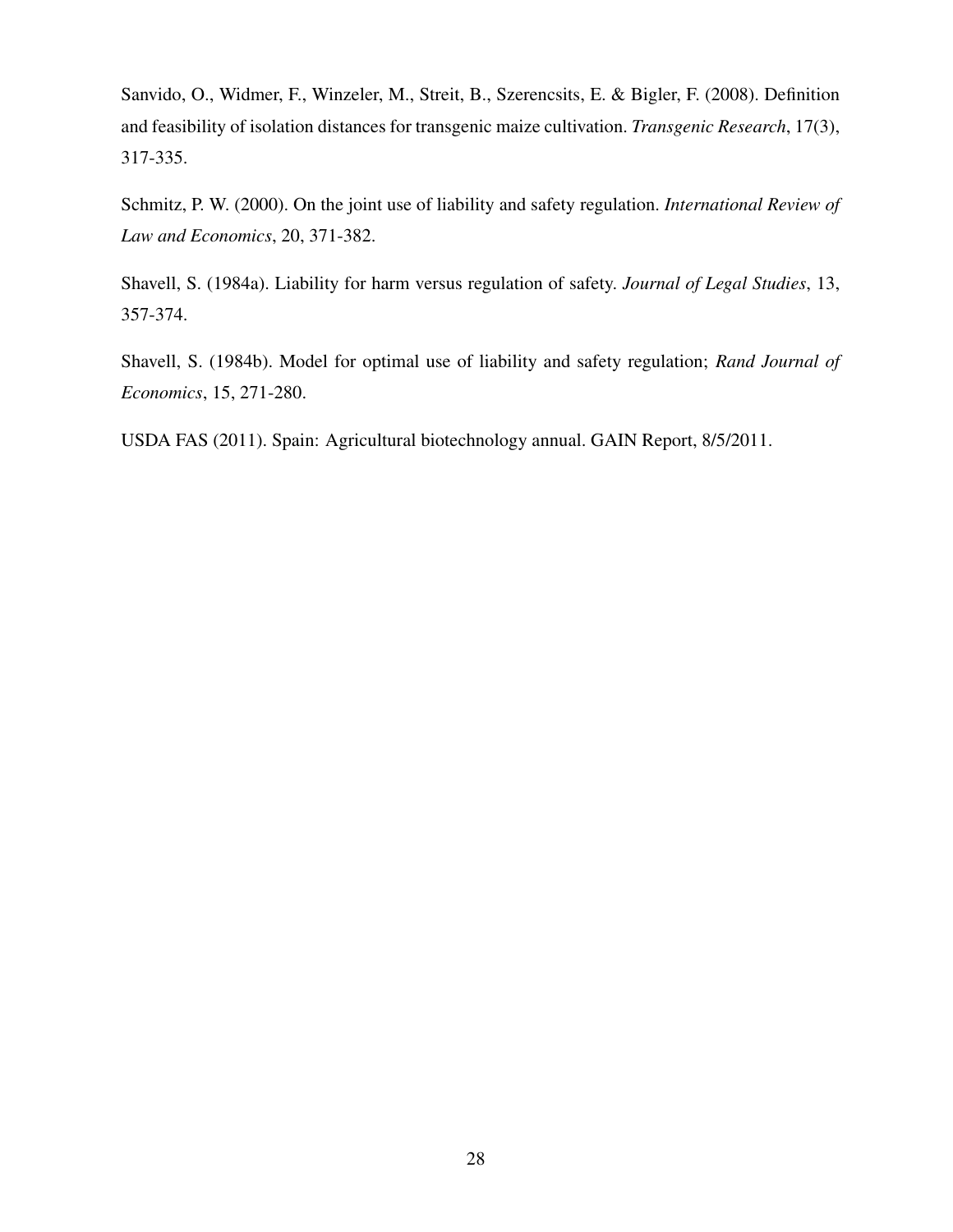Sanvido, O., Widmer, F., Winzeler, M., Streit, B., Szerencsits, E. & Bigler, F. (2008). Definition and feasibility of isolation distances for transgenic maize cultivation. *Transgenic Research*, 17(3), 317-335.

Schmitz, P. W. (2000). On the joint use of liability and safety regulation. *International Review of Law and Economics*, 20, 371-382.

Shavell, S. (1984a). Liability for harm versus regulation of safety. *Journal of Legal Studies*, 13, 357-374.

Shavell, S. (1984b). Model for optimal use of liability and safety regulation; *Rand Journal of Economics*, 15, 271-280.

USDA FAS (2011). Spain: Agricultural biotechnology annual. GAIN Report, 8/5/2011.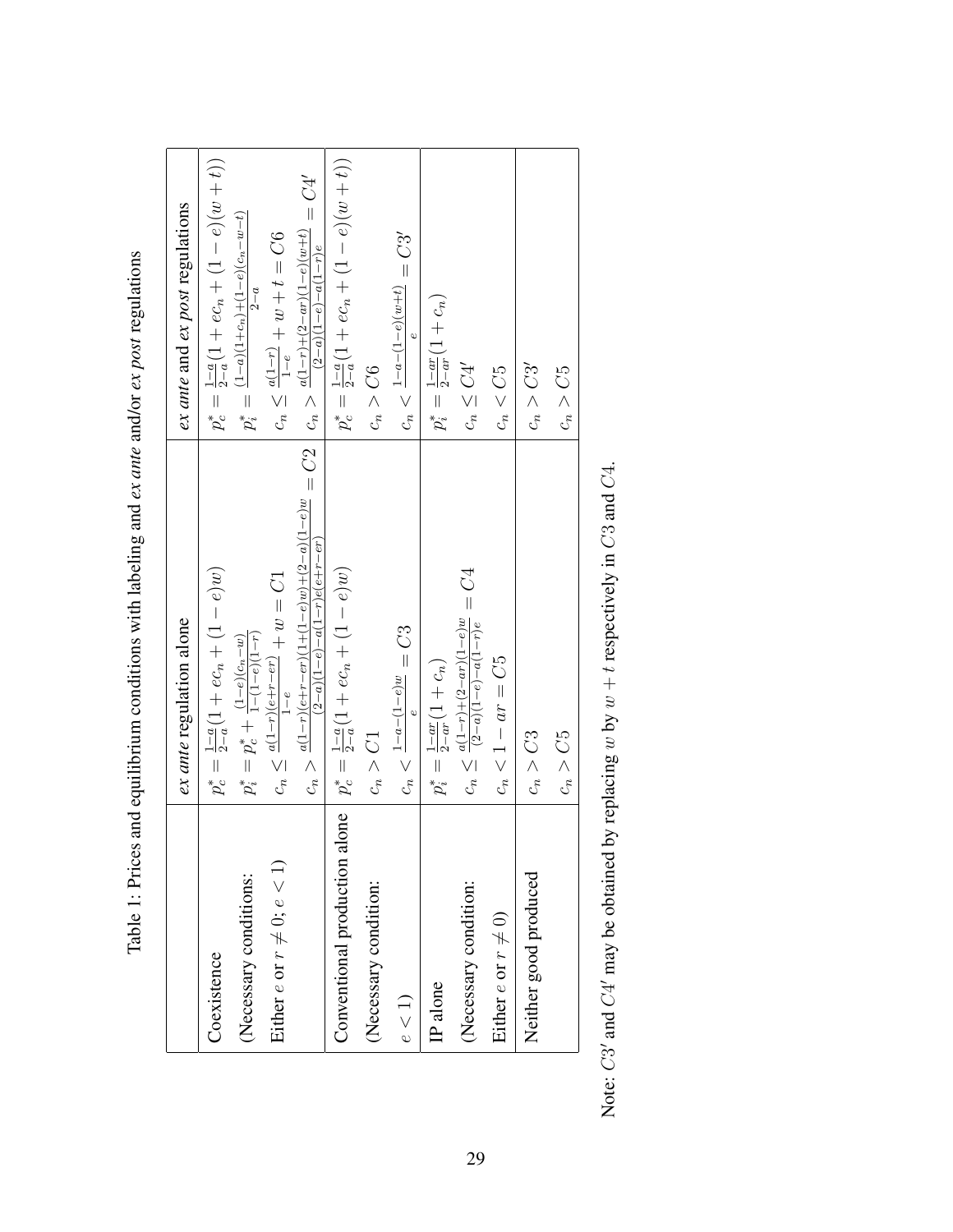|                                      | ex ante regulation alone                                                                                          | ex ante and ex post regulations                                                       |
|--------------------------------------|-------------------------------------------------------------------------------------------------------------------|---------------------------------------------------------------------------------------|
| Coexistence                          | $p_c^* = \frac{1-a}{2-a}(1 + ec_n + (1 - e)w)$                                                                    | $p_c^* = \frac{1-c}{2-a}(1 + ec_n + (1-e)(w+t))$                                      |
| (Necessary conditions:               | $p_i^* = p_c^* + \frac{(1-e)(c_n-w)}{1-(1-e)(1-r)}$                                                               | $p_i^* = \frac{(1-a)(1+c_n)+(1-e)(c_n-w-t)}{h}$<br>$2-a$                              |
| Either $e$ or $r \neq 0$ ; $e < 1$ ) | $\label{eq:conformal} c_n \leq \tfrac{a(1-r)(e+r-er)}{1-e} + w = C1$<br>$1-e$                                     | $c_n \leq \frac{a(1-r)}{1-e} + w + t = C6$                                            |
|                                      | $c_n > \frac{a(1-r)(e+r-r)(1+(1-e)w)+(2-a)(1-e)w}{(2-a)(1-e)-a(1-e)w+(2-a)} = C2$<br>$(2-a)(1-e)-a(1-r)e(e+r-er)$ | $c_n > \frac{a(1-r)+(2-ar)(1-e)(w+t)}{(2-a)(1-e)(w+t)} = C4'$<br>$(2-a)(1-e)-a(1-r)e$ |
| Conventional production alone        | $p_c^* = \frac{1-a}{2-a}(1 + ec_n + (1-e)w)$                                                                      | $p_c^* = \frac{1-c}{2-a}(1 + ec_n + (1-e)(w+t))$                                      |
| (Necessary condition:                | $c_n > C1$                                                                                                        | $c_n > C6$                                                                            |
| e < 1                                | $c_n<\frac{1-a-(1-e)w}{e}=C3$                                                                                     | $c_n < \frac{1 - a - (1 - e)(w + t)}{e} = C3'$                                        |
| IP alone                             | $p_i^* = \frac{1-ar}{2-ar}(1+c_n)$                                                                                | $p_i^* = \frac{1-ar}{2-ar}(1+c_n)$                                                    |
| (Necessary condition:                | $c_n \leq \frac{a(1-r)+(2-ar)(1-e)w}{(2-a)(1-e)-a(1-r)e} = C4$                                                    | $c_n \leq C4'$                                                                        |
| Either $e$ or $r \neq 0$ )           | $c_n < 1 - ar = C5$                                                                                               | $c_n < C5$                                                                            |
| Neither good produced                | $c_n > C3$                                                                                                        | $c_n>C3^\prime$                                                                       |
|                                      | $c_n > C5$                                                                                                        | $c_n > C5$                                                                            |

Table 1: Prices and equilibrium conditions with labeling and ex ante and/or ex post regulations Table 1: Prices and equilibrium conditions with labeling and *ex ante* and/or *ex post* regulations

Note:  $C3'$  and  $C4'$  may be obtained by replacing w by  $w + t$  respectively in  $C3$  and  $C4$ . Note: C3' and C4' may be obtained by replacing w by  $w + t$  respectively in C3 and C4.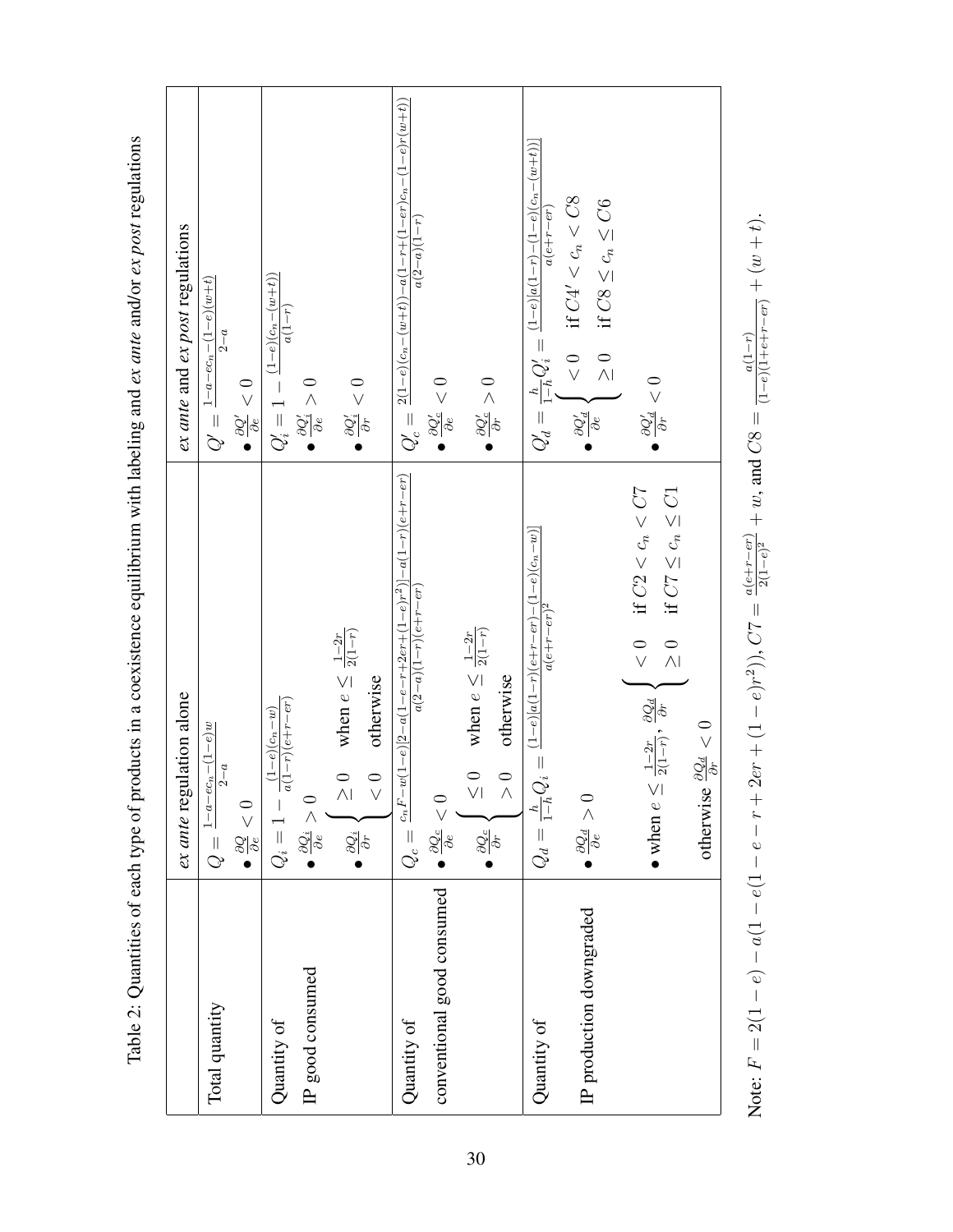|                                           | ex ante regulation alone                                                                                                                                                          | ex ante and ex post regulations                                                                                                                       |
|-------------------------------------------|-----------------------------------------------------------------------------------------------------------------------------------------------------------------------------------|-------------------------------------------------------------------------------------------------------------------------------------------------------|
| Total quantity                            | $\frac{1-a-e c_n-(1-e)w}{$<br>$\overline{a}$<br>$\bullet \frac{\partial Q}{\partial \epsilon} < 0$<br>$Q =$                                                                       | $\frac{1 - a - e_{n} - (1 - e)(w + t)}{1 - e}$<br>$2-a$<br>$\frac{\partial Q'}{\partial e}<0$<br>$Q' =$                                               |
| IP good consumed<br>Quantity of           | $\frac{1}{a(1-r)(e+r-er)}$<br>$(1-e)(c_n-w)$<br>$\bullet \frac{\partial Q_i}{\partial e}$<br>$Q_i =$                                                                              | $(1-e)(c_n-(w+t))$<br>$a(1-r)$<br>$Q'_i=1-$<br>$\bullet$ $\frac{\partial Q'_i}{\partial \epsilon} > 0$                                                |
|                                           | when $e \leq \frac{1-2r}{2(1-r)}$<br>otherwise<br>$\circ$<br>$\circ$<br>$\wedge$ l<br>$\vee$<br>$\frac{\partial Q_i}{\partial r}$                                                 | $\bullet$ $\frac{\partial Q_{i}^{\prime }}{\partial r}<0$                                                                                             |
| conventional good consumed<br>Quantity of | $\frac{c_n F - w(1-e)[2-a(1-e-r+2er+(1-e)r^2)] - a(1-r)(e+r-er)}{2}$<br>$a(2-a)(1-r)(e+r-er)$<br>$\frac{0}{\sqrt{2}}$<br>$\bullet \frac{\partial Q_{c}}{\partial e}$ .<br>$Q_c =$ | $Q'_c = \frac{2(1-e)(c_n-(w+t)) - a(1-r+(1-er)c_n-(1-e)r(w+t))}{\sqrt{2}}$<br>$a(2-a)(1-r)$<br>$\bullet \frac{\partial Q_{c}^{\prime}}{\partial e}<0$ |
|                                           | when $e \leq \frac{1-2r}{2(1-r)}$<br>otherwise<br>$\circ$<br>$\frac{0}{\Lambda}$<br>$\vee$<br>$\frac{\partial Q_{c}}{\partial r}$                                                 | $\frac{\partial Q_{c}^{\prime }}{\partial r}>0$                                                                                                       |
| Quantity of                               | $(1-e)[a(1-r)(e+r-er)-(1-e)(c_n-w)]$<br>$a(e+r-er)^2$<br>$Q_d = \frac{h}{1-h} Q_i =$                                                                                              | $Q_d' = \frac{h}{1-h} Q_i' = \frac{(1-e)[a(1-r)-(1-e)(c_n-(w+t))]}{e^{(c+r)}}$<br>$a(e+r-er)$                                                         |
| IP production downgraded                  | $\bullet \frac{\partial Q_d}{\partial \epsilon} > 0$                                                                                                                              | $<0$ if $C4^\prime < c_n < C8$<br>if $C8 \leq c_n \leq C6$<br>$\frac{1}{2}$<br>$\frac{\partial Q_d'}{\partial e}$ .                                   |
|                                           | $<0$ if $C2 < c_n < C7$<br>if $C7 \leq c_n \leq C1$<br>$\frac{1}{2}$<br>$\frac{1-2r}{2(1-r)}, \frac{\partial Q_d}{\partial r}$<br>$\bullet$ when $e \leq$                         | $\frac{\partial Q_d'}{\partial r}<0$                                                                                                                  |
|                                           | $\frac{\partial Q_d}{\partial r}<0$<br>otherwise                                                                                                                                  |                                                                                                                                                       |
|                                           | Note: $F = 2(1 - e) - a(1 - e(-1 - e - r + 2e^r + (1 - e)r^2))$ , $C7 = \frac{a(e + r - er)}{2(1 - e)^2} + w$ , and $CS = \frac{a(1 - r)}{(1 - e)(1 + e + r - er)} + (w + t)$ .   |                                                                                                                                                       |

Table 2: Quantities of each type of products in a coexistence equilibrium with labeling and ex ante and/or ex post regulations Table 2: Quantities of each type of products in a coexistence equilibrium with labeling and *ex ante* and/or *ex post* regulations

Note: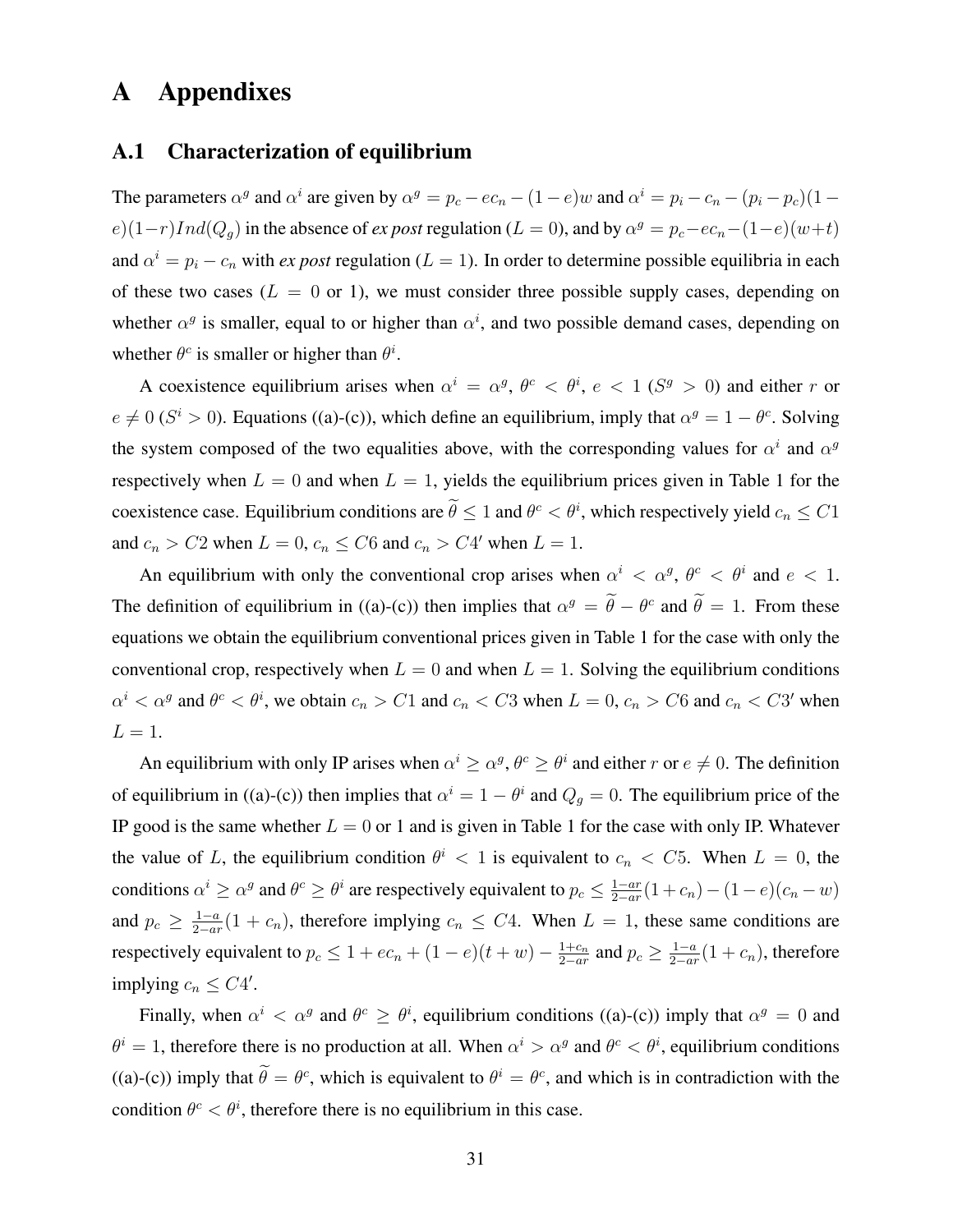# A Appendixes

#### A.1 Characterization of equilibrium

The parameters  $\alpha^g$  and  $\alpha^i$  are given by  $\alpha^g = p_c - ec_n - (1 - e)w$  and  $\alpha^i = p_i - c_n - (p_i - p_c)(1 - e)w$  $e(1-r)Ind(Q<sub>g</sub>)$  in the absence of *ex post* regulation ( $L = 0$ ), and by  $\alpha<sup>g</sup> = p<sub>c</sub> - ec<sub>n</sub> - (1-e)(w+t)$ and  $\alpha^i = p_i - c_n$  with *ex post* regulation ( $L = 1$ ). In order to determine possible equilibria in each of these two cases ( $L = 0$  or 1), we must consider three possible supply cases, depending on whether  $\alpha^g$  is smaller, equal to or higher than  $\alpha^i$ , and two possible demand cases, depending on whether  $\theta^c$  is smaller or higher than  $\theta^i$ .

A coexistence equilibrium arises when  $\alpha^i = \alpha^g$ ,  $\theta^c < \theta^i$ ,  $e < 1$  ( $S^g > 0$ ) and either r or  $e \neq 0$  ( $S^i > 0$ ). Equations ((a)-(c)), which define an equilibrium, imply that  $\alpha^g = 1 - \theta^c$ . Solving the system composed of the two equalities above, with the corresponding values for  $\alpha^{i}$  and  $\alpha^{g}$ respectively when  $L = 0$  and when  $L = 1$ , yields the equilibrium prices given in Table 1 for the coexistence case. Equilibrium conditions are  $\theta \le 1$  and  $\theta^c < \theta^i$ , which respectively yield  $c_n \le C1$ and  $c_n > C2$  when  $L = 0$ ,  $c_n \leq C6$  and  $c_n > C4'$  when  $L = 1$ .

An equilibrium with only the conventional crop arises when  $\alpha^i < \alpha^g$ ,  $\theta^c < \theta^i$  and  $e < 1$ . The definition of equilibrium in ((a)-(c)) then implies that  $\alpha^g = \hat{\theta} - \theta^c$  and  $\hat{\theta} = 1$ . From these equations we obtain the equilibrium conventional prices given in Table 1 for the case with only the conventional crop, respectively when  $L = 0$  and when  $L = 1$ . Solving the equilibrium conditions  $\alpha^i < \alpha^g$  and  $\theta^c < \theta^i$ , we obtain  $c_n > C1$  and  $c_n < C3$  when  $L = 0$ ,  $c_n > C6$  and  $c_n < C3'$  when  $L=1$ .

An equilibrium with only IP arises when  $\alpha^i \geq \alpha^g$ ,  $\theta^c \geq \theta^i$  and either r or  $e \neq 0$ . The definition of equilibrium in ((a)-(c)) then implies that  $\alpha^{i} = 1 - \theta^{i}$  and  $Q_{g} = 0$ . The equilibrium price of the IP good is the same whether  $L = 0$  or 1 and is given in Table 1 for the case with only IP. Whatever the value of L, the equilibrium condition  $\theta^i$  < 1 is equivalent to  $c_n$  < C5. When  $L = 0$ , the conditions  $\alpha^i \geq \alpha^g$  and  $\theta^c \geq \theta^i$  are respectively equivalent to  $p_c \leq \frac{1-ar}{2-ar}$  $\frac{1-ar}{2-ar}(1+c_n)-(1-e)(c_n-w)$ and  $p_c \geq \frac{1-a}{2-ay}$  $\frac{1-a}{2-ar}(1+c_n)$ , therefore implying  $c_n \leq C4$ . When  $L=1$ , these same conditions are respectively equivalent to  $p_c \leq 1 + ec_n + (1 - e)(t + w) - \frac{1+c_n}{2-ar}$  $\frac{1+c_n}{2-ar}$  and  $p_c \geq \frac{1-a}{2-ar}$  $\frac{1-a}{2-ar}(1+c_n)$ , therefore implying  $c_n \leq C4'$ .

Finally, when  $\alpha^i < \alpha^g$  and  $\theta^c \ge \theta^i$ , equilibrium conditions ((a)-(c)) imply that  $\alpha^g = 0$  and  $\theta^i = 1$ , therefore there is no production at all. When  $\alpha^i > \alpha^g$  and  $\theta^c < \theta^i$ , equilibrium conditions ((a)-(c)) imply that  $\theta = \theta^c$ , which is equivalent to  $\theta^i = \theta^c$ , and which is in contradiction with the condition  $\theta^c < \theta^i$ , therefore there is no equilibrium in this case.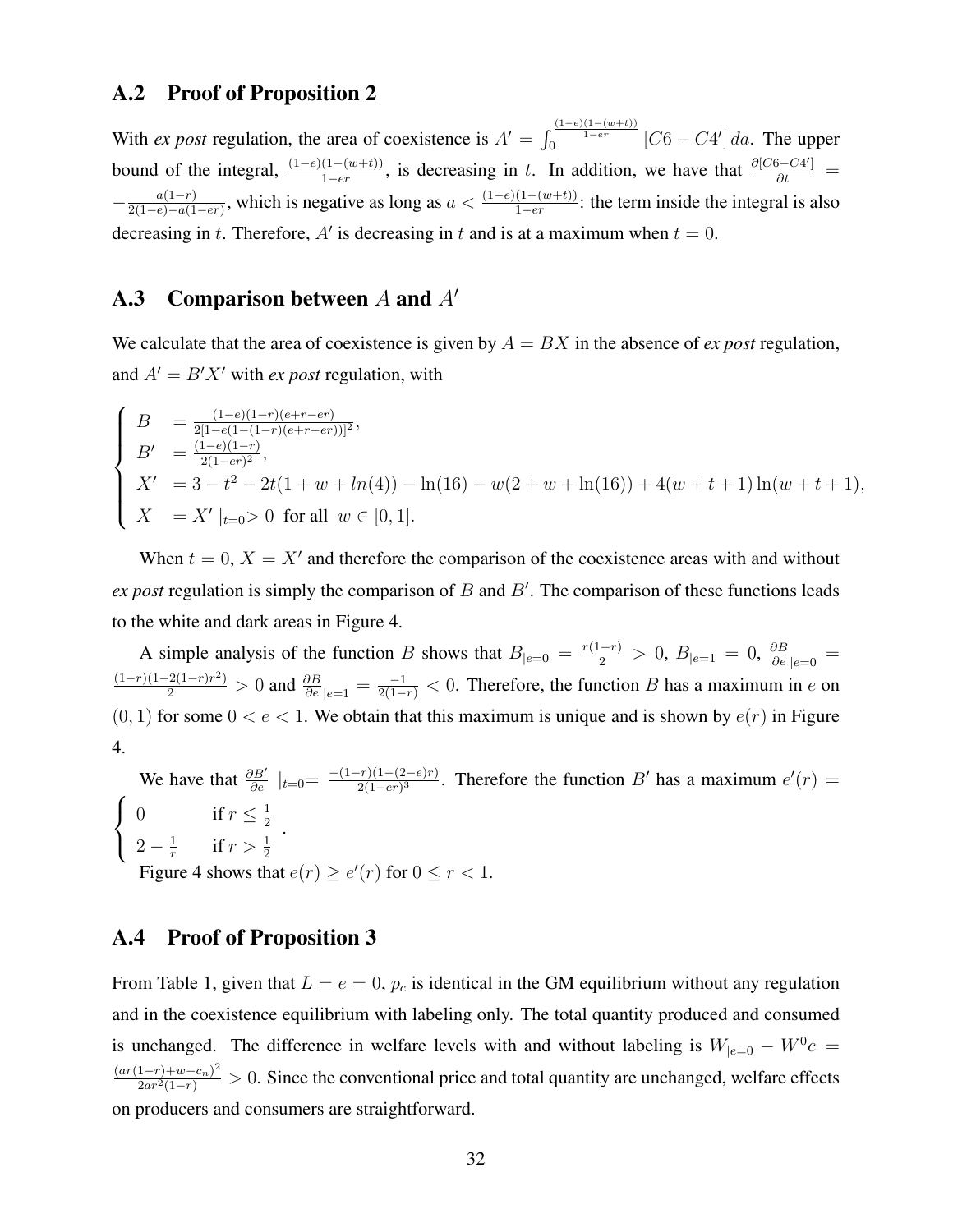#### A.2 Proof of Proposition 2

With *ex post* regulation, the area of coexistence is  $A' = \int_0^{\frac{(1-e)(1-(w+t))}{1-er}} [C6 - C4'] da$ . The upper bound of the integral,  $\frac{(1-e)(1-(w+t))}{1-er}$ , is decreasing in t. In addition, we have that  $\frac{\partial [C6-C4']}{\partial t}$  =  $-\frac{a(1-r)}{2(1-e)-a(1-r)}$  $\frac{a(1-r)}{2(1-e)-a(1-er)}$ , which is negative as long as  $a < \frac{(1-e)(1-(w+t))}{1-er}$ : the term inside the integral is also decreasing in t. Therefore, A' is decreasing in t and is at a maximum when  $t = 0$ .

### A.3 Comparison between  $A$  and  $A'$

We calculate that the area of coexistence is given by  $A = BX$  in the absence of *ex post* regulation, and  $A' = B'X'$  with *ex post* regulation, with

$$
\begin{cases}\nB = \frac{(1-e)(1-r)(e+r-er)}{2[1-e(1-(1-r)(e+r-er))]^2}, \\
B' = \frac{(1-e)(1-r)}{2(1-er)^2}, \\
X' = 3 - t^2 - 2t(1+w + ln(4)) - ln(16) - w(2+w + ln(16)) + 4(w+t+1)ln(w+t+1), \\
X = X'|_{t=0} > 0 \text{ for all } w \in [0,1].\n\end{cases}
$$

When  $t = 0$ ,  $X = X'$  and therefore the comparison of the coexistence areas with and without  $ex$  *post* regulation is simply the comparison of  $B$  and  $B'$ . The comparison of these functions leads to the white and dark areas in Figure 4.

A simple analysis of the function B shows that  $B_{|e=0} = \frac{r(1-r)}{2} > 0$ ,  $B_{|e=1} = 0$ ,  $\frac{\partial B}{\partial e}|_{e=0} =$  $\frac{(1-r)(1-2(1-r)r^2)}{2} > 0$  and  $\frac{\partial B}{\partial e}|_{e=1} = \frac{-1}{2(1-r)} < 0$ . Therefore, the function B has a maximum in e on  $(0, 1)$  for some  $0 < e < 1$ . We obtain that this maximum is unique and is shown by  $e(r)$  in Figure 4.

We have that  $\frac{\partial B'}{\partial e} \mid_{t=0} = \frac{-(1-r)(1-(2-e)r)}{2(1-er)^3}$  $\frac{2(1-(2-e)r)}{2(1-er)^3}$ . Therefore the function B' has a maximum  $e'(r) =$  $\sqrt{ }$  $\int$  $\mathcal{L}$ 0 if  $r \leq \frac{1}{2}$ 2  $2-\frac{1}{r}$  $\frac{1}{r}$  if  $r > \frac{1}{2}$ . Figure 4 shows that  $e(r) \geq e'(r)$  for  $0 \leq r < 1$ .

## A.4 Proof of Proposition 3

From Table 1, given that  $L = e = 0$ ,  $p_c$  is identical in the GM equilibrium without any regulation and in the coexistence equilibrium with labeling only. The total quantity produced and consumed is unchanged. The difference in welfare levels with and without labeling is  $W_{|e=0} - W^0 c =$  $\frac{(ar(1-r)+w-c_n)^2}{2ar^2(1-r)} > 0$ . Since the conventional price and total quantity are unchanged, welfare effects on producers and consumers are straightforward.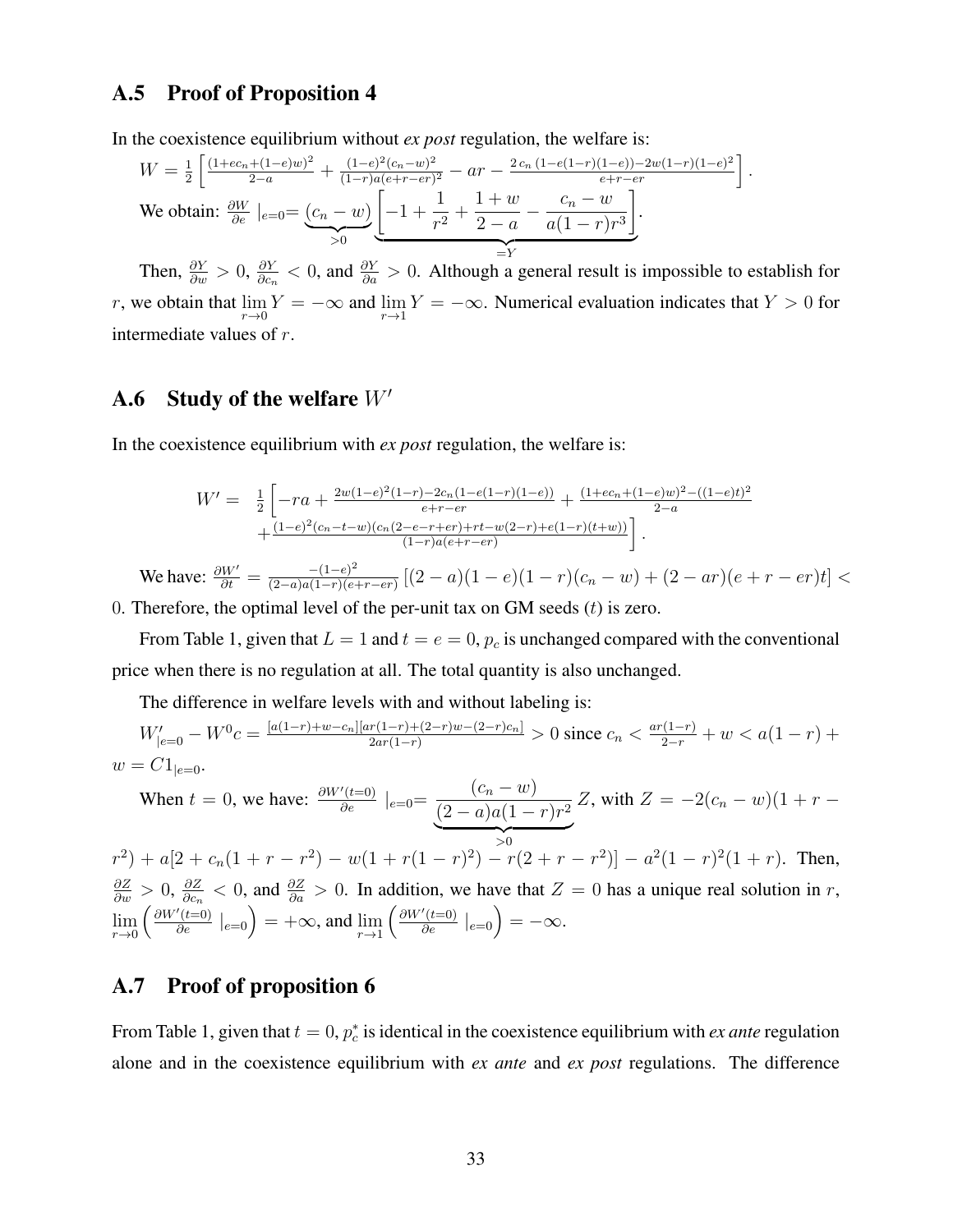#### A.5 Proof of Proposition 4

In the coexistence equilibrium without *ex post* regulation, the welfare is:

$$
W = \frac{1}{2} \left[ \frac{(1+ec_n+(1-e)w)^2}{2-a} + \frac{(1-e)^2(c_n-w)^2}{(1-r)a(e+r-er)^2} - ar - \frac{2c_n(1-e(1-r)(1-e))-2w(1-r)(1-e)^2}{e+r-er} \right]
$$
  
We obtain:  $\frac{\partial W}{\partial e} \mid_{e=0} = \underbrace{(c_n-w)}_{>0} \underbrace{\left[-1+\frac{1}{r^2}+\frac{1+w}{2-a}-\frac{c_n-w}{a(1-r)r^3}\right]}_{=Y}.$ 

Then,  $\frac{\partial Y}{\partial w} > 0$ ,  $\frac{\partial Y}{\partial c_n} < 0$ , and  $\frac{\partial Y}{\partial a} > 0$ . Although a general result is  $\frac{\partial Y}{\partial c_n}$  < 0, and  $\frac{\partial Y}{\partial a}$  > 0. Although a general result is impossible to establish for r, we obtain that  $\lim_{r\to 0} Y = -\infty$  and  $\lim_{r\to 1} Y = -\infty$ . Numerical evaluation indicates that  $Y > 0$  for intermediate values of r.

.

#### A.6 Study of the welfare  $W'$

In the coexistence equilibrium with *ex post* regulation, the welfare is:

$$
W' = \frac{1}{2} \left[ -ra + \frac{2w(1-e)^2(1-r) - 2c_n(1-e(1-r)(1-e))}{e+r-er} + \frac{(1+ec_n+(1-e)w)^2 - ((1-e)t)^2}{2-a} + \frac{(1-e)^2(c_n-t-w)(c_n(2-e-r+er)+rt-w(2-r)+e(1-r)(t+w))}{(1-r)a(e+r-er)} \right].
$$

We have:  $\frac{\partial W'}{\partial t} = \frac{-(1-e)^2}{(2-a)a(1-r)(e-a)}$  $\frac{-(1-e)^{2}}{(2-a)a(1-r)(e+r-er)}\left[(2-a)(1-e)(1-r)(c_n-w)+(2-ar)(e+r-er)t\right]$ 0. Therefore, the optimal level of the per-unit tax on GM seeds  $(t)$  is zero.

From Table 1, given that  $L = 1$  and  $t = e = 0$ ,  $p_c$  is unchanged compared with the conventional price when there is no regulation at all. The total quantity is also unchanged.

The difference in welfare levels with and without labeling is:

$$
W'_{|e=0} - W^0 c = \frac{[a(1-r) + w - c_n][ar(1-r) + (2-r)w - (2-r)c_n]}{2ar(1-r)} > 0 \text{ since } c_n < \frac{ar(1-r)}{2-r} + w < a(1-r) + w = C1_{|e=0}.
$$

When 
$$
t = 0
$$
, we have:  $\frac{\partial W'(t=0)}{\partial e} \Big|_{e=0} = \frac{(c_n - w)}{(2 - a)a(1 - r)r^2} Z$ , with  $Z = -2(c_n - w)(1 + r -$ 

 $>0$  $r^2$ ) + a[2 + c<sub>n</sub>(1 + r - r<sup>2</sup>) - w(1 + r(1 - r)<sup>2</sup>) - r(2 + r - r<sup>2</sup>)] - a<sup>2</sup>(1 - r)<sup>2</sup>(1 + r). Then,  $\frac{\partial Z}{\partial w} > 0, \, \frac{\partial Z}{\partial c_n}$  $\frac{\partial Z}{\partial c_n}$  < 0, and  $\frac{\partial Z}{\partial a}$  > 0. In addition, we have that  $Z = 0$  has a unique real solution in r,  $\lim_{r\to 0} \left( \frac{\partial W'(t=0)}{\partial e} \mid_{e=0} \right) = +\infty$ , and  $\lim_{r\to 1} \left( \frac{\partial W'(t=0)}{\partial e} \mid_{e=0} \right) = -\infty$ .

#### A.7 Proof of proposition 6

From Table 1, given that  $t = 0$ ,  $p_c^*$  is identical in the coexistence equilibrium with *ex ante* regulation alone and in the coexistence equilibrium with *ex ante* and *ex post* regulations. The difference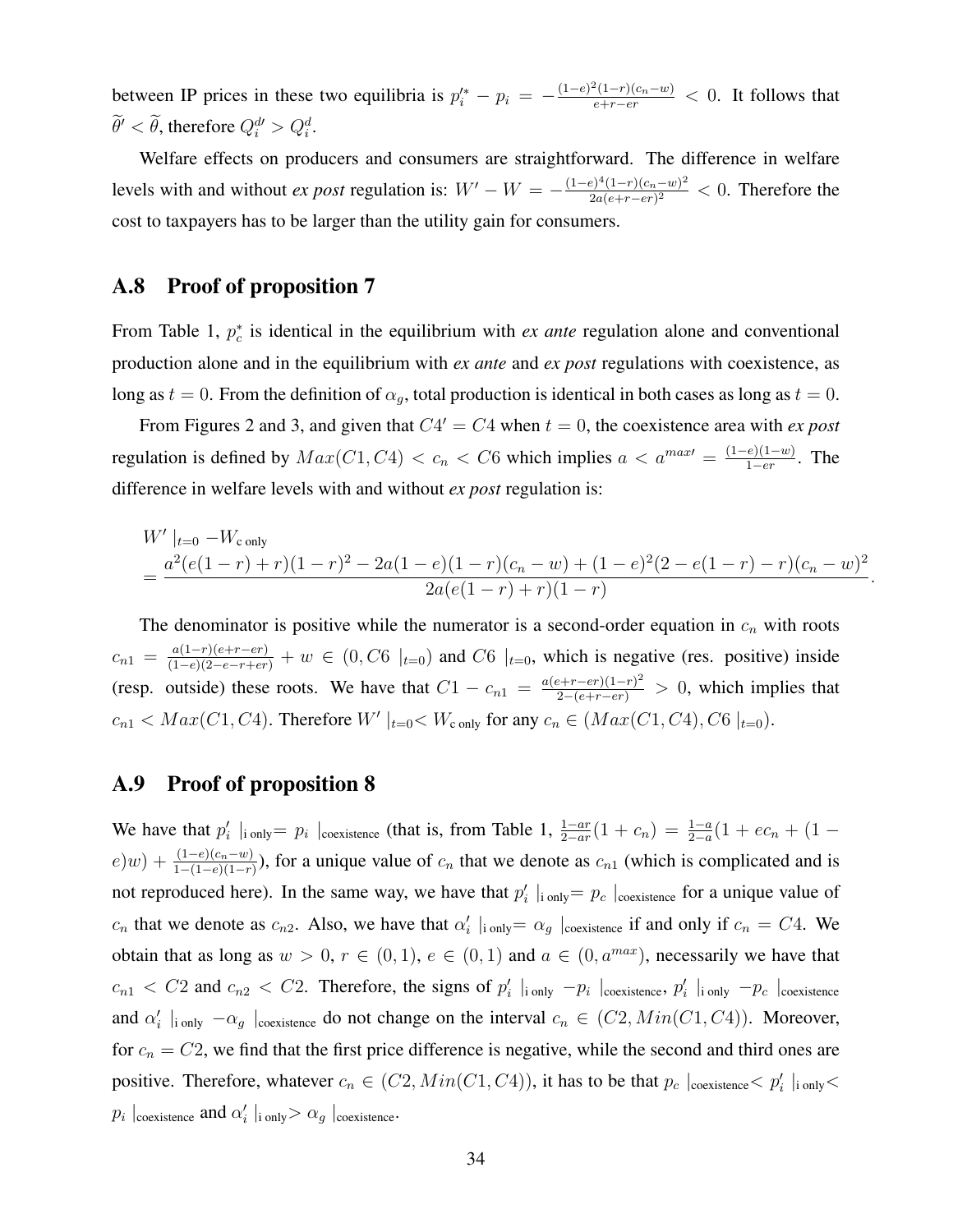between IP prices in these two equilibria is  $p_i^* - p_i = -\frac{(1-e)^2(1-r)(c_n-w)}{e+r-er} < 0$ . It follows that  $\ddot{\theta}' < \ddot{\theta}$ , therefore  $Q_i^{d'} > Q_i^d$ .

Welfare effects on producers and consumers are straightforward. The difference in welfare levels with and without *ex post* regulation is:  $W' - W = -\frac{(1-e)^4(1-r)(c_n-w)^2}{2a(e+r-er)^2}$  $\frac{2a(e+r-(r)(c_n-w)^2)}{2a(e+r-er)^2}$  < 0. Therefore the cost to taxpayers has to be larger than the utility gain for consumers.

#### A.8 Proof of proposition 7

From Table 1,  $p_c^*$  is identical in the equilibrium with *ex ante* regulation alone and conventional production alone and in the equilibrium with *ex ante* and *ex post* regulations with coexistence, as long as  $t = 0$ . From the definition of  $\alpha_g$ , total production is identical in both cases as long as  $t = 0$ .

From Figures 2 and 3, and given that  $C4' = C4$  when  $t = 0$ , the coexistence area with *ex post* regulation is defined by  $Max(C1, C4) < c_n < C6$  which implies  $a < a^{maxt} = \frac{(1-e)(1-w)}{1-er}$  $\frac{e^{i(1-w)}}{1-er}$ . The difference in welfare levels with and without *ex post* regulation is:

$$
W' |_{t=0} - W_{\text{c only}}
$$
  
= 
$$
\frac{a^2(e(1-r) + r)(1-r)^2 - 2a(1-e)(1-r)(c_n - w) + (1-e)^2(2 - e(1-r) - r)(c_n - w)^2}{2a(e(1-r) + r)(1-r)}
$$

.

The denominator is positive while the numerator is a second-order equation in  $c_n$  with roots  $c_{n1} = \frac{a(1-r)(e+r-er)}{(1-e)(2-e-r+er)} + w \in (0, C6 \mid_{t=0})$  and  $C6 \mid_{t=0}$ , which is negative (res. positive) inside (resp. outside) these roots. We have that  $C1 - c_{n1} = \frac{a(e+r-er)(1-r)^2}{2-(e+r-er)} > 0$ , which implies that  $c_{n1} < Max(C1, C4)$ . Therefore  $W'|_{t=0} < W_{c}$  only for any  $c_n \in (Max(C1, C4), C6 |_{t=0})$ .

#### A.9 Proof of proposition 8

We have that  $p'_i \mid_{\text{ionly}} = p_i \mid_{\text{coexistence}}$  (that is, from Table 1,  $\frac{1-ar}{2-ar}(1+c_n) = \frac{1-a}{2-a}(1+ec_n+(1-a_n))$  $e(w) + \frac{(1-e)(c_n-w)}{1-(1-e)(1-r)}$ , for a unique value of  $c_n$  that we denote as  $c_{n1}$  (which is complicated and is not reproduced here). In the same way, we have that  $p'_i \mid_{\text{inly}} = p_c \mid_{\text{coexistence}}$  for a unique value of  $c_n$  that we denote as  $c_{n2}$ . Also, we have that  $\alpha'_i$  |i only  $\alpha_g$  |coexistence if and only if  $c_n = C4$ . We obtain that as long as  $w > 0$ ,  $r \in (0, 1)$ ,  $e \in (0, 1)$  and  $a \in (0, a^{max})$ , necessarily we have that  $c_{n1} < C2$  and  $c_{n2} < C2$ . Therefore, the signs of  $p'_i \vert_{\text{ionly}} - p_i \vert_{\text{coexistence}}$ ,  $p'_i \vert_{\text{ionly}} - p_c \vert_{\text{coexistence}}$ and  $\alpha'_i$  |i only  $-\alpha_g$  |coexistence do not change on the interval  $c_n \in (C2, Min(C1, C4))$ . Moreover, for  $c_n = C2$ , we find that the first price difference is negative, while the second and third ones are positive. Therefore, whatever  $c_n \in (C2, Min(C1, C4))$ , it has to be that  $p_c$  |coexistence  $\lt p'_i$  |i only  $\lt$  $p_i \mid_{\text{coexistence}}$  and  $\alpha'_i \mid_{\text{i only}} > \alpha_g \mid_{\text{coexistence}}$ .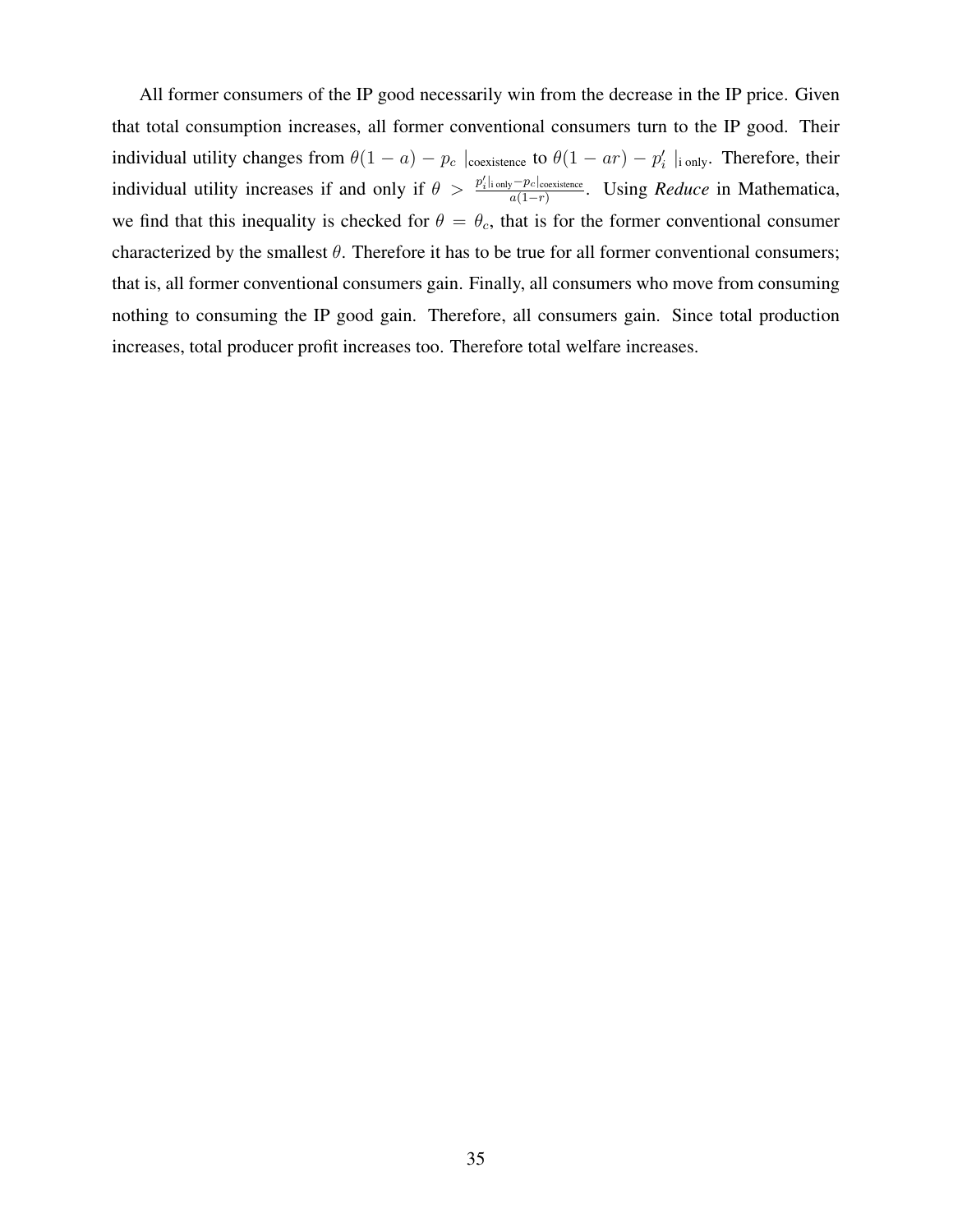All former consumers of the IP good necessarily win from the decrease in the IP price. Given that total consumption increases, all former conventional consumers turn to the IP good. Their individual utility changes from  $\theta(1-a) - p_c$  |coexistence to  $\theta(1-ar) - p'_i$  |i only. Therefore, their individual utility increases if and only if  $\theta > \frac{p'_i|_{\text{inly}}-p_c|_{\text{coexistence}}}{q(1-r)}$  $\frac{a_{\textit{v}} - p_{\textit{c}|\text{coexistence}}}{a(1-r)}$ . Using *Reduce* in Mathematica, we find that this inequality is checked for  $\theta = \theta_c$ , that is for the former conventional consumer characterized by the smallest  $\theta$ . Therefore it has to be true for all former conventional consumers; that is, all former conventional consumers gain. Finally, all consumers who move from consuming nothing to consuming the IP good gain. Therefore, all consumers gain. Since total production increases, total producer profit increases too. Therefore total welfare increases.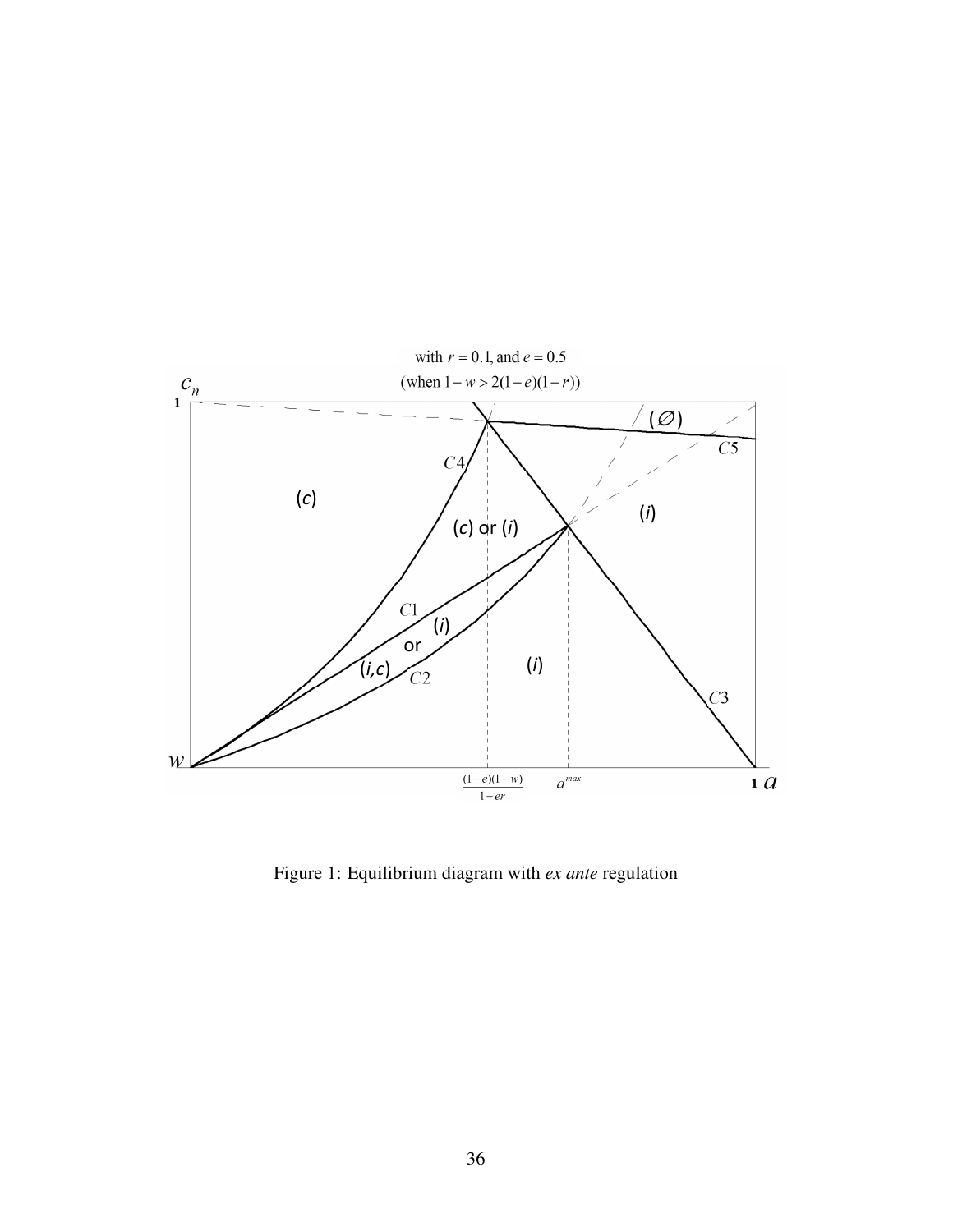

Figure 1: Equilibrium diagram with *ex ante* regulation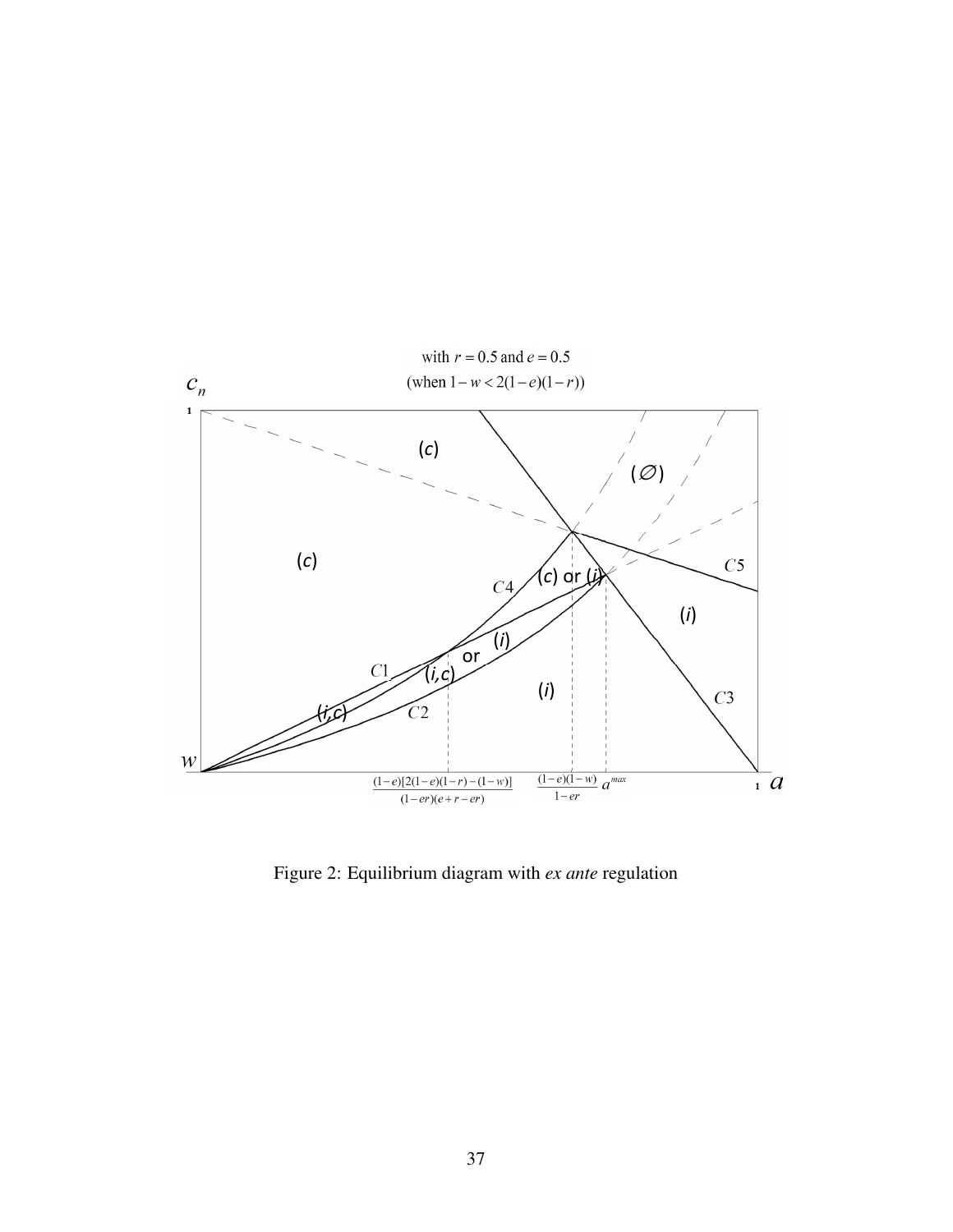

Figure 2: Equilibrium diagram with *ex ante* regulation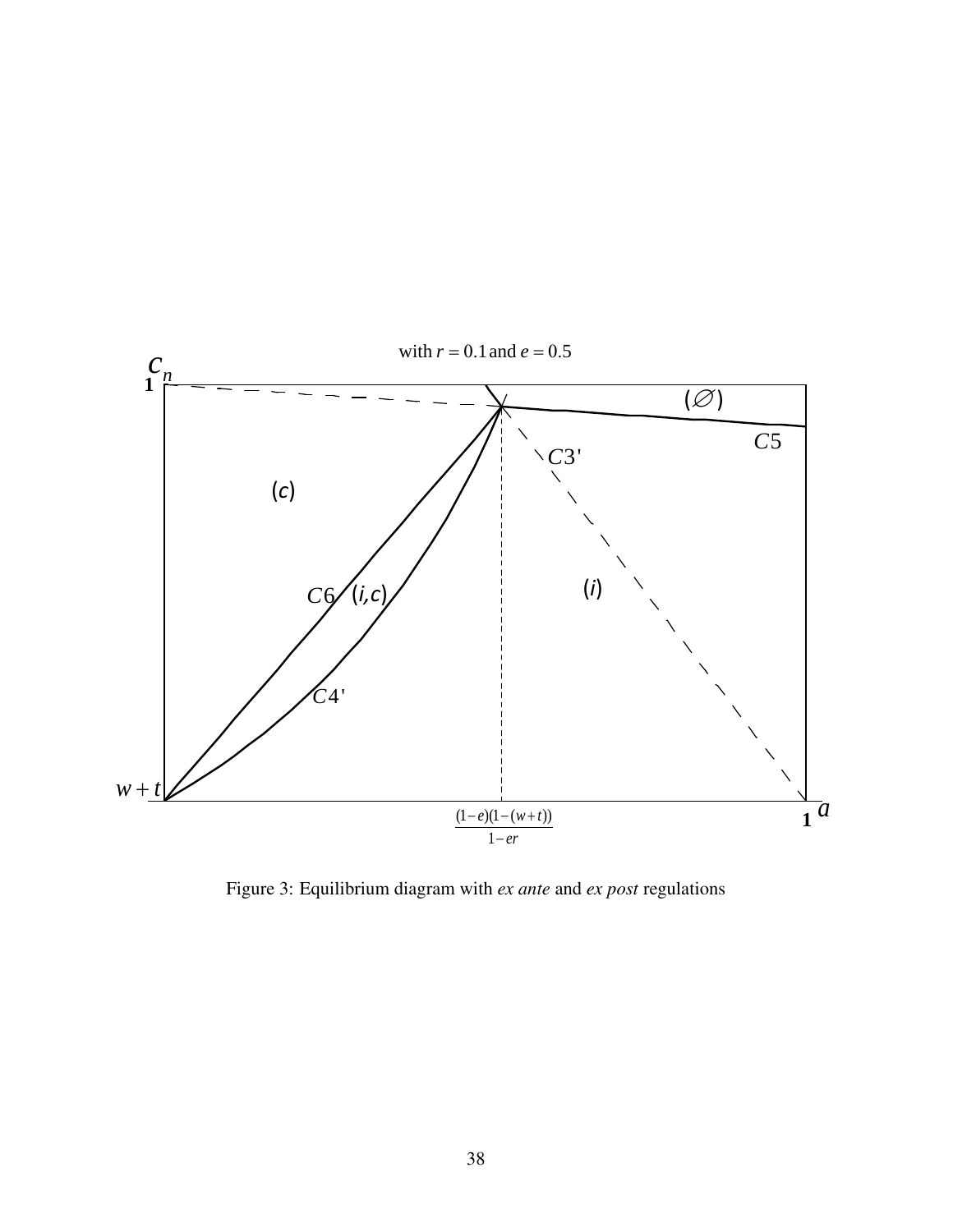

Figure 3: Equilibrium diagram with *ex ante* and *ex post* regulations